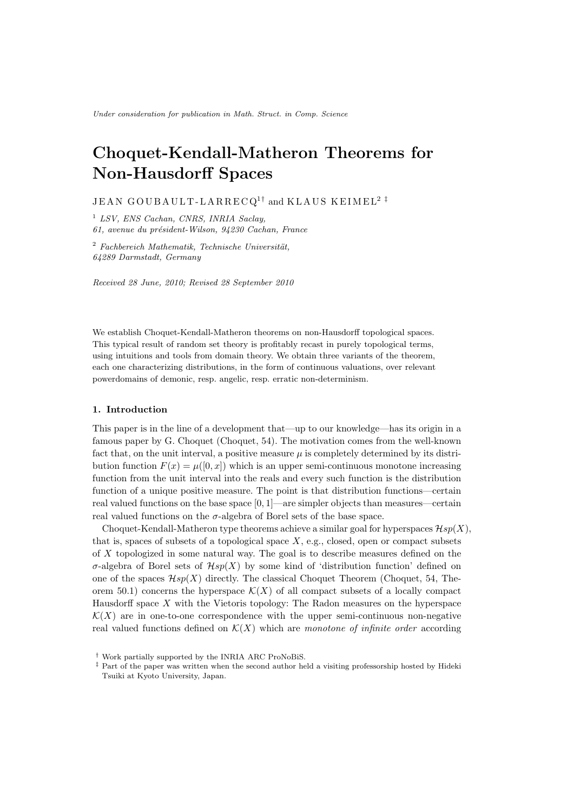# Choquet-Kendall-Matheron Theorems for Non-Hausdorff Spaces

JEAN GOUBAULT-LARRECQ<sup>1†</sup> and KLAUS KEIMEL<sup>2‡</sup>

<sup>1</sup> LSV, ENS Cachan, CNRS, INRIA Saclay, 61, avenue du président-Wilson, 94230 Cachan, France

 $2$  Fachbereich Mathematik, Technische Universität, 64289 Darmstadt, Germany

Received 28 June, 2010; Revised 28 September 2010

We establish Choquet-Kendall-Matheron theorems on non-Hausdorff topological spaces. This typical result of random set theory is profitably recast in purely topological terms, using intuitions and tools from domain theory. We obtain three variants of the theorem, each one characterizing distributions, in the form of continuous valuations, over relevant powerdomains of demonic, resp. angelic, resp. erratic non-determinism.

## 1. Introduction

This paper is in the line of a development that—up to our knowledge—has its origin in a famous paper by G. Choquet (Choquet, 54). The motivation comes from the well-known fact that, on the unit interval, a positive measure  $\mu$  is completely determined by its distribution function  $F(x) = \mu([0, x])$  which is an upper semi-continuous monotone increasing function from the unit interval into the reals and every such function is the distribution function of a unique positive measure. The point is that distribution functions—certain real valued functions on the base space  $[0, 1]$ —are simpler objects than measures—certain real valued functions on the  $\sigma$ -algebra of Borel sets of the base space.

Choquet-Kendall-Matheron type theorems achieve a similar goal for hyperspaces  $\mathcal{H}sp(X)$ , that is, spaces of subsets of a topological space  $X$ , e.g., closed, open or compact subsets of  $X$  topologized in some natural way. The goal is to describe measures defined on the  $\sigma$ -algebra of Borel sets of  $\mathcal{H}sp(X)$  by some kind of 'distribution function' defined on one of the spaces  $\mathcal{H}\mathfrak{sp}(X)$  directly. The classical Choquet Theorem (Choquet, 54, Theorem 50.1) concerns the hyperspace  $\mathcal{K}(X)$  of all compact subsets of a locally compact Hausdorff space  $X$  with the Vietoris topology: The Radon measures on the hyperspace  $\mathcal{K}(X)$  are in one-to-one correspondence with the upper semi-continuous non-negative real valued functions defined on  $\mathcal{K}(X)$  which are monotone of infinite order according

<sup>†</sup> Work partially supported by the INRIA ARC ProNoBiS.

<sup>‡</sup> Part of the paper was written when the second author held a visiting professorship hosted by Hideki Tsuiki at Kyoto University, Japan.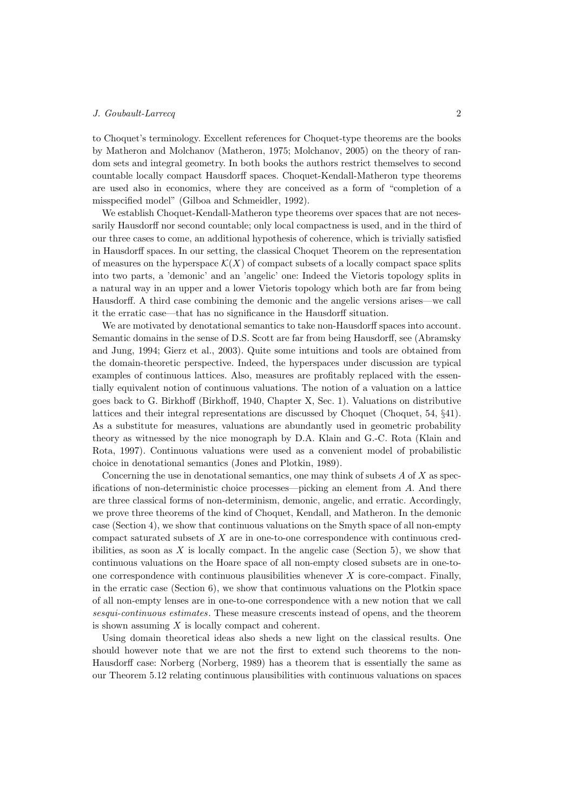to Choquet's terminology. Excellent references for Choquet-type theorems are the books by Matheron and Molchanov (Matheron, 1975; Molchanov, 2005) on the theory of random sets and integral geometry. In both books the authors restrict themselves to second countable locally compact Hausdorff spaces. Choquet-Kendall-Matheron type theorems are used also in economics, where they are conceived as a form of "completion of a misspecified model" (Gilboa and Schmeidler, 1992).

We establish Choquet-Kendall-Matheron type theorems over spaces that are not necessarily Hausdorff nor second countable; only local compactness is used, and in the third of our three cases to come, an additional hypothesis of coherence, which is trivially satisfied in Hausdorff spaces. In our setting, the classical Choquet Theorem on the representation of measures on the hyperspace  $\mathcal{K}(X)$  of compact subsets of a locally compact space splits into two parts, a 'demonic' and an 'angelic' one: Indeed the Vietoris topology splits in a natural way in an upper and a lower Vietoris topology which both are far from being Hausdorff. A third case combining the demonic and the angelic versions arises—we call it the erratic case—that has no significance in the Hausdorff situation.

We are motivated by denotational semantics to take non-Hausdorff spaces into account. Semantic domains in the sense of D.S. Scott are far from being Hausdorff, see (Abramsky and Jung, 1994; Gierz et al., 2003). Quite some intuitions and tools are obtained from the domain-theoretic perspective. Indeed, the hyperspaces under discussion are typical examples of continuous lattices. Also, measures are profitably replaced with the essentially equivalent notion of continuous valuations. The notion of a valuation on a lattice goes back to G. Birkhoff (Birkhoff, 1940, Chapter X, Sec. 1). Valuations on distributive lattices and their integral representations are discussed by Choquet (Choquet, 54, §41). As a substitute for measures, valuations are abundantly used in geometric probability theory as witnessed by the nice monograph by D.A. Klain and G.-C. Rota (Klain and Rota, 1997). Continuous valuations were used as a convenient model of probabilistic choice in denotational semantics (Jones and Plotkin, 1989).

Concerning the use in denotational semantics, one may think of subsets  $A$  of  $X$  as specifications of non-deterministic choice processes—picking an element from  $A$ . And there are three classical forms of non-determinism, demonic, angelic, and erratic. Accordingly, we prove three theorems of the kind of Choquet, Kendall, and Matheron. In the demonic case (Section 4), we show that continuous valuations on the Smyth space of all non-empty compact saturated subsets of  $X$  are in one-to-one correspondence with continuous credibilities, as soon as  $X$  is locally compact. In the angelic case (Section 5), we show that continuous valuations on the Hoare space of all non-empty closed subsets are in one-toone correspondence with continuous plausibilities whenever  $X$  is core-compact. Finally, in the erratic case (Section 6), we show that continuous valuations on the Plotkin space of all non-empty lenses are in one-to-one correspondence with a new notion that we call sesqui-continuous estimates. These measure crescents instead of opens, and the theorem is shown assuming  $X$  is locally compact and coherent.

Using domain theoretical ideas also sheds a new light on the classical results. One should however note that we are not the first to extend such theorems to the non-Hausdorff case: Norberg (Norberg, 1989) has a theorem that is essentially the same as our Theorem 5.12 relating continuous plausibilities with continuous valuations on spaces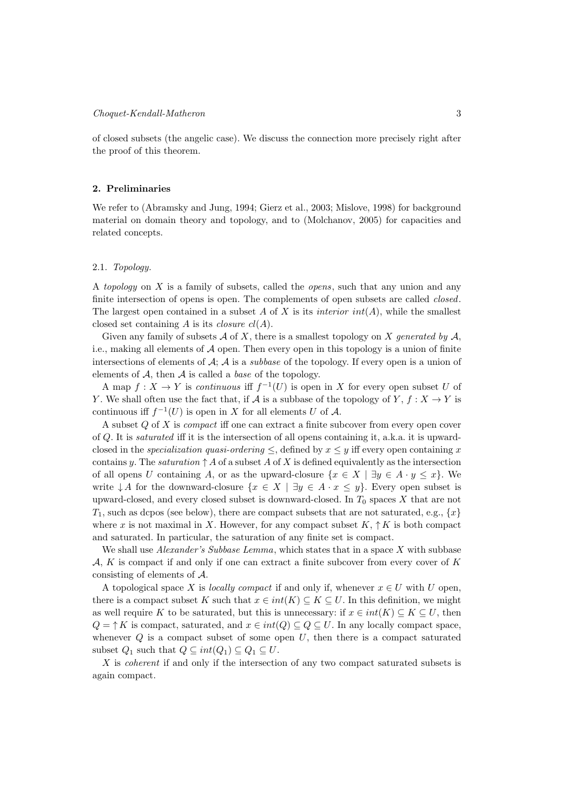of closed subsets (the angelic case). We discuss the connection more precisely right after the proof of this theorem.

## 2. Preliminaries

We refer to (Abramsky and Jung, 1994; Gierz et al., 2003; Mislove, 1998) for background material on domain theory and topology, and to (Molchanov, 2005) for capacities and related concepts.

## 2.1. Topology.

A topology on  $X$  is a family of subsets, called the *opens*, such that any union and any finite intersection of opens is open. The complements of open subsets are called *closed*. The largest open contained in a subset A of X is its *interior int*(A), while the smallest closed set containing A is its *closure*  $cl(A)$ .

Given any family of subsets  $A$  of X, there is a smallest topology on X generated by  $A$ , i.e., making all elements of  $A$  open. Then every open in this topology is a union of finite intersections of elements of  $A$ ;  $\overline{A}$  is a *subbase* of the topology. If every open is a union of elements of  $A$ , then  $A$  is called a *base* of the topology.

A map  $f: X \to Y$  is *continuous* iff  $f^{-1}(U)$  is open in X for every open subset U of Y. We shall often use the fact that, if A is a subbase of the topology of Y,  $f: X \to Y$  is continuous iff  $f^{-1}(U)$  is open in X for all elements U of A.

A subset  $Q$  of  $X$  is *compact* iff one can extract a finite subcover from every open cover of  $Q$ . It is saturated iff it is the intersection of all opens containing it, a.k.a. it is upwardclosed in the *specialization quasi-ordering*  $\leq$ , defined by  $x \leq y$  iff every open containing x contains y. The *saturation*  $\uparrow$  A of a subset A of X is defined equivalently as the intersection of all opens U containing A, or as the upward-closure  $\{x \in X \mid \exists y \in A \cdot y \leq x\}$ . We write  $\downarrow A$  for the downward-closure  $\{x \in X \mid \exists y \in A \cdot x \leq y\}$ . Every open subset is upward-closed, and every closed subset is downward-closed. In  $T_0$  spaces  $X$  that are not  $T_1$ , such as dcpos (see below), there are compact subsets that are not saturated, e.g.,  $\{x\}$ where x is not maximal in X. However, for any compact subset  $K, \uparrow K$  is both compact and saturated. In particular, the saturation of any finite set is compact.

We shall use *Alexander's Subbase Lemma*, which states that in a space  $X$  with subbase  $A, K$  is compact if and only if one can extract a finite subcover from every cover of  $K$ consisting of elements of  $A$ .

A topological space X is locally compact if and only if, whenever  $x \in U$  with U open, there is a compact subset K such that  $x \in int(K) \subseteq K \subseteq U$ . In this definition, we might as well require K to be saturated, but this is unnecessary: if  $x \in int(K) \subseteq K \subseteq U$ , then  $Q = \uparrow K$  is compact, saturated, and  $x \in int(Q) \subseteq Q \subseteq U$ . In any locally compact space, whenever  $Q$  is a compact subset of some open  $U$ , then there is a compact saturated subset  $Q_1$  such that  $Q \subseteq int(Q_1) \subseteq Q_1 \subseteq U$ .

 $X$  is *coherent* if and only if the intersection of any two compact saturated subsets is again compact.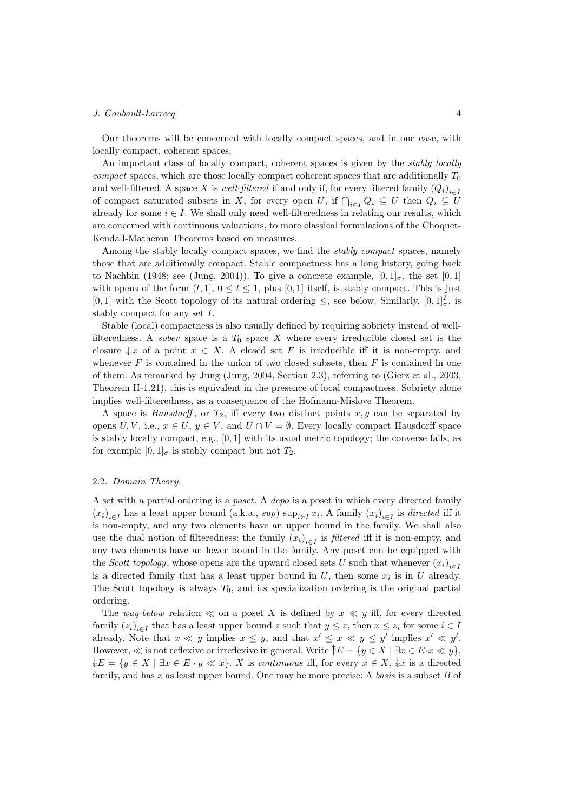Our theorems will be concerned with locally compact spaces, and in one case, with locally compact, coherent spaces.

An important class of locally compact, coherent spaces is given by the stably locally *compact* spaces, which are those locally compact coherent spaces that are additionally  $T_0$ and well-filtered. A space X is *well-filtered* if and only if, for every filtered family  $(Q_i)_{i \in I}$ of compact saturated subsets in X, for every open U, if  $\bigcap_{i\in I} Q_i \subseteq U$  then  $Q_i \subseteq U$ already for some  $i \in I$ . We shall only need well-filteredness in relating our results, which are concerned with continuous valuations, to more classical formulations of the Choquet-Kendall-Matheron Theorems based on measures.

Among the stably locally compact spaces, we find the *stably compact* spaces, namely those that are additionally compact. Stable compactness has a long history, going back to Nachbin (1948; see (Jung, 2004)). To give a concrete example,  $[0,1]_{\sigma}$ , the set  $[0,1]$ with opens of the form  $(t,1], 0 \le t \le 1$ , plus [0,1] itself, is stably compact. This is just [0, 1] with the Scott topology of its natural ordering  $\leq$ , see below. Similarly,  $[0,1]_{\sigma}^{I}$ , is stably compact for any set  $I$ .

Stable (local) compactness is also usually defined by requiring sobriety instead of wellfilteredness. A *sober* space is a  $T_0$  space X where every irreducible closed set is the closure  $\downarrow x$  of a point  $x \in X$ . A closed set F is irreducible iff it is non-empty, and whenever  $F$  is contained in the union of two closed subsets, then  $F$  is contained in one of them. As remarked by Jung (Jung, 2004, Section 2.3), referring to (Gierz et al., 2003, Theorem II-1.21), this is equivalent in the presence of local compactness. Sobriety alone implies well-filteredness, as a consequence of the Hofmann-Mislove Theorem.

A space is *Hausdorff*, or  $T_2$ , iff every two distinct points  $x, y$  can be separated by opens  $U, V$ , i.e.,  $x \in U$ ,  $y \in V$ , and  $U \cap V = \emptyset$ . Every locally compact Hausdorff space is stably locally compact, e.g.,  $[0, 1]$  with its usual metric topology; the converse fails, as for example  $[0, 1]_{\sigma}$  is stably compact but not  $T_2$ .

## 2.2. Domain Theory.

A set with a partial ordering is a poset. A dcpo is a poset in which every directed family  $(x_i)_{i \in I}$  has a least upper bound (a.k.a., sup)  $\sup_{i \in I} x_i$ . A family  $(x_i)_{i \in I}$  is directed iff it is non-empty, and any two elements have an upper bound in the family. We shall also use the dual notion of filteredness: the family  $(x_i)_{i \in I}$  is *filtered* iff it is non-empty, and any two elements have an lower bound in the family. Any poset can be equipped with the *Scott topology*, whose opens are the upward closed sets U such that whenever  $(x_i)_{i \in I}$ is a directed family that has a least upper bound in  $U$ , then some  $x_i$  is in  $U$  already. The Scott topology is always  $T_0$ , and its specialization ordering is the original partial ordering.

The way-below relation  $\ll$  on a poset X is defined by  $x \ll y$  iff, for every directed family  $(z_i)_{i \in I}$  that has a least upper bound z such that  $y \leq z$ , then  $x \leq z_i$  for some  $i \in I$ already. Note that  $x \ll y$  implies  $x \leq y$ , and that  $x' \leq x \ll y \leq y'$  implies  $x' \ll y'$ . However,  $\ll$  is not reflexive or irreflexive in general. Write  $\hat{\uparrow}E = \{y \in X \mid \exists x \in E \cdot x \ll y\}$ ,  $\downarrow E = \{y \in X \mid \exists x \in E \cdot y \ll x\}.$  *X* is continuous iff, for every  $x \in X$ ,  $\downarrow x$  is a directed family, and has  $x$  as least upper bound. One may be more precise: A basis is a subset  $B$  of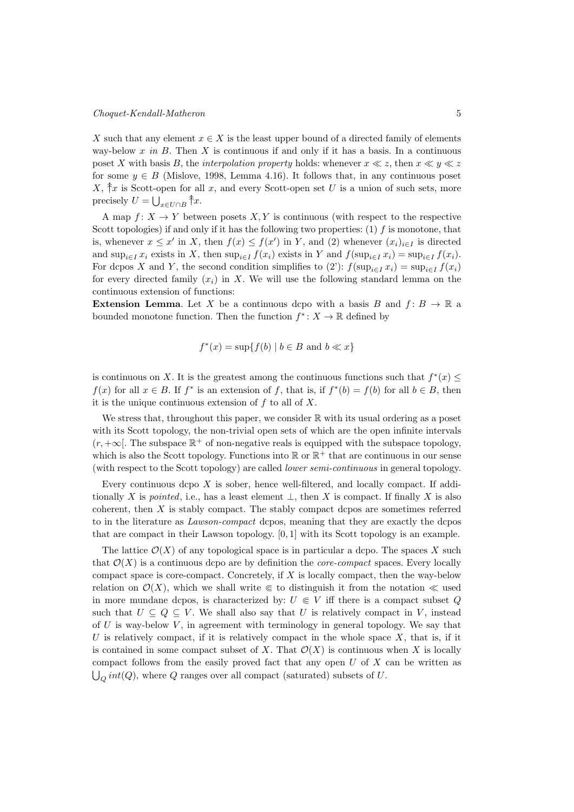X such that any element  $x \in X$  is the least upper bound of a directed family of elements way-below  $x$  in  $B$ . Then  $X$  is continuous if and only if it has a basis. In a continuous poset X with basis B, the interpolation property holds: whenever  $x \ll z$ , then  $x \ll y \ll z$ for some  $y \in B$  (Mislove, 1998, Lemma 4.16). It follows that, in any continuous poset  $X, \hat{\tau}$  is Scott-open for all x, and every Scott-open set U is a union of such sets, more precisely  $U = \bigcup_{x \in U \cap B} \hat{\uparrow} x$ .

A map  $f: X \to Y$  between posets X, Y is continuous (with respect to the respective Scott topologies) if and only if it has the following two properties:  $(1)$  f is monotone, that is, whenever  $x \leq x'$  in X, then  $f(x) \leq f(x')$  in Y, and (2) whenever  $(x_i)_{i \in I}$  is directed and  $\sup_{i\in I} x_i$  exists in X, then  $\sup_{i\in I} f(x_i)$  exists in Y and  $f(\sup_{i\in I} x_i) = \sup_{i\in I} f(x_i)$ . For dcpos X and Y, the second condition simplifies to (2'):  $f(\sup_{i \in I} x_i) = \sup_{i \in I} f(x_i)$ for every directed family  $(x_i)$  in X. We will use the following standard lemma on the continuous extension of functions:

**Extension Lemma.** Let X be a continuous dcpo with a basis B and  $f: B \to \mathbb{R}$  a bounded monotone function. Then the function  $f^* : X \to \mathbb{R}$  defined by

$$
f^*(x) = \sup\{f(b) \mid b \in B \text{ and } b \ll x\}
$$

is continuous on X. It is the greatest among the continuous functions such that  $f^*(x) \leq$  $f(x)$  for all  $x \in B$ . If  $f^*$  is an extension of f, that is, if  $f^*(b) = f(b)$  for all  $b \in B$ , then it is the unique continuous extension of  $f$  to all of  $X$ .

We stress that, throughout this paper, we consider ℝ with its usual ordering as a poset with its Scott topology, the non-trivial open sets of which are the open infinite intervals  $(r, +\infty)$ . The subspace  $\mathbb{R}^+$  of non-negative reals is equipped with the subspace topology, which is also the Scott topology. Functions into ℝ or ℝ<sup>+</sup> that are continuous in our sense (with respect to the Scott topology) are called lower semi-continuous in general topology.

Every continuous dcpo  $X$  is sober, hence well-filtered, and locally compact. If additionally X is pointed, i.e., has a least element  $\bot$ , then X is compact. If finally X is also coherent, then  $X$  is stably compact. The stably compact dcpos are sometimes referred to in the literature as *Lawson-compact* dcpos, meaning that they are exactly the dcpos that are compact in their Lawson topology. [0, 1] with its Scott topology is an example.

The lattice  $\mathcal{O}(X)$  of any topological space is in particular a dcpo. The spaces X such that  $\mathcal{O}(X)$  is a continuous dcpo are by definition the *core-compact* spaces. Every locally compact space is core-compact. Concretely, if  $X$  is locally compact, then the way-below relation on  $\mathcal{O}(X)$ , which we shall write  $\in$  to distinguish it from the notation  $\ll$  used in more mundane dcpos, is characterized by:  $U \in V$  iff there is a compact subset Q such that  $U \subseteq Q \subseteq V$ . We shall also say that U is relatively compact in V, instead of  $U$  is way-below  $V$ , in agreement with terminology in general topology. We say that U is relatively compact, if it is relatively compact in the whole space  $X$ , that is, if it is contained in some compact subset of X. That  $\mathcal{O}(X)$  is continuous when X is locally compact follows from the easily proved fact that any open  $U$  of  $X$  can be written as  $\bigcup_Q int(Q),$  where  $Q$  ranges over all compact (saturated) subsets of  $U.$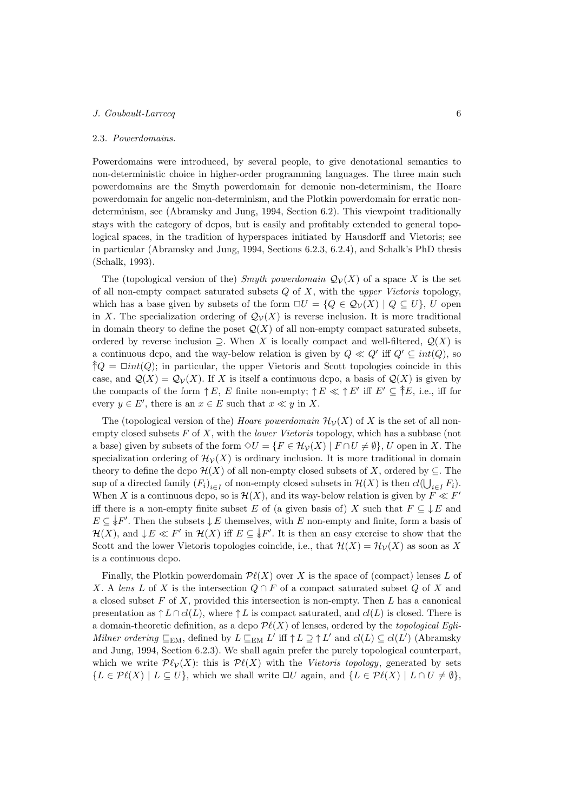## 2.3. Powerdomains.

Powerdomains were introduced, by several people, to give denotational semantics to non-deterministic choice in higher-order programming languages. The three main such powerdomains are the Smyth powerdomain for demonic non-determinism, the Hoare powerdomain for angelic non-determinism, and the Plotkin powerdomain for erratic nondeterminism, see (Abramsky and Jung, 1994, Section 6.2). This viewpoint traditionally stays with the category of dcpos, but is easily and profitably extended to general topological spaces, in the tradition of hyperspaces initiated by Hausdorff and Vietoris; see in particular (Abramsky and Jung, 1994, Sections 6.2.3, 6.2.4), and Schalk's PhD thesis (Schalk, 1993).

The (topological version of the) Smyth powerdomain  $\mathcal{Q}_{\mathcal{V}}(X)$  of a space X is the set of all non-empty compact saturated subsets  $Q$  of  $X$ , with the upper Vietoris topology, which has a base given by subsets of the form  $\Box U = \{Q \in \mathcal{Q}_V(X) \mid Q \subseteq U\}$ , U open in X. The specialization ordering of  $\mathcal{Q}_{\mathcal{V}}(X)$  is reverse inclusion. It is more traditional in domain theory to define the poset  $\mathcal{Q}(X)$  of all non-empty compact saturated subsets, ordered by reverse inclusion  $\supseteq$ . When X is locally compact and well-filtered,  $\mathcal{Q}(X)$  is a continuous dcpo, and the way-below relation is given by  $Q \ll Q'$  iff  $Q' \subseteq int(Q)$ , so  $\dagger Q = \Box int(Q)$ ; in particular, the upper Vietoris and Scott topologies coincide in this case, and  $\mathcal{Q}(X) = \mathcal{Q}_{\mathcal{V}}(X)$ . If X is itself a continuous dcpo, a basis of  $\mathcal{Q}(X)$  is given by the compacts of the form  $\uparrow E$ , E finite non-empty;  $\uparrow E \ll \uparrow E'$  iff  $E' \subseteq \uparrow E$ , i.e., iff for every  $y \in E'$ , there is an  $x \in E$  such that  $x \ll y$  in X.

The (topological version of the) Hoare powerdomain  $\mathcal{H}_{\mathcal{V}}(X)$  of X is the set of all nonempty closed subsets  $F$  of  $X$ , with the *lower Vietoris* topology, which has a subbase (not a base) given by subsets of the form  $\Diamond U = \{F \in \mathcal{H}_V(X) \mid F \cap U \neq \emptyset\}$ , U open in X. The specialization ordering of  $\mathcal{H}_{\mathcal{V}}(X)$  is ordinary inclusion. It is more traditional in domain theory to define the dcpo  $\mathcal{H}(X)$  of all non-empty closed subsets of X, ordered by  $\subseteq$ . The sup of a directed family  $(F_i)_{i \in I}$  of non-empty closed subsets in  $\mathcal{H}(X)$  is then  $cl(\bigcup_{i \in I} F_i)$ . When X is a continuous dcpo, so is  $\mathcal{H}(X)$ , and its way-below relation is given by  $F \ll F'$ iff there is a non-empty finite subset E of (a given basis of) X such that  $F \subseteq \downarrow E$  and  $E \subseteq \frac{1}{2}F'$ . Then the subsets  $\downarrow E$  themselves, with E non-empty and finite, form a basis of  $\mathcal{H}(X)$ , and  $\downarrow E \ll F'$  in  $\mathcal{H}(X)$  iff  $E \subseteq \downarrow F'$ . It is then an easy exercise to show that the Scott and the lower Vietoris topologies coincide, i.e., that  $\mathcal{H}(X) = \mathcal{H}_{\mathcal{V}}(X)$  as soon as X is a continuous dcpo.

Finally, the Plotkin powerdomain  $\mathcal{P}\ell(X)$  over X is the space of (compact) lenses L of X. A lens L of X is the intersection  $Q \cap F$  of a compact saturated subset Q of X and a closed subset  $F$  of  $X$ , provided this intersection is non-empty. Then  $L$  has a canonical presentation as  $\uparrow L \cap cl(L)$ , where  $\uparrow L$  is compact saturated, and  $cl(L)$  is closed. There is a domain-theoretic definition, as a dcpo  $\mathcal{P}\ell(X)$  of lenses, ordered by the topological Egli-Milner ordering  $\sqsubseteq_{EM}$ , defined by  $L \sqsubseteq_{EM} L'$  iff  $\uparrow L \supseteq \uparrow L'$  and  $cl(L) \subseteq cl(L')$  (Abramsky and Jung, 1994, Section 6.2.3). We shall again prefer the purely topological counterpart, which we write  $\mathcal{P}\ell_\mathcal{V}(X)$ : this is  $\mathcal{P}\ell(X)$  with the Vietoris topology, generated by sets  ${L \in \mathcal{P}\ell(X) \mid L \subseteq U}$ , which we shall write  $\Box U$  again, and  ${L \in \mathcal{P}\ell(X) \mid L \cap U \neq \emptyset}$ ,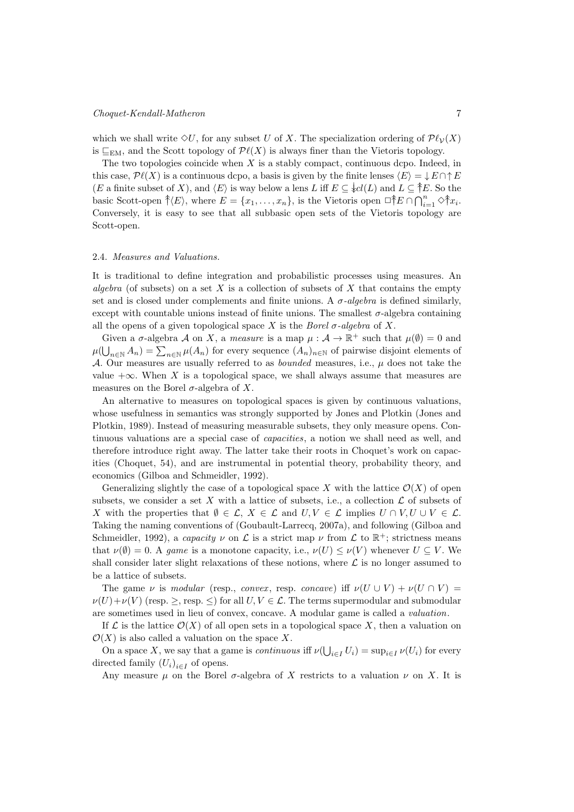# Choquet-Kendall-Matheron 7

which we shall write  $\Diamond U$ , for any subset U of X. The specialization ordering of  $\mathcal{P}\ell_{\mathcal{V}}(X)$ is  $\sqsubseteq_{\text{EM}}$ , and the Scott topology of  $\mathcal{P}\ell(X)$  is always finer than the Vietoris topology.

The two topologies coincide when  $X$  is a stably compact, continuous dcpo. Indeed, in this case,  $\mathcal{P}\ell(X)$  is a continuous dcpo, a basis is given by the finite lenses  $\langle E \rangle = \downarrow E \cap \uparrow E$ (*E* a finite subset of *X*), and  $\langle E \rangle$  is way below a lens L iff  $E \subseteq \{cl(L) \text{ and } L \subseteq \{E\}$ . So the basic Scott-open  $\hat{\uparrow}(E)$ , where  $E = \{x_1, \ldots, x_n\}$ , is the Vietoris open  $\Box \hat{\uparrow} E \cap \bigcap_{i=1}^n \Diamond \hat{\uparrow} x_i$ . Conversely, it is easy to see that all subbasic open sets of the Vietoris topology are Scott-open.

## 2.4. Measures and Valuations.

It is traditional to define integration and probabilistic processes using measures. An algebra (of subsets) on a set  $X$  is a collection of subsets of  $X$  that contains the empty set and is closed under complements and finite unions. A  $\sigma$ -algebra is defined similarly, except with countable unions instead of finite unions. The smallest  $\sigma$ -algebra containing all the opens of a given topological space X is the Borel  $\sigma$ -algebra of X.

Given a  $\sigma$ -algebra  $\mathcal A$  on  $X$ , a *measure* is a map  $\mu : \mathcal A \to \mathbb R^+$  such that  $\mu(\emptyset) = 0$  and  $\mu(\bigcup_{n\in\mathbb{N}}A_n)=\sum_{n\in\mathbb{N}}\mu(A_n)$  for every sequence  $(A_n)_{n\in\mathbb{N}}$  of pairwise disjoint elements of A. Our measures are usually referred to as *bounded* measures, i.e.,  $\mu$  does not take the value  $+\infty$ . When X is a topological space, we shall always assume that measures are measures on the Borel  $\sigma$ -algebra of X.

An alternative to measures on topological spaces is given by continuous valuations, whose usefulness in semantics was strongly supported by Jones and Plotkin (Jones and Plotkin, 1989). Instead of measuring measurable subsets, they only measure opens. Continuous valuations are a special case of capacities, a notion we shall need as well, and therefore introduce right away. The latter take their roots in Choquet's work on capacities (Choquet, 54), and are instrumental in potential theory, probability theory, and economics (Gilboa and Schmeidler, 1992).

Generalizing slightly the case of a topological space X with the lattice  $\mathcal{O}(X)$  of open subsets, we consider a set X with a lattice of subsets, i.e., a collection  $\mathcal L$  of subsets of X with the properties that  $\emptyset \in \mathcal{L}, X \in \mathcal{L}$  and  $U, V \in \mathcal{L}$  implies  $U \cap V, U \cup V \in \mathcal{L}$ . Taking the naming conventions of (Goubault-Larrecq, 2007a), and following (Gilboa and Schmeidler, 1992), a *capacity*  $\nu$  on  $\mathcal L$  is a strict map  $\nu$  from  $\mathcal L$  to  $\mathbb R^+$ ; strictness means that  $\nu(\emptyset) = 0$ . A game is a monotone capacity, i.e.,  $\nu(U) \leq \nu(V)$  whenever  $U \subseteq V$ . We shall consider later slight relaxations of these notions, where  $\mathcal L$  is no longer assumed to be a lattice of subsets.

The game  $\nu$  is modular (resp., convex, resp. concave) iff  $\nu(U \cup V) + \nu(U \cap V) =$  $\nu(U) + \nu(V)$  (resp.  $\geq$ , resp.  $\leq$ ) for all  $U, V \in \mathcal{L}$ . The terms supermodular and submodular are sometimes used in lieu of convex, concave. A modular game is called a valuation.

If  $\mathcal L$  is the lattice  $\mathcal O(X)$  of all open sets in a topological space X, then a valuation on  $\mathcal{O}(X)$  is also called a valuation on the space X.

On a space X, we say that a game is *continuous* if  $\nu(\bigcup_{i \in I} U_i) = \sup_{i \in I} \nu(U_i)$  for every directed family  $(U_i)_{i \in I}$  of opens.

Any measure  $\mu$  on the Borel  $\sigma$ -algebra of X restricts to a valuation  $\nu$  on X. It is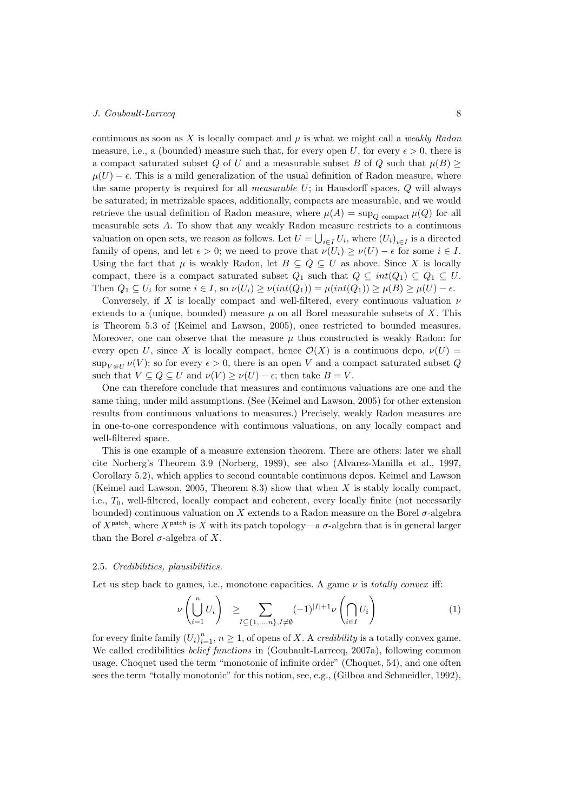continuous as soon as  $X$  is locally compact and  $\mu$  is what we might call a *weakly Radon* measure, i.e., a (bounded) measure such that, for every open U, for every  $\epsilon > 0$ , there is a compact saturated subset Q of U and a measurable subset B of Q such that  $\mu(B) \geq$  $\mu(U) - \epsilon$ . This is a mild generalization of the usual definition of Radon measure, where the same property is required for all *measurable U*; in Hausdorff spaces,  $Q$  will always be saturated; in metrizable spaces, additionally, compacts are measurable, and we would retrieve the usual definition of Radon measure, where  $\mu(A) = \sup_{Q \text{ compact}} \mu(Q)$  for all measurable sets A. To show that any weakly Radon measure restricts to a continuous valuation on open sets, we reason as follows. Let  $U = \bigcup_{i \in I} U_i$ , where  $(U_i)_{i \in I}$  is a directed family of opens, and let  $\epsilon > 0$ ; we need to prove that  $\nu(U_i) \geq \nu(U) - \epsilon$  for some  $i \in I$ . Using the fact that  $\mu$  is weakly Radon, let  $B \subseteq Q \subseteq U$  as above. Since X is locally compact, there is a compact saturated subset  $Q_1$  such that  $Q \subseteq int(Q_1) \subseteq Q_1 \subseteq U$ . Then  $Q_1 \subseteq U_i$  for some  $i \in I$ , so  $\nu(U_i) \geq \nu(int(Q_1)) = \mu(int(Q_1)) \geq \mu(B) \geq \mu(U) - \epsilon$ .

Conversely, if X is locally compact and well-filtered, every continuous valuation  $\nu$ extends to a (unique, bounded) measure  $\mu$  on all Borel measurable subsets of X. This is Theorem 5.3 of (Keimel and Lawson, 2005), once restricted to bounded measures. Moreover, one can observe that the measure  $\mu$  thus constructed is weakly Radon: for every open U, since X is locally compact, hence  $\mathcal{O}(X)$  is a continuous dcpo,  $\nu(U)$  =  $\sup_{V \in U} \nu(V)$ ; so for every  $\epsilon > 0$ , there is an open V and a compact saturated subset Q such that  $V \subseteq Q \subseteq U$  and  $\nu(V) \geq \nu(U) - \epsilon$ ; then take  $B = V$ .

One can therefore conclude that measures and continuous valuations are one and the same thing, under mild assumptions. (See (Keimel and Lawson, 2005) for other extension results from continuous valuations to measures.) Precisely, weakly Radon measures are in one-to-one correspondence with continuous valuations, on any locally compact and well-filtered space.

This is one example of a measure extension theorem. There are others: later we shall cite Norberg's Theorem 3.9 (Norberg, 1989), see also (Alvarez-Manilla et al., 1997, Corollary 5.2), which applies to second countable continuous dcpos. Keimel and Lawson (Keimel and Lawson, 2005, Theorem 8.3) show that when  $X$  is stably locally compact, i.e.,  $T_0$ , well-filtered, locally compact and coherent, every locally finite (not necessarily bounded) continuous valuation on  $X$  extends to a Radon measure on the Borel  $\sigma$ -algebra of  $X^{\text{patch}}$ , where  $X^{\text{patch}}$  is X with its patch topology—a  $\sigma$ -algebra that is in general larger than the Borel  $\sigma$ -algebra of X.

## 2.5. Credibilities, plausibilities.

Let us step back to games, i.e., monotone capacities. A game  $\nu$  is *totally convex* iff:

$$
\nu\left(\bigcup_{i=1}^{n} U_i\right) \ge \sum_{I \subseteq \{1,\dots,n\}, I \neq \emptyset} (-1)^{|I|+1} \nu\left(\bigcap_{i \in I} U_i\right) \tag{1}
$$

for every finite family  $(U_i)_{i=1}^n$ ,  $n \geq 1$ , of opens of X. A *credibility* is a totally convex game. We called credibilities *belief functions* in (Goubault-Larrecq, 2007a), following common usage. Choquet used the term "monotonic of infinite order" (Choquet, 54), and one often sees the term "totally monotonic" for this notion, see, e.g., (Gilboa and Schmeidler, 1992),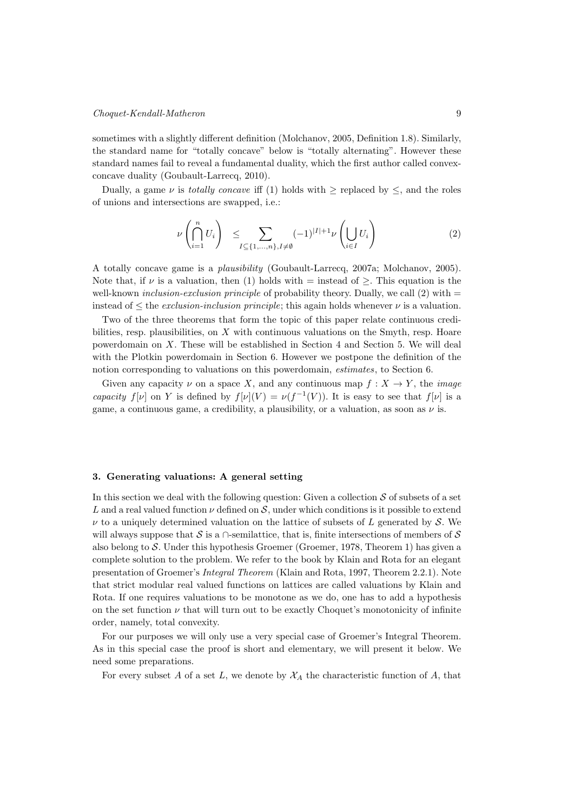sometimes with a slightly different definition (Molchanov, 2005, Definition 1.8). Similarly, the standard name for "totally concave" below is "totally alternating". However these standard names fail to reveal a fundamental duality, which the first author called convexconcave duality (Goubault-Larrecq, 2010).

Dually, a game  $\nu$  is *totally concave* iff (1) holds with  $\geq$  replaced by  $\leq$ , and the roles of unions and intersections are swapped, i.e.:

$$
\nu\left(\bigcap_{i=1}^{n} U_i\right) \leq \sum_{I \subseteq \{1,\dots,n\}, I \neq \emptyset} (-1)^{|I|+1} \nu\left(\bigcup_{i \in I} U_i\right) \tag{2}
$$

A totally concave game is a plausibility (Goubault-Larrecq, 2007a; Molchanov, 2005). Note that, if  $\nu$  is a valuation, then (1) holds with = instead of  $\geq$ . This equation is the well-known *inclusion-exclusion principle* of probability theory. Dually, we call  $(2)$  with  $=$ instead of  $\leq$  the *exclusion-inclusion principle*; this again holds whenever  $\nu$  is a valuation.

Two of the three theorems that form the topic of this paper relate continuous credibilities, resp. plausibilities, on  $X$  with continuous valuations on the Smyth, resp. Hoare powerdomain on  $X$ . These will be established in Section 4 and Section 5. We will deal with the Plotkin powerdomain in Section 6. However we postpone the definition of the notion corresponding to valuations on this powerdomain, estimates, to Section 6.

Given any capacity  $\nu$  on a space X, and any continuous map  $f: X \to Y$ , the *image* capacity  $f[\nu]$  on Y is defined by  $f[\nu](V) = \nu(f^{-1}(V))$ . It is easy to see that  $f[\nu]$  is a game, a continuous game, a credibility, a plausibility, or a valuation, as soon as  $\nu$  is.

## 3. Generating valuations: A general setting

In this section we deal with the following question: Given a collection  $\mathcal S$  of subsets of a set L and a real valued function  $\nu$  defined on S, under which conditions is it possible to extend  $\nu$  to a uniquely determined valuation on the lattice of subsets of L generated by S. We will always suppose that S is a ∩-semilattice, that is, finite intersections of members of S also belong to  $\mathcal S$ . Under this hypothesis Groemer (Groemer, 1978, Theorem 1) has given a complete solution to the problem. We refer to the book by Klain and Rota for an elegant presentation of Groemer's Integral Theorem (Klain and Rota, 1997, Theorem 2.2.1). Note that strict modular real valued functions on lattices are called valuations by Klain and Rota. If one requires valuations to be monotone as we do, one has to add a hypothesis on the set function  $\nu$  that will turn out to be exactly Choquet's monotonicity of infinite order, namely, total convexity.

For our purposes we will only use a very special case of Groemer's Integral Theorem. As in this special case the proof is short and elementary, we will present it below. We need some preparations.

For every subset A of a set L, we denote by  $\mathcal{X}_A$  the characteristic function of A, that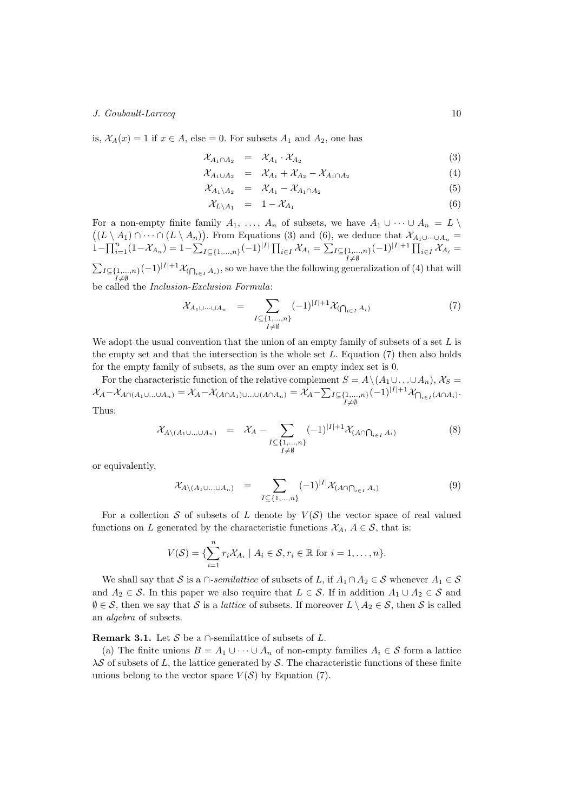is,  $\mathcal{X}_A(x) = 1$  if  $x \in A$ , else = 0. For subsets  $A_1$  and  $A_2$ , one has

$$
\mathcal{X}_{A_1 \cap A_2} = \mathcal{X}_{A_1} \cdot \mathcal{X}_{A_2} \tag{3}
$$

$$
\mathcal{X}_{A_1 \cup A_2} = \mathcal{X}_{A_1} + \mathcal{X}_{A_2} - \mathcal{X}_{A_1 \cap A_2} \tag{4}
$$

$$
\mathcal{X}_{A_1 \setminus A_2} = \mathcal{X}_{A_1} - \mathcal{X}_{A_1 \cap A_2} \tag{5}
$$

$$
\mathcal{X}_{L\setminus A_1} = 1 - \mathcal{X}_{A_1} \tag{6}
$$

For a non-empty finite family  $A_1, \ldots, A_n$  of subsets, we have  $A_1 \cup \cdots \cup A_n = L \setminus$  $((L \setminus A_1) \cap \cdots \cap (L \setminus A_n))$ . From Equations (3) and (6), we deduce that  $\mathcal{X}_{A_1 \cup \cdots \cup A_n} =$  $1-\prod_{i=1}^n(1-\mathcal{X}_{A_n})=1-\sum_{I\subseteq\{1,...,n\}}(-1)^{|I|}\prod_{i\in I}\mathcal{X}_{A_i}=\sum_{I\subseteq\{1,...,n\}}(-1)^{|I|+1}\prod_{i\in I}\mathcal{X}_{A_i}=$  $I ≠ ∅$  $\sum_{I \subseteq \{1,\ldots,n\}} (-1)^{|I|+1} \mathcal{X}_{(\bigcap_{i \in I} A_i)}$ , so we have the the following generalization of (4) that will be called the Inclusion-Exclusion Formula:

$$
\mathcal{X}_{A_1 \cup \cdots \cup A_n} = \sum_{\substack{I \subseteq \{1,\ldots,n\} \\ I \neq \emptyset}} (-1)^{|I|+1} \mathcal{X}_{(\bigcap_{i \in I} A_i)} \tag{7}
$$

We adopt the usual convention that the union of an empty family of subsets of a set  $L$  is the empty set and that the intersection is the whole set  $L$ . Equation (7) then also holds for the empty family of subsets, as the sum over an empty index set is 0.

For the characteristic function of the relative complement  $S = A \setminus (A_1 \cup \ldots \cup A_n)$ ,  $\mathcal{X}_S =$  $\mathcal{X}_A-\mathcal{X}_{A\cap(A_1\cup...\cup A_n)}=\mathcal{X}_A-\mathcal{X}_{(A\cap A_1)\cup...\cup(A\cap A_n)}=\mathcal{X}_A-\sum_{I\subseteq\{1,...,n\}}$  $(-1)^{|I|+1} \mathcal{X}_{\bigcap_{i \in I} (A \cap A_i)}$ Thus:

$$
\mathcal{X}_{A\setminus (A_1\cup\ldots\cup A_n)} = \mathcal{X}_A - \sum_{\substack{I \subseteq \{1,\ldots,n\} \\ I \neq \emptyset}} (-1)^{|I|+1} \mathcal{X}_{(A\cap\bigcap_{i\in I} A_i)} \tag{8}
$$

or equivalently,

$$
\mathcal{X}_{A\setminus (A_1\cup\ldots\cup A_n)} = \sum_{I \subseteq \{1,\ldots,n\}} (-1)^{|I|} \mathcal{X}_{(A\cap \bigcap_{i \in I} A_i)} \tag{9}
$$

For a collection S of subsets of L denote by  $V(S)$  the vector space of real valued functions on L generated by the characteristic functions  $\mathcal{X}_A$ ,  $A \in \mathcal{S}$ , that is:

$$
V(S) = \{ \sum_{i=1}^{n} r_i X_{A_i} \mid A_i \in S, r_i \in \mathbb{R} \text{ for } i = 1, \ldots, n \}.
$$

We shall say that S is a ∩-semilattice of subsets of L, if  $A_1 \cap A_2 \in S$  whenever  $A_1 \in S$ and  $A_2 \in \mathcal{S}$ . In this paper we also require that  $L \in \mathcal{S}$ . If in addition  $A_1 \cup A_2 \in \mathcal{S}$  and  $\emptyset \in \mathcal{S}$ , then we say that  $\mathcal{S}$  is a *lattice* of subsets. If moreover  $L \setminus A_2 \in \mathcal{S}$ , then  $\mathcal{S}$  is called an algebra of subsets.

**Remark 3.1.** Let S be a  $\cap$ -semilattice of subsets of L.

(a) The finite unions  $B = A_1 \cup \cdots \cup A_n$  of non-empty families  $A_i \in \mathcal{S}$  form a lattice  $\lambda S$  of subsets of L, the lattice generated by S. The characteristic functions of these finite unions belong to the vector space  $V(S)$  by Equation (7).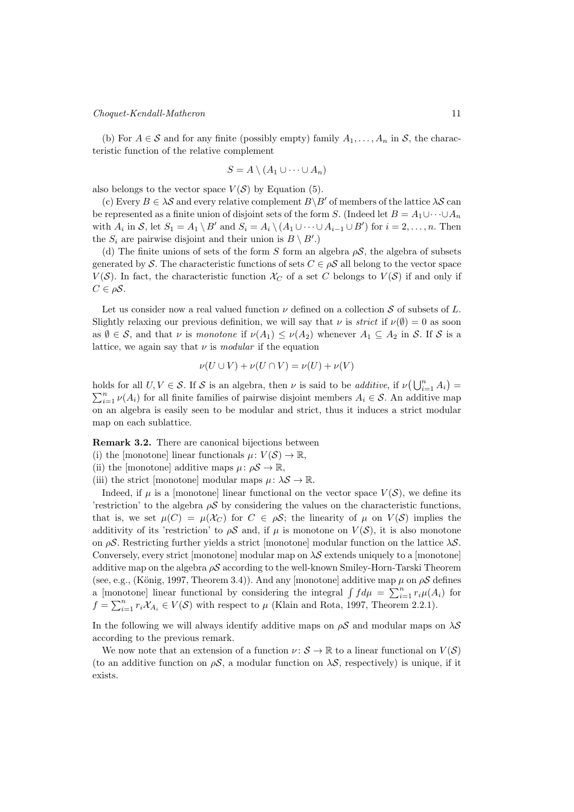## Choquet-Kendall-Matheron 11

(b) For  $A \in \mathcal{S}$  and for any finite (possibly empty) family  $A_1, \ldots, A_n$  in  $\mathcal{S}$ , the characteristic function of the relative complement

$$
S = A \setminus (A_1 \cup \cdots \cup A_n)
$$

also belongs to the vector space  $V(S)$  by Equation (5).

(c) Every  $B \in \lambda S$  and every relative complement  $B \backslash B'$  of members of the lattice  $\lambda S$  can be represented as a finite union of disjoint sets of the form S. (Indeed let  $B = A_1 \cup \cdots \cup A_n$ with  $A_i$  in S, let  $S_1 = A_1 \setminus B'$  and  $S_i = A_i \setminus (A_1 \cup \cdots \cup A_{i-1} \cup B')$  for  $i = 2, \ldots, n$ . Then the  $S_i$  are pairwise disjoint and their union is  $B \setminus B'$ .

(d) The finite unions of sets of the form S form an algebra  $\rho S$ , the algebra of subsets generated by S. The characteristic functions of sets  $C \in \rho S$  all belong to the vector space  $V(S)$ . In fact, the characteristic function  $\mathcal{X}_C$  of a set C belongs to  $V(S)$  if and only if  $C \in \rho S$ .

Let us consider now a real valued function  $\nu$  defined on a collection  $S$  of subsets of  $L$ . Slightly relaxing our previous definition, we will say that  $\nu$  is *strict* if  $\nu(\emptyset) = 0$  as soon as  $\emptyset \in \mathcal{S}$ , and that  $\nu$  is monotone if  $\nu(A_1) \leq \nu(A_2)$  whenever  $A_1 \subseteq A_2$  in  $\mathcal{S}$ . If  $\mathcal{S}$  is a lattice, we again say that  $\nu$  is *modular* if the equation

$$
\nu(U \cup V) + \nu(U \cap V) = \nu(U) + \nu(V)
$$

holds for all  $U, V \in \mathcal{S}$ . If  $\mathcal{S}$  is an algebra, then  $\nu$  is said to be *additive*, if  $\nu(\bigcup_{i=1}^{n} A_i) =$  $\sum_{i=1}^{n} \nu(A_i)$  for all finite families of pairwise disjoint members  $A_i \in \mathcal{S}$ . An additive map on an algebra is easily seen to be modular and strict, thus it induces a strict modular map on each sublattice.

Remark 3.2. There are canonical bijections between

(i) the [monotone] linear functionals  $\mu: V(\mathcal{S}) \to \mathbb{R}$ ,

(ii) the [monotone] additive maps  $\mu: \rho S \to \mathbb{R}$ ,

(iii) the strict [monotone] modular maps  $\mu: \lambda S \to \mathbb{R}$ .

Indeed, if  $\mu$  is a [monotone] linear functional on the vector space  $V(S)$ , we define its 'restriction' to the algebra  $\rho S$  by considering the values on the characteristic functions, that is, we set  $\mu(C) = \mu(\mathcal{X}_C)$  for  $C \in \rho \mathcal{S}$ ; the linearity of  $\mu$  on  $V(\mathcal{S})$  implies the additivity of its 'restriction' to  $\rho S$  and, if  $\mu$  is monotone on  $V(S)$ , it is also monotone on  $\rho S$ . Restricting further yields a strict [monotone] modular function on the lattice  $\lambda S$ . Conversely, every strict [monotone] modular map on  $\lambda S$  extends uniquely to a [monotone] additive map on the algebra  $\rho S$  according to the well-known Smiley-Horn-Tarski Theorem (see, e.g., (König, 1997, Theorem 3.4)). And any [monotone] additive map  $\mu$  on  $\rho S$  defines a [monotone] linear functional by considering the integral  $\int f d\mu = \sum_{i=1}^n r_i \mu(A_i)$  for  $f = \sum_{i=1}^{n} r_i \mathcal{X}_{A_i} \in V(\mathcal{S})$  with respect to  $\mu$  (Klain and Rota, 1997, Theorem 2.2.1).

In the following we will always identify additive maps on  $\rho S$  and modular maps on  $\lambda S$ according to the previous remark.

We now note that an extension of a function  $\nu : \mathcal{S} \to \mathbb{R}$  to a linear functional on  $V(\mathcal{S})$ (to an additive function on  $\rho S$ , a modular function on  $\lambda S$ , respectively) is unique, if it exists.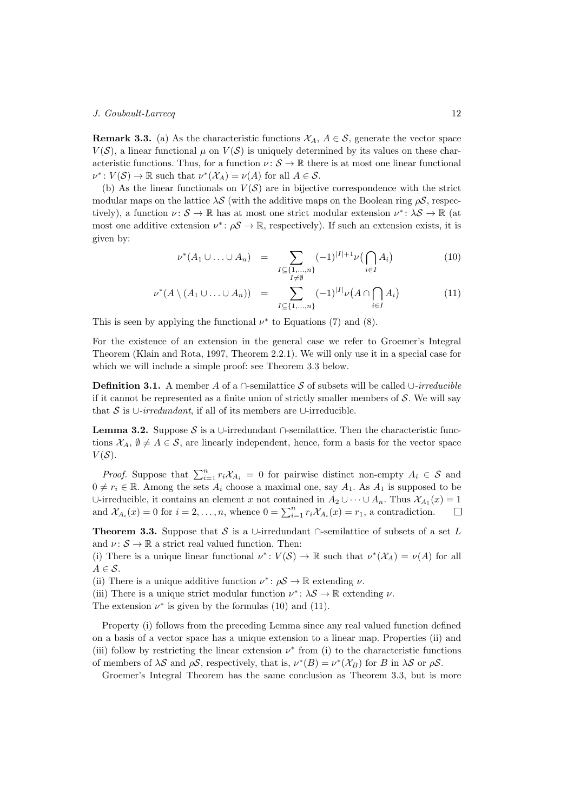**Remark 3.3.** (a) As the characteristic functions  $X_A$ ,  $A \in \mathcal{S}$ , generate the vector space  $V(S)$ , a linear functional  $\mu$  on  $V(S)$  is uniquely determined by its values on these characteristic functions. Thus, for a function  $\nu: \mathcal{S} \to \mathbb{R}$  there is at most one linear functional  $\nu^*: V(\mathcal{S}) \to \mathbb{R}$  such that  $\nu^*(\mathcal{X}_A) = \nu(A)$  for all  $A \in \mathcal{S}$ .

(b) As the linear functionals on  $V(S)$  are in bijective correspondence with the strict modular maps on the lattice  $\lambda S$  (with the additive maps on the Boolean ring  $\rho S$ , respectively), a function  $\nu: \mathcal{S} \to \mathbb{R}$  has at most one strict modular extension  $\nu^*: \lambda \mathcal{S} \to \mathbb{R}$  (at most one additive extension  $\nu^*$ :  $\rho S \to \mathbb{R}$ , respectively). If such an extension exists, it is given by:

$$
\nu^*(A_1 \cup \ldots \cup A_n) = \sum_{\substack{I \subseteq \{1,\ldots,n\} \\ I \neq \emptyset}} (-1)^{|I|+1} \nu(\bigcap_{i \in I} A_i)
$$
(10)

$$
\nu^*(A \setminus (A_1 \cup \ldots \cup A_n)) = \sum_{I \subseteq \{1,\ldots,n\}} (-1)^{|I|} \nu(A \cap \bigcap_{i \in I} A_i)
$$
(11)

This is seen by applying the functional  $\nu^*$  to Equations (7) and (8).

For the existence of an extension in the general case we refer to Groemer's Integral Theorem (Klain and Rota, 1997, Theorem 2.2.1). We will only use it in a special case for which we will include a simple proof: see Theorem 3.3 below.

**Definition 3.1.** A member A of a ∩-semilattice S of subsets will be called ∪-irreducible if it cannot be represented as a finite union of strictly smaller members of  $\mathcal{S}$ . We will say that S is  $\cup$ -irredundant, if all of its members are  $\cup$ -irreducible.

**Lemma 3.2.** Suppose S is a ∪-irredundant ∩-semilattice. Then the characteristic functions  $\mathcal{X}_A, \emptyset \neq A \in \mathcal{S}$ , are linearly independent, hence, form a basis for the vector space  $V(S)$ .

*Proof.* Suppose that  $\sum_{i=1}^{n} r_i \mathcal{X}_{A_i} = 0$  for pairwise distinct non-empty  $A_i \in \mathcal{S}$  and  $0 \neq r_i \in \mathbb{R}$ . Among the sets  $A_i$  choose a maximal one, say  $A_1$ . As  $A_1$  is supposed to be ∪-irreducible, it contains an element x not contained in  $A_2 \cup \cdots \cup A_n$ . Thus  $\mathcal{X}_{A_1}(x) = 1$ and  $\mathcal{X}_{A_i}(x) = 0$  for  $i = 2, \ldots, n$ , whence  $0 = \sum_{i=1}^n r_i \mathcal{X}_{A_i}(x) = r_1$ , a contradiction.  $\Box$ 

**Theorem 3.3.** Suppose that S is a ∪-irredundant  $\cap$ -semilattice of subsets of a set L and  $\nu: \mathcal{S} \to \mathbb{R}$  a strict real valued function. Then:

(i) There is a unique linear functional  $\nu^*: V(\mathcal{S}) \to \mathbb{R}$  such that  $\nu^*(\mathcal{X}_A) = \nu(A)$  for all  $A \in \mathcal{S}$ .

(ii) There is a unique additive function  $\nu^* \colon \rho S \to \mathbb{R}$  extending  $\nu$ .

(iii) There is a unique strict modular function  $\nu^*$ :  $\lambda S \to \mathbb{R}$  extending  $\nu$ .

The extension  $\nu^*$  is given by the formulas (10) and (11).

Property (i) follows from the preceding Lemma since any real valued function defined on a basis of a vector space has a unique extension to a linear map. Properties (ii) and (iii) follow by restricting the linear extension  $\nu^*$  from (i) to the characteristic functions of members of  $\lambda S$  and  $\rho S$ , respectively, that is,  $\nu^*(B) = \nu^*(\mathcal{X}_B)$  for B in  $\lambda S$  or  $\rho S$ .

Groemer's Integral Theorem has the same conclusion as Theorem 3.3, but is more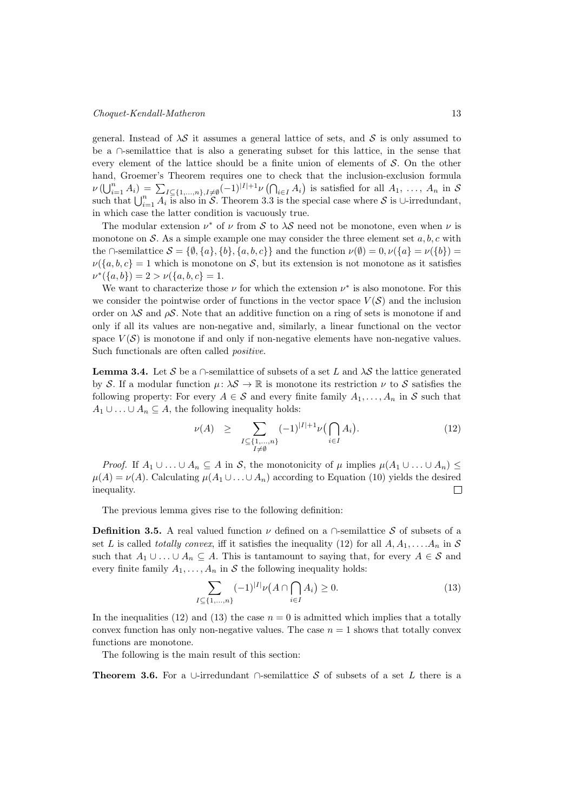general. Instead of  $\lambda S$  it assumes a general lattice of sets, and S is only assumed to be a ∩-semilattice that is also a generating subset for this lattice, in the sense that every element of the lattice should be a finite union of elements of  $\mathcal{S}$ . On the other hand, Groemer's Theorem requires one to check that the inclusion-exclusion formula  $\nu(\bigcup_{i=1}^n A_i) = \sum_{I \subseteq \{1,\ldots,n\}, I \neq \emptyset} (-1)^{|I|+1} \nu(\bigcap_{i \in I} A_i)$  is satisfied for all  $A_1, \ldots, A_n$  in S such that  $\bigcup_{i=1}^n A_i$  is also in S. Theorem 3.3 is the special case where S is ∪-irredundant, in which case the latter condition is vacuously true.

The modular extension  $\nu^*$  of  $\nu$  from S to  $\lambda S$  need not be monotone, even when  $\nu$  is monotone on  $\mathcal S$ . As a simple example one may consider the three element set  $a, b, c$  with the ∩-semilattice  $\mathcal{S} = \{\emptyset, \{a\}, \{b\}, \{a, b, c\}\}\$ and the function  $\nu(\emptyset) = 0, \nu(\{a\} = \nu(\{b\}) = 0\)$  $\nu({a,b,c}=1$  which is monotone on S, but its extension is not monotone as it satisfies  $\nu^*(\{a, b\}) = 2 > \nu(\{a, b, c\}) = 1.$ 

We want to characterize those  $\nu$  for which the extension  $\nu^*$  is also monotone. For this we consider the pointwise order of functions in the vector space  $V(S)$  and the inclusion order on  $\lambda S$  and  $\rho S$ . Note that an additive function on a ring of sets is monotone if and only if all its values are non-negative and, similarly, a linear functional on the vector space  $V(S)$  is monotone if and only if non-negative elements have non-negative values. Such functionals are often called *positive*.

**Lemma 3.4.** Let S be a ∩-semilattice of subsets of a set L and  $\lambda S$  the lattice generated by S. If a modular function  $\mu: \lambda S \to \mathbb{R}$  is monotone its restriction  $\nu$  to S satisfies the following property: For every  $A \in \mathcal{S}$  and every finite family  $A_1, \ldots, A_n$  in  $\mathcal{S}$  such that  $A_1 \cup \ldots \cup A_n \subseteq A$ , the following inequality holds:

$$
\nu(A) \geq \sum_{\substack{I \subseteq \{1,\ldots,n\} \\ I \neq \emptyset}} (-1)^{|I|+1} \nu\left(\bigcap_{i \in I} A_i\right). \tag{12}
$$

*Proof.* If  $A_1 \cup \ldots \cup A_n \subseteq A$  in S, the monotonicity of  $\mu$  implies  $\mu(A_1 \cup \ldots \cup A_n) \leq$  $\mu(A) = \nu(A)$ . Calculating  $\mu(A_1 \cup \ldots \cup A_n)$  according to Equation (10) yields the desired inequality.  $\Box$ 

The previous lemma gives rise to the following definition:

**Definition 3.5.** A real valued function  $\nu$  defined on a  $\cap$ -semilattice S of subsets of a set L is called totally convex, iff it satisfies the inequality (12) for all  $A, A_1, \ldots, A_n$  in S such that  $A_1 \cup ... \cup A_n \subseteq A$ . This is tantamount to saying that, for every  $A \in \mathcal{S}$  and every finite family  $A_1, \ldots, A_n$  in S the following inequality holds:

$$
\sum_{I \subseteq \{1,\dots,n\}} (-1)^{|I|} \nu(A \cap \bigcap_{i \in I} A_i) \ge 0.
$$
 (13)

In the inequalities (12) and (13) the case  $n = 0$  is admitted which implies that a totally convex function has only non-negative values. The case  $n = 1$  shows that totally convex functions are monotone.

The following is the main result of this section:

**Theorem 3.6.** For a ∪-irredundant  $\cap$ -semilattice S of subsets of a set L there is a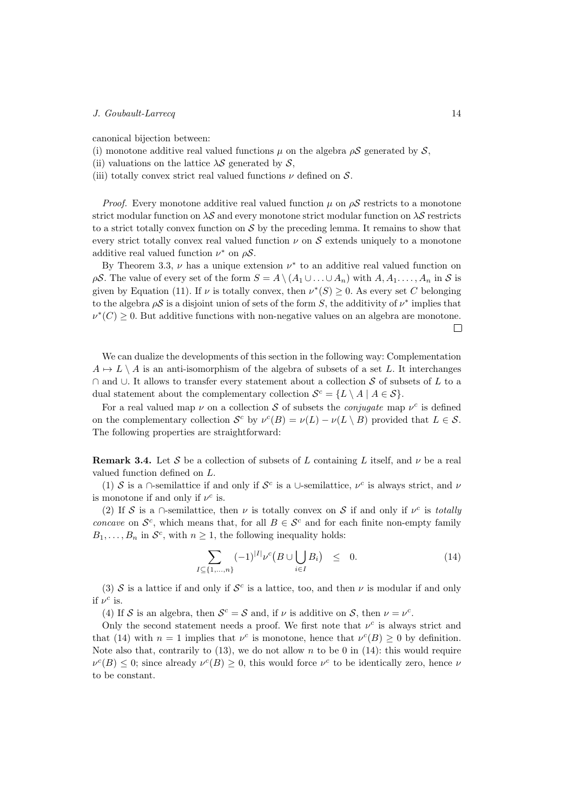canonical bijection between:

- (i) monotone additive real valued functions  $\mu$  on the algebra  $\rho S$  generated by  $S$ ,
- (ii) valuations on the lattice  $\lambda S$  generated by  $S$ ,
- (iii) totally convex strict real valued functions  $\nu$  defined on  $\mathcal{S}$ .

*Proof.* Every monotone additive real valued function  $\mu$  on  $\rho S$  restricts to a monotone strict modular function on  $\lambda S$  and every monotone strict modular function on  $\lambda S$  restricts to a strict totally convex function on  $\mathcal S$  by the preceding lemma. It remains to show that every strict totally convex real valued function  $\nu$  on  $\mathcal S$  extends uniquely to a monotone additive real valued function  $\nu^*$  on  $\rho S$ .

By Theorem 3.3,  $\nu$  has a unique extension  $\nu^*$  to an additive real valued function on  $\rho S$ . The value of every set of the form  $S = A \setminus (A_1 \cup \ldots \cup A_n)$  with  $A, A_1, \ldots, A_n$  in S is given by Equation (11). If  $\nu$  is totally convex, then  $\nu^*(S) \geq 0$ . As every set C belonging to the algebra  $\rho S$  is a disjoint union of sets of the form S, the additivity of  $\nu^*$  implies that  $\nu^*(C) \geq 0$ . But additive functions with non-negative values on an algebra are monotone.  $\Box$ 

We can dualize the developments of this section in the following way: Complementation  $A \mapsto L \setminus A$  is an anti-isomorphism of the algebra of subsets of a set L. It interchanges ∩ and ∪. It allows to transfer every statement about a collection S of subsets of L to a dual statement about the complementary collection  $\mathcal{S}^c = \{ L \setminus A \mid A \in \mathcal{S} \}.$ 

For a real valued map  $\nu$  on a collection S of subsets the *conjugate* map  $\nu^c$  is defined on the complementary collection  $S^c$  by  $\nu^c(B) = \nu(L) - \nu(L \setminus B)$  provided that  $L \in S$ . The following properties are straightforward:

**Remark 3.4.** Let S be a collection of subsets of L containing L itself, and  $\nu$  be a real valued function defined on  $L$ .

(1) S is a ∩-semilattice if and only if  $S^c$  is a ∪-semilattice,  $\nu^c$  is always strict, and  $\nu$ is monotone if and only if  $\nu^c$  is.

(2) If S is a ∩-semilattice, then  $\nu$  is totally convex on S if and only if  $\nu^c$  is totally concave on  $\mathcal{S}^c$ , which means that, for all  $B \in \mathcal{S}^c$  and for each finite non-empty family  $B_1, \ldots, B_n$  in  $\mathcal{S}^c$ , with  $n \geq 1$ , the following inequality holds:

$$
\sum_{I \subseteq \{1,\dots,n\}} (-1)^{|I|} \nu^{c} (B \cup \bigcup_{i \in I} B_i) \leq 0. \tag{14}
$$

(3)  $\mathcal S$  is a lattice if and only if  $\mathcal S^c$  is a lattice, too, and then  $\nu$  is modular if and only if  $\nu^c$  is.

(4) If S is an algebra, then  $S^c = S$  and, if  $\nu$  is additive on S, then  $\nu = \nu^c$ .

Only the second statement needs a proof. We first note that  $\nu^c$  is always strict and that (14) with  $n = 1$  implies that  $\nu^{c}$  is monotone, hence that  $\nu^{c}(B) \geq 0$  by definition. Note also that, contrarily to  $(13)$ , we do not allow n to be 0 in  $(14)$ : this would require  $\nu^{c}(B) \leq 0$ ; since already  $\nu^{c}(B) \geq 0$ , this would force  $\nu^{c}$  to be identically zero, hence  $\nu$ to be constant.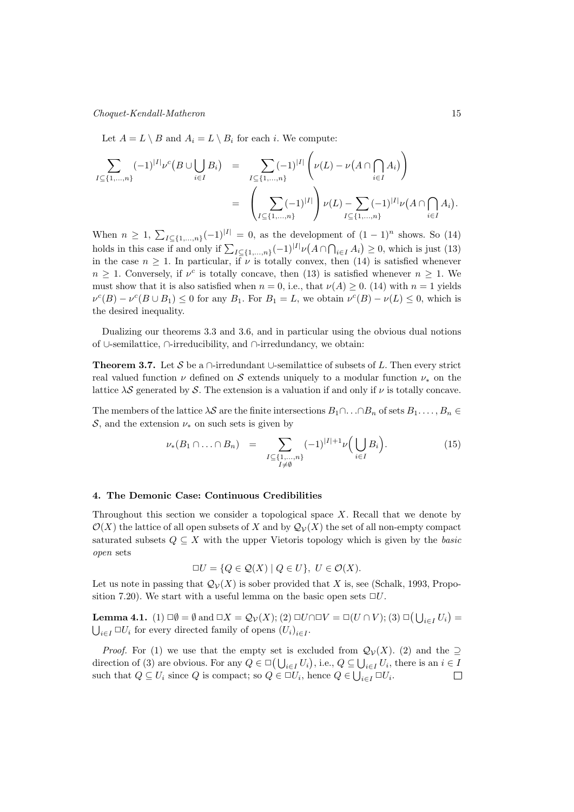Let  $A = L \setminus B$  and  $A_i = L \setminus B_i$  for each *i*. We compute:

$$
\sum_{I \subseteq \{1,\ldots,n\}} (-1)^{|I|} \nu^{c} (B \cup \bigcup_{i \in I} B_{i}) = \sum_{I \subseteq \{1,\ldots,n\}} (-1)^{|I|} \left( \nu(L) - \nu(A \cap \bigcap_{i \in I} A_{i}) \right)
$$
  

$$
= \left( \sum_{I \subseteq \{1,\ldots,n\}} (-1)^{|I|} \right) \nu(L) - \sum_{I \subseteq \{1,\ldots,n\}} (-1)^{|I|} \nu(A \cap \bigcap_{i \in I} A_{i}).
$$

When  $n \geq 1$ ,  $\sum_{I \subseteq \{1,\ldots,n\}} (-1)^{|I|} = 0$ , as the development of  $(1-1)^n$  shows. So  $(14)$ holds in this case if and only if  $\sum_{I \subseteq \{1,\ldots,n\}} (-1)^{|I|} \nu(A \cap \bigcap_{i \in I} A_i) \geq 0$ , which is just (13) in the case  $n \geq 1$ . In particular, if  $\nu$  is totally convex, then (14) is satisfied whenever  $n \geq 1$ . Conversely, if  $\nu^c$  is totally concave, then (13) is satisfied whenever  $n \geq 1$ . We must show that it is also satisfied when  $n = 0$ , i.e., that  $\nu(A) \geq 0$ . (14) with  $n = 1$  yields  $\nu^{c}(B) - \nu^{c}(B \cup B_1) \leq 0$  for any  $B_1$ . For  $B_1 = L$ , we obtain  $\nu^{c}(B) - \nu(L) \leq 0$ , which is the desired inequality.

Dualizing our theorems 3.3 and 3.6, and in particular using the obvious dual notions of ∪-semilattice, ∩-irreducibility, and ∩-irredundancy, we obtain:

**Theorem 3.7.** Let S be a ∩-irredundant ∪-semilattice of subsets of L. Then every strict real valued function  $\nu$  defined on S extends uniquely to a modular function  $\nu_*$  on the lattice  $\lambda S$  generated by S. The extension is a valuation if and only if  $\nu$  is totally concave.

The members of the lattice  $\lambda S$  are the finite intersections  $B_1 \cap \ldots \cap B_n$  of sets  $B_1 \ldots, B_n \in$ S, and the extension  $\nu_*$  on such sets is given by

$$
\nu_*(B_1 \cap \ldots \cap B_n) = \sum_{\substack{I \subseteq \{1,\ldots,n\} \\ I \neq \emptyset}} (-1)^{|I|+1} \nu\Big(\bigcup_{i \in I} B_i\Big). \tag{15}
$$

## 4. The Demonic Case: Continuous Credibilities

Throughout this section we consider a topological space  $X$ . Recall that we denote by  $\mathcal{O}(X)$  the lattice of all open subsets of X and by  $\mathcal{Q}_V(X)$  the set of all non-empty compact saturated subsets  $Q \subseteq X$  with the upper Vietoris topology which is given by the *basic* open sets

$$
\Box U = \{ Q \in \mathcal{Q}(X) \mid Q \in U \}, \ U \in \mathcal{O}(X).
$$

Let us note in passing that  $\mathcal{Q}_{\mathcal{V}}(X)$  is sober provided that X is, see (Schalk, 1993, Proposition 7.20). We start with a useful lemma on the basic open sets  $\Box U$ .

**Lemma 4.1.** (1)  $\Box \emptyset = \emptyset$  and  $\Box X = \mathcal{Q}_{\mathcal{V}}(X);$  (2)  $\Box U \cap \Box V = \Box (U \cap V);$  (3)  $\Box (\bigcup_{i \in I} U_i) =$  $\bigcup_{i \in I} \Box U_i$  for every directed family of opens  $(U_i)_{i \in I}$ .

*Proof.* For (1) we use that the empty set is excluded from  $\mathcal{Q}_{\mathcal{V}}(X)$ . (2) and the  $\supseteq$ direction of (3) are obvious. For any  $Q \in \Box$  ( $\bigcup_{i \in I} U_i$ ), i.e.,  $Q \subseteq \bigcup_{i \in I} U_i$ , there is an  $i \in I$ such that  $Q \subseteq U_i$  since  $Q$  is compact; so  $Q \in \Box U_i$ , hence  $Q \in \bigcup_{i \in I} \Box U_i$ .  $\Box$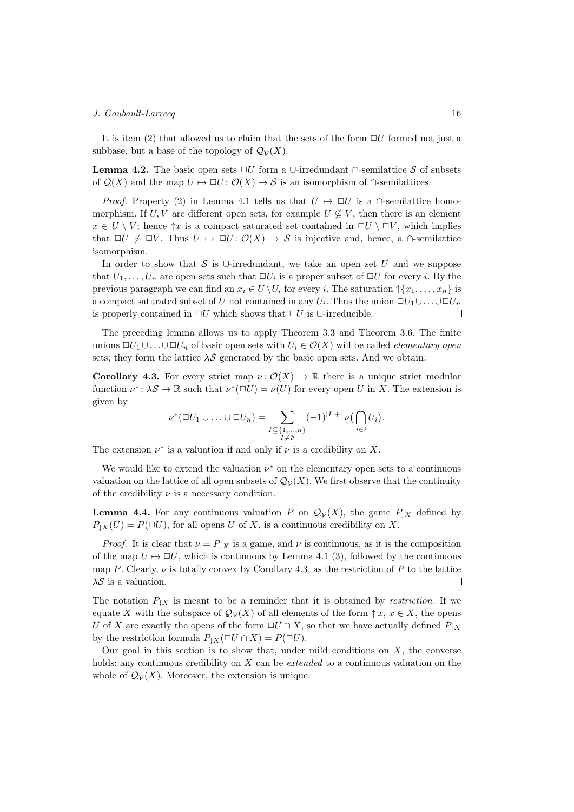It is item (2) that allowed us to claim that the sets of the form  $\Box U$  formed not just a subbase, but a base of the topology of  $\mathcal{Q}_{\mathcal{V}}(X)$ .

**Lemma 4.2.** The basic open sets  $\Box U$  form a ∪-irredundant  $\cap$ -semilattice S of subsets of  $\mathcal{Q}(X)$  and the map  $U \mapsto \Box U : \mathcal{O}(X) \to \mathcal{S}$  is an isomorphism of  $\cap$ -semilattices.

*Proof.* Property (2) in Lemma 4.1 tells us that  $U \mapsto \Box U$  is a  $\cap$ -semilattice homomorphism. If  $U, V$  are different open sets, for example  $U \nsubseteq V$ , then there is an element  $x \in U \setminus V$ ; hence  $\uparrow x$  is a compact saturated set contained in  $\Box U \setminus \Box V$ , which implies that  $\Box U \neq \Box V$ . Thus  $U \mapsto \Box U : \mathcal{O}(X) \to \mathcal{S}$  is injective and, hence, a  $\cap$ -semilattice isomorphism.

In order to show that S is ∪-irredundant, we take an open set U and we suppose that  $U_1, \ldots, U_n$  are open sets such that  $\Box U_i$  is a proper subset of  $\Box U$  for every *i*. By the previous paragraph we can find an  $x_i \in U \setminus U_i$  for every *i*. The saturation  $\uparrow \{x_1, \ldots, x_n\}$  is a compact saturated subset of U not contained in any  $U_i$ . Thus the union  $\Box U_1 \cup \ldots \cup \Box U_n$ is properly contained in  $\Box U$  which shows that  $\Box U$  is ∪-irreducible.  $\Box$ 

The preceding lemma allows us to apply Theorem 3.3 and Theorem 3.6. The finite unions  $\Box U_1 \cup \ldots \cup \Box U_n$  of basic open sets with  $U_i \in \mathcal{O}(X)$  will be called *elementary open* sets; they form the lattice  $\lambda S$  generated by the basic open sets. And we obtain:

Corollary 4.3. For every strict map  $\nu: \mathcal{O}(X) \to \mathbb{R}$  there is a unique strict modular function  $\nu^* \colon \lambda S \to \mathbb{R}$  such that  $\nu^*(\square U) = \nu(U)$  for every open U in X. The extension is given by

$$
\nu^*(\Box U_1 \cup \ldots \cup \Box U_n) = \sum_{\substack{I \subseteq \{1,\ldots,n\} \\ I \neq \emptyset}} (-1)^{|I|+1} \nu(\bigcap_{i \in i} U_i).
$$

The extension  $\nu^*$  is a valuation if and only if  $\nu$  is a credibility on X.

We would like to extend the valuation  $\nu^*$  on the elementary open sets to a continuous valuation on the lattice of all open subsets of  $\mathcal{Q}_{\mathcal{V}}(X)$ . We first observe that the continuity of the credibility  $\nu$  is a necessary condition.

**Lemma 4.4.** For any continuous valuation P on  $\mathcal{Q}_{\mathcal{V}}(X)$ , the game  $P_{|X}$  defined by  $P_{\downarrow X}(U) = P(\square U)$ , for all opens U of X, is a continuous credibility on X.

*Proof.* It is clear that  $\nu = P_{\vert X}$  is a game, and  $\nu$  is continuous, as it is the composition of the map  $U \mapsto \Box U$ , which is continuous by Lemma 4.1 (3), followed by the continuous map P. Clearly,  $\nu$  is totally convex by Corollary 4.3, as the restriction of P to the lattice  $\lambda S$  is a valuation.  $\Box$ 

The notation  $P_{|X}$  is meant to be a reminder that it is obtained by *restriction*. If we equate X with the subspace of  $\mathcal{Q}_{\mathcal{V}}(X)$  of all elements of the form  $\uparrow x, x \in X$ , the opens U of X are exactly the opens of the form  $\Box U \cap X$ , so that we have actually defined  $P_{\vert X}$ by the restriction formula  $P_{|X}(\Box U \cap X) = P(\Box U)$ .

Our goal in this section is to show that, under mild conditions on  $X$ , the converse holds: any continuous credibility on  $X$  can be *extended* to a continuous valuation on the whole of  $\mathcal{Q}_{\mathcal{V}}(X)$ . Moreover, the extension is unique.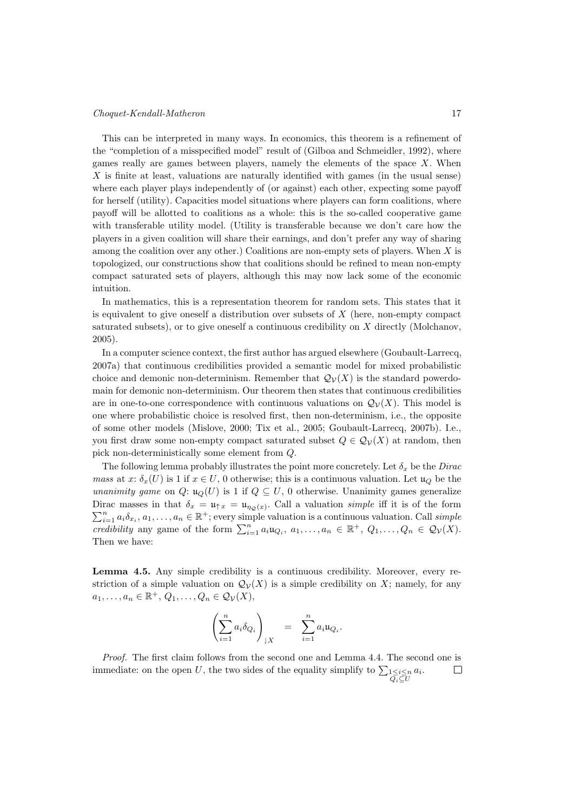#### Choquet-Kendall-Matheron 17

This can be interpreted in many ways. In economics, this theorem is a refinement of the "completion of a misspecified model" result of (Gilboa and Schmeidler, 1992), where games really are games between players, namely the elements of the space  $X$ . When  $X$  is finite at least, valuations are naturally identified with games (in the usual sense) where each player plays independently of (or against) each other, expecting some payoff for herself (utility). Capacities model situations where players can form coalitions, where payoff will be allotted to coalitions as a whole: this is the so-called cooperative game with transferable utility model. (Utility is transferable because we don't care how the players in a given coalition will share their earnings, and don't prefer any way of sharing among the coalition over any other.) Coalitions are non-empty sets of players. When  $X$  is topologized, our constructions show that coalitions should be refined to mean non-empty compact saturated sets of players, although this may now lack some of the economic intuition.

In mathematics, this is a representation theorem for random sets. This states that it is equivalent to give oneself a distribution over subsets of  $X$  (here, non-empty compact saturated subsets), or to give oneself a continuous credibility on  $X$  directly (Molchanov, 2005).

In a computer science context, the first author has argued elsewhere (Goubault-Larrecq, 2007a) that continuous credibilities provided a semantic model for mixed probabilistic choice and demonic non-determinism. Remember that  $\mathcal{Q}_{\mathcal{V}}(X)$  is the standard powerdomain for demonic non-determinism. Our theorem then states that continuous credibilities are in one-to-one correspondence with continuous valuations on  $\mathcal{Q}_{\mathcal{V}}(X)$ . This model is one where probabilistic choice is resolved first, then non-determinism, i.e., the opposite of some other models (Mislove, 2000; Tix et al., 2005; Goubault-Larrecq, 2007b). I.e., you first draw some non-empty compact saturated subset  $Q \in \mathcal{Q}_{\mathcal{V}}(X)$  at random, then pick non-deterministically some element from  $Q$ .

The following lemma probably illustrates the point more concretely. Let  $\delta_x$  be the Dirac mass at x:  $\delta_x(U)$  is 1 if  $x \in U$ , 0 otherwise; this is a continuous valuation. Let  $\mathfrak{u}_Q$  be the unanimity game on Q:  $\mathfrak{u}_Q(U)$  is 1 if  $Q \subseteq U$ , 0 otherwise. Unanimity games generalize Dirac masses in that  $\delta_x = \mathfrak{u}_{\uparrow x} = \mathfrak{u}_{\eta_{\mathcal{Q}}(x)}$ . Call a valuation *simple* iff it is of the form  $\sum_{i=1}^{n} a_i \delta_{x_i}, a_1, \ldots, a_n \in \mathbb{R}^+$ ; every simple valuation is a continuous valuation. Call simple credibility any game of the form  $\sum_{i=1}^n a_i u_{Q_i}, a_1, \ldots, a_n \in \mathbb{R}^+$ ,  $Q_1, \ldots, Q_n \in \mathcal{Q}_\mathcal{V}(X)$ . Then we have:

Lemma 4.5. Any simple credibility is a continuous credibility. Moreover, every restriction of a simple valuation on  $\mathcal{Q}_{\mathcal{V}}(X)$  is a simple credibility on X; namely, for any  $a_1, \ldots, a_n \in \mathbb{R}^+, Q_1, \ldots, Q_n \in \mathcal{Q}_\mathcal{V}(X),$ 

$$
\left(\sum_{i=1}^n a_i \delta_{Q_i}\right)_{|X} = \sum_{i=1}^n a_i \mathfrak{u}_{Q_i}.
$$

Proof. The first claim follows from the second one and Lemma 4.4. The second one is immediate: on the open U, the two sides of the equality simplify to  $\sum_{1 \leq i \leq n} a_i$ .  $\Box$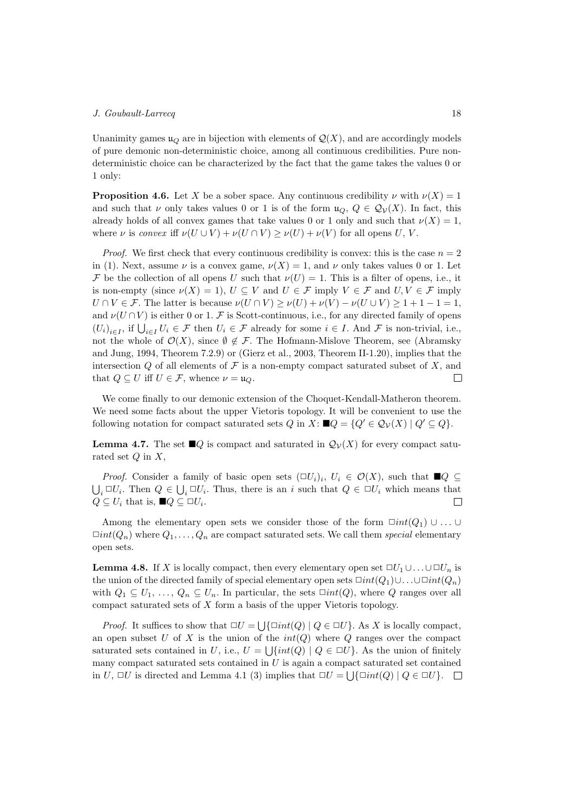Unanimity games  $u_Q$  are in bijection with elements of  $\mathcal{Q}(X)$ , and are accordingly models of pure demonic non-deterministic choice, among all continuous credibilities. Pure nondeterministic choice can be characterized by the fact that the game takes the values 0 or 1 only:

**Proposition 4.6.** Let X be a sober space. Any continuous credibility  $\nu$  with  $\nu(X) = 1$ and such that  $\nu$  only takes values 0 or 1 is of the form  $u_Q, Q \in \mathcal{Q}_\mathcal{V}(X)$ . In fact, this already holds of all convex games that take values 0 or 1 only and such that  $\nu(X) = 1$ , where  $\nu$  is convex iff  $\nu(U \cup V) + \nu(U \cap V) \geq \nu(U) + \nu(V)$  for all opens U, V.

*Proof.* We first check that every continuous credibility is convex: this is the case  $n = 2$ in (1). Next, assume  $\nu$  is a convex game,  $\nu(X) = 1$ , and  $\nu$  only takes values 0 or 1. Let  $\mathcal F$  be the collection of all opens U such that  $\nu(U) = 1$ . This is a filter of opens, i.e., it is non-empty (since  $\nu(X) = 1$ ),  $U \subset V$  and  $U \in \mathcal{F}$  imply  $V \in \mathcal{F}$  and  $U, V \in \mathcal{F}$  imply  $U \cap V \in \mathcal{F}$ . The latter is because  $\nu(U \cap V) > \nu(U) + \nu(V) - \nu(U \cup V) > 1 + 1 - 1 = 1$ , and  $\nu(U \cap V)$  is either 0 or 1. F is Scott-continuous, i.e., for any directed family of opens  $(U_i)_{i \in I}$ , if  $\bigcup_{i \in I} U_i \in \mathcal{F}$  then  $U_i \in \mathcal{F}$  already for some  $i \in I$ . And  $\mathcal{F}$  is non-trivial, i.e., not the whole of  $\mathcal{O}(X)$ , since  $\emptyset \notin \mathcal{F}$ . The Hofmann-Mislove Theorem, see (Abramsky and Jung, 1994, Theorem 7.2.9) or (Gierz et al., 2003, Theorem II-1.20), implies that the intersection  $Q$  of all elements of  $\mathcal F$  is a non-empty compact saturated subset of  $X$ , and that  $Q \subseteq U$  iff  $U \in \mathcal{F}$ , whence  $\nu = \mathfrak{u}_Q$ .  $\Box$ 

We come finally to our demonic extension of the Choquet-Kendall-Matheron theorem. We need some facts about the upper Vietoris topology. It will be convenient to use the following notation for compact saturated sets  $Q$  in  $X: \blacksquare Q = \{Q' \in \mathcal{Q}_\mathcal{V}(X) \mid Q' \subseteq Q\}.$ 

**Lemma 4.7.** The set  $\Box Q$  is compact and saturated in  $Q_{\mathcal{V}}(X)$  for every compact saturated set  $Q$  in  $X$ ,

*Proof.* Consider a family of basic open sets  $(\Box U_i)_i$ ,  $U_i \in \mathcal{O}(X)$ , such that  $\blacksquare Q \subseteq$  $\bigcup_i \Box U_i$ . Then  $Q \in \bigcup_i \Box U_i$ . Thus, there is an i such that  $Q \in \Box U_i$  which means that  $Q \subseteq U_i$  that is,  $\blacksquare Q \subseteq \square U_i$ .  $\Box$ 

Among the elementary open sets we consider those of the form  $\Box int(Q_1) \cup \ldots \cup$  $\Box int(Q_n)$  where  $Q_1, \ldots, Q_n$  are compact saturated sets. We call them special elementary open sets.

**Lemma 4.8.** If X is locally compact, then every elementary open set  $\Box U_1 \cup \ldots \cup \Box U_n$  is the union of the directed family of special elementary open sets  $\Box int(Q_1) \cup \Box int(Q_n)$ with  $Q_1 \subseteq U_1, \ldots, Q_n \subseteq U_n$ . In particular, the sets  $\Box int(Q)$ , where Q ranges over all compact saturated sets of  $X$  form a basis of the upper Vietoris topology.

*Proof.* It suffices to show that  $\Box U = \bigcup \{\Box int(Q) \mid Q \in \Box U\}$ . As X is locally compact, an open subset U of X is the union of the  $int(Q)$  where Q ranges over the compact saturated sets contained in U, i.e.,  $U = \bigcup \{ int(Q) \mid Q \in \Box U \}$ . As the union of finitely many compact saturated sets contained in  $U$  is again a compact saturated set contained in  $U$ ,  $\Box U$  is directed and Lemma 4.1 (3) implies that  $\Box U = \bigcup \{ \Box int(Q) \mid Q \in \Box U \}.$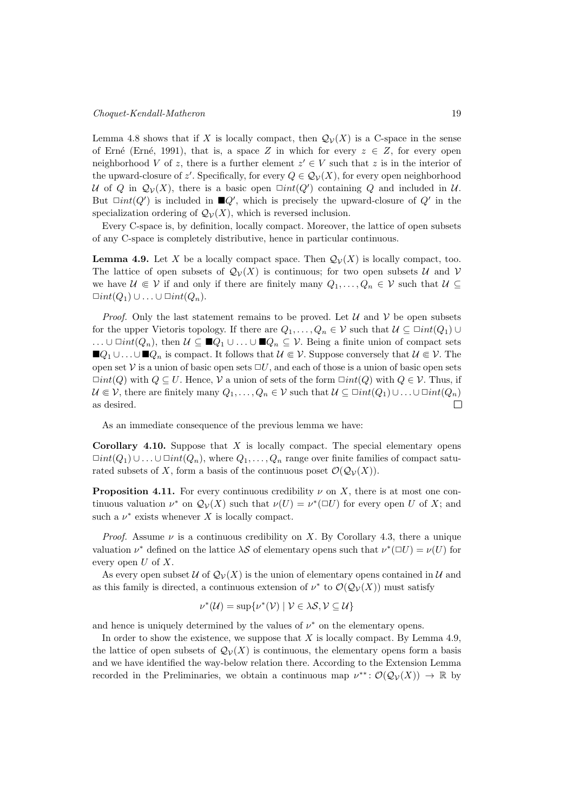Lemma 4.8 shows that if X is locally compact, then  $\mathcal{Q}_{\mathcal{V}}(X)$  is a C-space in the sense of Erné (Erné, 1991), that is, a space Z in which for every  $z \in Z$ , for every open neighborhood V of z, there is a further element  $z' \in V$  such that z is in the interior of the upward-closure of  $z'$ . Specifically, for every  $Q \in \mathcal{Q}_{\mathcal{V}}(X)$ , for every open neighborhood U of Q in  $\mathcal{Q}_{\mathcal{V}}(X)$ , there is a basic open  $\Box int(Q')$  containing Q and included in U. But  $\Box int(Q')$  is included in  $\Box Q'$ , which is precisely the upward-closure of  $Q'$  in the specialization ordering of  $\mathcal{Q}_{\mathcal{V}}(X)$ , which is reversed inclusion.

Every C-space is, by definition, locally compact. Moreover, the lattice of open subsets of any C-space is completely distributive, hence in particular continuous.

**Lemma 4.9.** Let X be a locally compact space. Then  $\mathcal{Q}_{\mathcal{V}}(X)$  is locally compact, too. The lattice of open subsets of  $\mathcal{Q}_{\mathcal{V}}(X)$  is continuous; for two open subsets  $\mathcal{U}$  and  $\mathcal{V}$ we have  $\mathcal{U} \in \mathcal{V}$  if and only if there are finitely many  $Q_1, \ldots, Q_n \in \mathcal{V}$  such that  $\mathcal{U} \subseteq$  $\Box int(Q_1) \cup \ldots \cup \Box int(Q_n).$ 

*Proof.* Only the last statement remains to be proved. Let  $\mathcal{U}$  and  $\mathcal{V}$  be open subsets for the upper Vietoris topology. If there are  $Q_1, \ldots, Q_n \in \mathcal{V}$  such that  $\mathcal{U} \subseteq \Box int(Q_1) \cup$ ... ∪  $\Box int(Q_n)$ , then  $\mathcal{U} \subseteq \blacksquare Q_1 \cup \ldots \cup \blacksquare Q_n \subseteq \mathcal{V}$ . Being a finite union of compact sets  $\blacksquare Q_1 \cup \ldots \cup \blacksquare Q_n$  is compact. It follows that  $\mathcal{U} \Subset \mathcal{V}$ . Suppose conversely that  $\mathcal{U} \Subset \mathcal{V}$ . The open set  $\mathcal V$  is a union of basic open sets  $\Box U$ , and each of those is a union of basic open sets  $\Box int(Q)$  with  $Q \subseteq U$ . Hence,  $V$  a union of sets of the form  $\Box int(Q)$  with  $Q \in V$ . Thus, if  $\mathcal{U} \in \mathcal{V}$ , there are finitely many  $Q_1, \ldots, Q_n \in \mathcal{V}$  such that  $\mathcal{U} \subseteq \text{Cint}(Q_1) \cup \ldots \cup \text{Cint}(Q_n)$ as desired.  $\Box$ 

As an immediate consequence of the previous lemma we have:

**Corollary 4.10.** Suppose that  $X$  is locally compact. The special elementary opens  $\Box int(Q_1) \cup \Box int(Q_n)$ , where  $Q_1, \ldots, Q_n$  range over finite families of compact saturated subsets of X, form a basis of the continuous poset  $\mathcal{O}(\mathcal{Q}_{\mathcal{V}}(X)).$ 

**Proposition 4.11.** For every continuous credibility  $\nu$  on X, there is at most one continuous valuation  $\nu^*$  on  $\mathcal{Q}_{\mathcal{V}}(X)$  such that  $\nu(U) = \nu^*(\square U)$  for every open U of X; and such a  $\nu^*$  exists whenever X is locally compact.

*Proof.* Assume  $\nu$  is a continuous credibility on X. By Corollary 4.3, there a unique valuation  $\nu^*$  defined on the lattice  $\lambda S$  of elementary opens such that  $\nu^*(\Box U) = \nu(U)$  for every open  $U$  of  $X$ .

As every open subset  $\mathcal U$  of  $\mathcal Q_{\mathcal V}(X)$  is the union of elementary opens contained in  $\mathcal U$  and as this family is directed, a continuous extension of  $\nu^*$  to  $\mathcal{O}(\mathcal{Q}_{\mathcal{V}}(X))$  must satisfy

$$
\nu^*(\mathcal{U}) = \sup \{ \nu^*(\mathcal{V}) \mid \mathcal{V} \in \lambda \mathcal{S}, \mathcal{V} \subseteq \mathcal{U} \}
$$

and hence is uniquely determined by the values of  $\nu^*$  on the elementary opens.

In order to show the existence, we suppose that  $X$  is locally compact. By Lemma 4.9, the lattice of open subsets of  $\mathcal{Q}_{\mathcal{V}}(X)$  is continuous, the elementary opens form a basis and we have identified the way-below relation there. According to the Extension Lemma recorded in the Preliminaries, we obtain a continuous map  $\nu^{**} : \mathcal{O}(\mathcal{Q}_{\mathcal{V}}(X)) \to \mathbb{R}$  by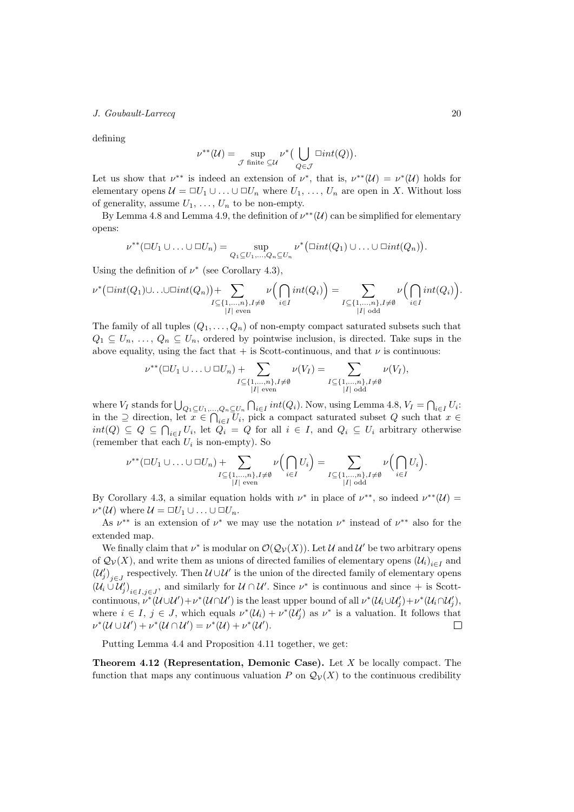defining

$$
\nu^{**}(\mathcal{U})=\sup_{\mathcal{J} \text{ finite }\subseteq \mathcal{U}} \nu^*\big(\bigcup_{Q\in \mathcal{J}} \square int(Q)\big).
$$

Let us show that  $\nu^{**}$  is indeed an extension of  $\nu^*$ , that is,  $\nu^{**}(\mathcal{U}) = \nu^*(\mathcal{U})$  holds for elementary opens  $\mathcal{U} = \Box U_1 \cup \ldots \cup \Box U_n$  where  $U_1, \ldots, U_n$  are open in X. Without loss of generality, assume  $U_1, \ldots, U_n$  to be non-empty.

By Lemma 4.8 and Lemma 4.9, the definition of  $\nu^{**}(\mathcal{U})$  can be simplified for elementary opens:

$$
\nu^{**}(\Box U_1 \cup \ldots \cup \Box U_n) = \sup_{Q_1 \subseteq U_1, \ldots, Q_n \subseteq U_n} \nu^* \bigl( \Box int(Q_1) \cup \ldots \cup \Box int(Q_n) \bigr).
$$

Using the definition of  $\nu^*$  (see Corollary 4.3),

$$
\nu^* \big(\Box int(Q_1) \cup \ldots \cup \Box int(Q_n)\big) + \sum_{\substack{I \subseteq \{1,\ldots,n\}, I \neq \emptyset \\ |I| \text{ even}}} \nu\Big(\bigcap_{i \in I} int(Q_i)\Big) = \sum_{\substack{I \subseteq \{1,\ldots,n\}, I \neq \emptyset \\ |I| \text{ odd}}} \nu\Big(\bigcap_{i \in I} int(Q_i)\Big).
$$

The family of all tuples  $(Q_1, \ldots, Q_n)$  of non-empty compact saturated subsets such that  $Q_1 \subseteq U_n, \ldots, Q_n \subseteq U_n$ , ordered by pointwise inclusion, is directed. Take sups in the above equality, using the fact that  $+$  is Scott-continuous, and that  $\nu$  is continuous:

$$
\nu^{**}(\square U_1 \cup \ldots \cup \square U_n) + \sum_{\substack{I \subseteq \{1,\ldots,n\}, I \neq \emptyset \\ |I| \text{ even}}} \nu(V_I) = \sum_{\substack{I \subseteq \{1,\ldots,n\}, I \neq \emptyset \\ |I| \text{ odd}}} \nu(V_I),
$$

where  $V_I$  stands for  $\bigcup_{Q_1 \subseteq U_1, ..., Q_n \subseteq U_n} \bigcap_{i \in I} int(Q_i)$ . Now, using Lemma 4.8,  $V_I = \bigcap_{i \in I} U_i$ : in the  $\supseteq$  direction, let  $x \in \bigcap_{i \in I} U_i$ , pick a compact saturated subset  $Q$  such that  $x \in$  $int(Q) \subseteq Q \subseteq \bigcap_{i \in I} U_i$ , let  $Q_i = Q$  for all  $i \in I$ , and  $Q_i \subseteq U_i$  arbitrary otherwise (remember that each  $U_i$  is non-empty). So

$$
\nu^{**}(\square U_1 \cup \ldots \cup \square U_n) + \sum_{\substack{I \subseteq \{1,\ldots,n\}, I \neq \emptyset \\ |I| \text{ even}}} \nu\left(\bigcap_{i \in I} U_i\right) = \sum_{\substack{I \subseteq \{1,\ldots,n\}, I \neq \emptyset \\ |I| \text{ odd}}} \nu\left(\bigcap_{i \in I} U_i\right).
$$

By Corollary 4.3, a similar equation holds with  $\nu^*$  in place of  $\nu^{**}$ , so indeed  $\nu^{**}(\mathcal{U})$  =  $\nu^*(\mathcal{U})$  where  $\mathcal{U} = \Box U_1 \cup \ldots \cup \Box U_n$ .

As  $\nu^{**}$  is an extension of  $\nu^{*}$  we may use the notation  $\nu^{*}$  instead of  $\nu^{**}$  also for the extended map.

We finally claim that  $\nu^*$  is modular on  $\mathcal{O}(\mathcal{Q}_{\mathcal{V}}(X))$ . Let  $\mathcal U$  and  $\mathcal U'$  be two arbitrary opens of  $\mathcal{Q}_{\mathcal{V}}(X)$ , and write them as unions of directed families of elementary opens  $(\mathcal{U}_i)_{i \in I}$  and  $(U'_j)_{j\in J}$  respectively. Then  $\mathcal{U}\cup\mathcal{U}'$  is the union of the directed family of elementary opens  $(\mathcal{U}_i \cup \mathcal{U}'_j)_{i \in I, j \in J}$ , and similarly for  $\mathcal{U} \cap \mathcal{U}'$ . Since  $\nu^*$  is continuous and since  $+$  is Scottcontinuous,  $\nu^*(\mathcal{U}\cup\mathcal{U}')+\nu^*(\mathcal{U}\cap\mathcal{U}')$  is the least upper bound of all  $\nu^*(\mathcal{U}_i\cup\mathcal{U}'_j)+\nu^*(\mathcal{U}_i\cap\mathcal{U}'_j)$ , where  $i \in I$ ,  $j \in J$ , which equals  $\nu^*(\mathcal{U}_i) + \nu^*(\mathcal{U}'_j)$  as  $\nu^*$  is a valuation. It follows that  $\nu^*(\mathcal{U} \cup \mathcal{U}') + \nu^*(\mathcal{U} \cap \mathcal{U}') = \nu^*(\mathcal{U}) + \nu^*(\mathcal{U}').$  $\Box$ 

Putting Lemma 4.4 and Proposition 4.11 together, we get:

**Theorem 4.12 (Representation, Demonic Case).** Let  $X$  be locally compact. The function that maps any continuous valuation P on  $\mathcal{Q}_{\mathcal{V}}(X)$  to the continuous credibility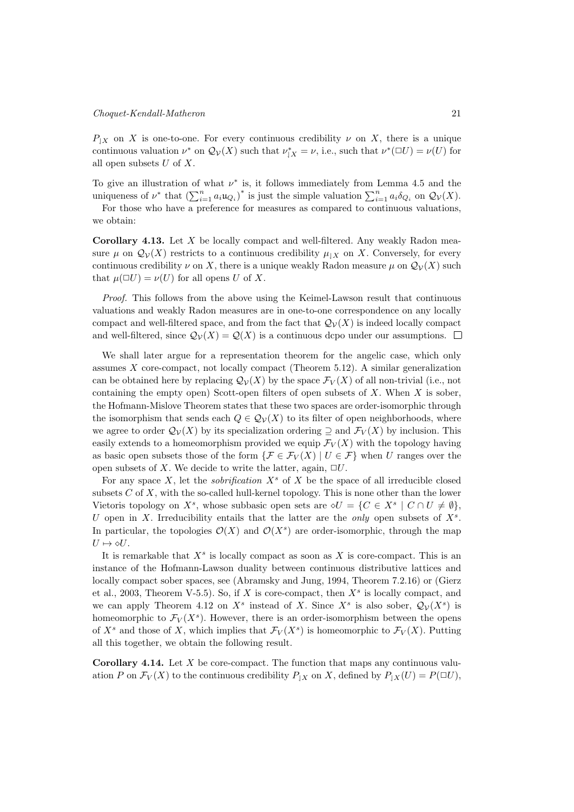$P_{|X}$  on X is one-to-one. For every continuous credibility  $\nu$  on X, there is a unique continuous valuation  $\nu^*$  on  $\mathcal{Q}_\mathcal{V}(X)$  such that  $\nu^*_{|X} = \nu$ , i.e., such that  $\nu^*(\Box U) = \nu(U)$  for all open subsets  $U$  of  $X$ .

To give an illustration of what  $\nu^*$  is, it follows immediately from Lemma 4.5 and the uniqueness of  $\nu^*$  that  $\left(\sum_{i=1}^n a_i u_{Q_i}\right)^*$  is just the simple valuation  $\sum_{i=1}^n a_i \delta_{Q_i}$  on  $\mathcal{Q}_{\mathcal{V}}(X)$ . For those who have a preference for measures as compared to continuous valuations,

we obtain:

**Corollary 4.13.** Let  $X$  be locally compact and well-filtered. Any weakly Radon measure  $\mu$  on  $\mathcal{Q}_{\mathcal{V}}(X)$  restricts to a continuous credibility  $\mu_{\mathcal{X}}$  on X. Conversely, for every continuous credibility  $\nu$  on X, there is a unique weakly Radon measure  $\mu$  on  $\mathcal{Q}_{\mathcal{V}}(X)$  such that  $\mu(\Box U) = \nu(U)$  for all opens U of X.

Proof. This follows from the above using the Keimel-Lawson result that continuous valuations and weakly Radon measures are in one-to-one correspondence on any locally compact and well-filtered space, and from the fact that  $\mathcal{Q}_{\mathcal{V}}(X)$  is indeed locally compact and well-filtered, since  $\mathcal{Q}_{\mathcal{V}}(X) = \mathcal{Q}(X)$  is a continuous dcpo under our assumptions.

We shall later argue for a representation theorem for the angelic case, which only assumes  $X$  core-compact, not locally compact (Theorem 5.12). A similar generalization can be obtained here by replacing  $\mathcal{Q}_{\mathcal{V}}(X)$  by the space  $\mathcal{F}_{V}(X)$  of all non-trivial (i.e., not containing the empty open) Scott-open filters of open subsets of  $X$ . When  $X$  is sober, the Hofmann-Mislove Theorem states that these two spaces are order-isomorphic through the isomorphism that sends each  $Q \in \mathcal{Q}_{\mathcal{V}}(X)$  to its filter of open neighborhoods, where we agree to order  $\mathcal{Q}_{\mathcal{V}}(X)$  by its specialization ordering  $\supseteq$  and  $\mathcal{F}_{V}(X)$  by inclusion. This easily extends to a homeomorphism provided we equip  $\mathcal{F}_V(X)$  with the topology having as basic open subsets those of the form  $\{\mathcal{F} \in \mathcal{F}_V(X) \mid U \in \mathcal{F}\}\$  when U ranges over the open subsets of X. We decide to write the latter, again,  $\Box U$ .

For any space  $X$ , let the *sobrification*  $X^s$  of X be the space of all irreducible closed subsets  $C$  of  $X$ , with the so-called hull-kernel topology. This is none other than the lower Vietoris topology on  $X^s$ , whose subbasic open sets are  $\diamond U = \{C \in X^s \mid C \cap U \neq \emptyset\}$ , U open in X. Irreducibility entails that the latter are the only open subsets of  $X<sup>s</sup>$ . In particular, the topologies  $\mathcal{O}(X)$  and  $\mathcal{O}(X^s)$  are order-isomorphic, through the map  $U \mapsto \diamond U.$ 

It is remarkable that  $X^s$  is locally compact as soon as X is core-compact. This is an instance of the Hofmann-Lawson duality between continuous distributive lattices and locally compact sober spaces, see (Abramsky and Jung, 1994, Theorem 7.2.16) or (Gierz et al., 2003, Theorem V-5.5). So, if  $X$  is core-compact, then  $X^s$  is locally compact, and we can apply Theorem 4.12 on  $X^s$  instead of X. Since  $X^s$  is also sober,  $\mathcal{Q}_{\mathcal{V}}(X^s)$  is homeomorphic to  $\mathcal{F}_V(X^s)$ . However, there is an order-isomorphism between the opens of  $X^s$  and those of X, which implies that  $\mathcal{F}_V(X^s)$  is homeomorphic to  $\mathcal{F}_V(X)$ . Putting all this together, we obtain the following result.

**Corollary 4.14.** Let  $X$  be core-compact. The function that maps any continuous valuation P on  $\mathcal{F}_V(X)$  to the continuous credibility  $P_{|X}$  on X, defined by  $P_{|X}(U) = P(\Box U)$ ,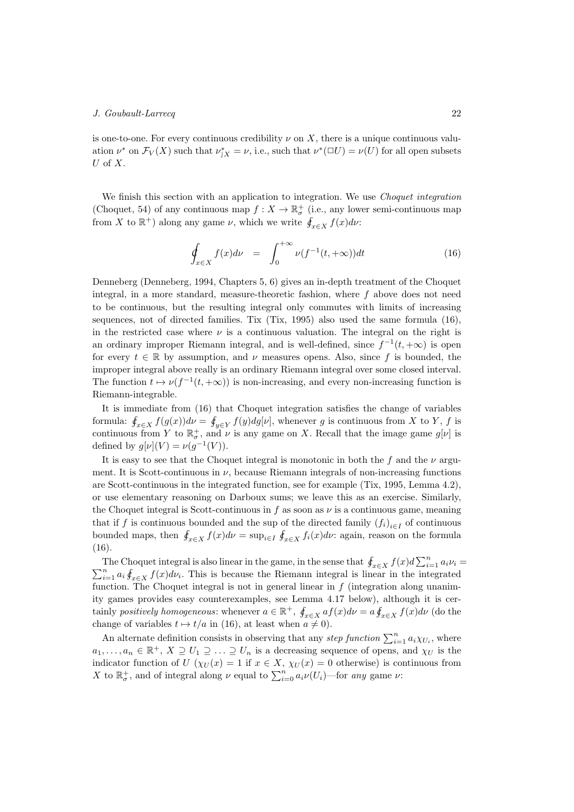is one-to-one. For every continuous credibility  $\nu$  on X, there is a unique continuous valuation  $\nu^*$  on  $\mathcal{F}_V(X)$  such that  $\nu^*_{|X} = \nu$ , i.e., such that  $\nu^*(\Box U) = \nu(U)$  for all open subsets  $U$  of  $X$ .

We finish this section with an application to integration. We use *Choquet integration* (Choquet, 54) of any continuous map  $f: X \to \mathbb{R}^+_{\sigma}$  (i.e., any lower semi-continuous map from X to  $\mathbb{R}^+$ ) along any game  $\nu$ , which we write  $\oint_{x \in X} f(x) dx$ :

$$
\oint_{x \in X} f(x) d\nu = \int_0^{+\infty} \nu(f^{-1}(t, +\infty)) dt \tag{16}
$$

Denneberg (Denneberg, 1994, Chapters 5, 6) gives an in-depth treatment of the Choquet integral, in a more standard, measure-theoretic fashion, where  $f$  above does not need to be continuous, but the resulting integral only commutes with limits of increasing sequences, not of directed families. Tix (Tix, 1995) also used the same formula (16), in the restricted case where  $\nu$  is a continuous valuation. The integral on the right is an ordinary improper Riemann integral, and is well-defined, since  $f^{-1}(t, +\infty)$  is open for every  $t \in \mathbb{R}$  by assumption, and  $\nu$  measures opens. Also, since f is bounded, the improper integral above really is an ordinary Riemann integral over some closed interval. The function  $t \mapsto \nu(f^{-1}(t, +\infty))$  is non-increasing, and every non-increasing function is Riemann-integrable.

It is immediate from (16) that Choquet integration satisfies the change of variables formula:  $\oint_{x\in X} f(g(x))d\nu = \oint_{y\in Y} f(y)dg[\nu]$ , whenever g is continuous from X to Y, f is continuous from Y to  $\mathbb{R}^+$ , and  $\nu$  is any game on X. Recall that the image game  $g[\nu]$  is defined by  $g[\nu](V) = \nu(g^{-1}(V)).$ 

It is easy to see that the Choquet integral is monotonic in both the  $f$  and the  $\nu$  argument. It is Scott-continuous in  $\nu$ , because Riemann integrals of non-increasing functions are Scott-continuous in the integrated function, see for example (Tix, 1995, Lemma 4.2), or use elementary reasoning on Darboux sums; we leave this as an exercise. Similarly, the Choquet integral is Scott-continuous in  $f$  as soon as  $\nu$  is a continuous game, meaning that if f is continuous bounded and the sup of the directed family  $(f_i)_{i \in I}$  of continuous bounded maps, then  $\oint_{x \in X} f(x) d\nu = \sup_{i \in I} \oint_{x \in X} f_i(x) d\nu$ : again, reason on the formula (16).

The Choquet integral is also linear in the game, in the sense that  $\oint_{x \in X} f(x) d \sum_{i=1}^{n} a_i \nu_i =$  $\sum_{i=1}^{n} a_i \oint_{x \in X} f(x) d\nu_i$ . This is because the Riemann integral is linear in the integrated function. The Choquet integral is not in general linear in  $f$  (integration along unanimity games provides easy counterexamples, see Lemma 4.17 below), although it is certainly positively homogeneous: whenever  $a \in \mathbb{R}^+$ ,  $\oint_{x \in X} af(x) d\nu = a \oint_{x \in X} f(x) d\nu$  (do the change of variables  $t \mapsto t/a$  in (16), at least when  $a \neq 0$ ).

An alternate definition consists in observing that any *step function*  $\sum_{i=1}^{n} a_i \chi_{U_i}$ , where  $a_1, \ldots, a_n \in \mathbb{R}^+, X \supseteq U_1 \supseteq \ldots \supseteq U_n$  is a decreasing sequence of opens, and  $\chi_U$  is the indicator function of  $U(\chi_U(x)) = 1$  if  $x \in X$ ,  $\chi_U(x) = 0$  otherwise) is continuous from X to  $\mathbb{R}^+$ , and of integral along  $\nu$  equal to  $\sum_{i=0}^n a_i \nu(U_i)$ —for any game  $\nu$ :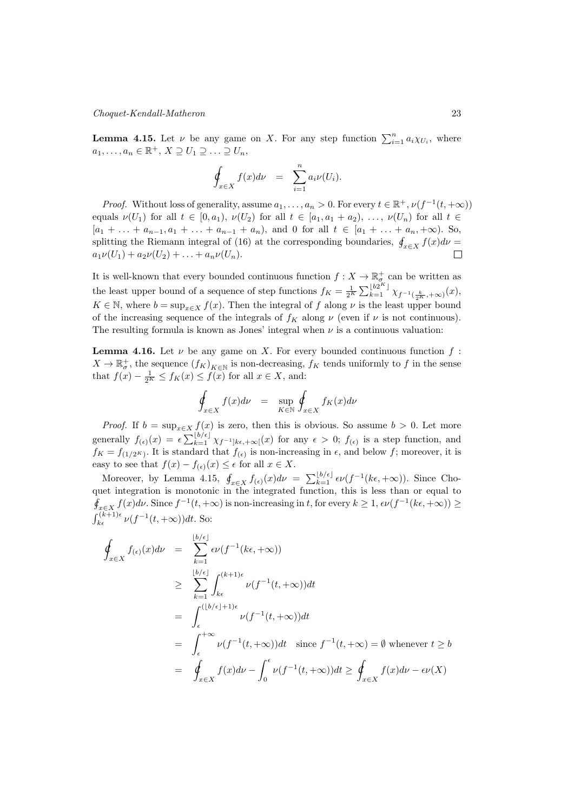## Choquet-Kendall-Matheron 23

**Lemma 4.15.** Let  $\nu$  be any game on X. For any step function  $\sum_{i=1}^{n} a_i \chi_{U_i}$ , where  $a_1, \ldots, a_n \in \mathbb{R}^+, X \supseteq U_1 \supseteq \ldots \supseteq U_n$ 

$$
\oint_{x \in X} f(x) d\nu = \sum_{i=1}^n a_i \nu(U_i).
$$

*Proof.* Without loss of generality, assume  $a_1, \ldots, a_n > 0$ . For every  $t \in \mathbb{R}^+, \nu(f^{-1}(t, +\infty))$ equals  $\nu(U_1)$  for all  $t \in [0, a_1)$ ,  $\nu(U_2)$  for all  $t \in [a_1, a_1 + a_2)$ , ...,  $\nu(U_n)$  for all  $t \in$  $[a_1 + \ldots + a_{n-1}, a_1 + \ldots + a_{n-1} + a_n)$ , and 0 for all  $t \in [a_1 + \ldots + a_n, +\infty)$ . So, splitting the Riemann integral of (16) at the corresponding boundaries,  $\oint_{x \in X} f(x) d\nu =$  $a_1\nu(U_1) + a_2\nu(U_2) + \ldots + a_n\nu(U_n).$  $\Box$ 

It is well-known that every bounded continuous function  $f: X \to \mathbb{R}^+_{\sigma}$  can be written as the least upper bound of a sequence of step functions  $f_K = \frac{1}{2^K} \sum_{k=1}^{\lfloor b2^K \rfloor} \chi_{f^{-1}(\frac{k}{2^K}, +\infty)}(x)$ ,  $K \in \mathbb{N}$ , where  $b = \sup_{x \in X} f(x)$ . Then the integral of f along  $\nu$  is the least upper bound of the increasing sequence of the integrals of  $f_K$  along  $\nu$  (even if  $\nu$  is not continuous). The resulting formula is known as Jones' integral when  $\nu$  is a continuous valuation:

**Lemma 4.16.** Let  $\nu$  be any game on X. For every bounded continuous function  $f$ :  $X \to \mathbb{R}^+_\sigma$ , the sequence  $(f_K)_{K \in \mathbb{N}}$  is non-decreasing,  $f_K$  tends uniformly to f in the sense that  $f(x) - \frac{1}{2^K} \leq f_K(x) \leq f(x)$  for all  $x \in X$ , and:

$$
\oint_{x \in X} f(x) d\nu = \sup_{K \in \mathbb{N}} \oint_{x \in X} f_K(x) d\nu
$$

*Proof.* If  $b = \sup_{x \in X} f(x)$  is zero, then this is obvious. So assume  $b > 0$ . Let more generally  $f_{(\epsilon)}(x) = \epsilon \sum_{k=1}^{\lfloor b/\epsilon \rfloor} \chi_{f^{-1}]k\epsilon, +\infty}(x)$  for any  $\epsilon > 0$ ;  $f_{(\epsilon)}$  is a step function, and  $f_K = f_{(1/2^K)}$ . It is standard that  $f_{(\epsilon)}$  is non-increasing in  $\epsilon$ , and below f; moreover, it is easy to see that  $f(x) - f_{(\epsilon)}(x) \leq \epsilon$  for all  $x \in X$ .

Moreover, by Lemma 4.15,  $\oint_{x \in X} f_{(\epsilon)}(x) d\nu = \sum_{k=1}^{\lfloor b/\epsilon \rfloor} \epsilon \nu(f^{-1}(k\epsilon, +\infty))$ . Since Choquet integration is monotonic in the integrated function, this is less than or equal to  $\oint_{x \in X} f(x) d\nu$ . Since  $f^{-1}(t, +\infty)$  is non-increasing in t, for every  $k \geq 1$ ,  $\epsilon \nu(f^{-1}(k\epsilon, +\infty)) \geq$  $\int_{k\epsilon}^{(k+1)\epsilon} \nu(f^{-1}(t,+\infty)) dt$ . So:

$$
\int_{x \in X} f_{(\epsilon)}(x) d\nu = \sum_{k=1}^{\lfloor b/\epsilon \rfloor} \epsilon \nu(f^{-1}(k\epsilon, +\infty))
$$
\n
$$
\geq \sum_{k=1}^{\lfloor b/\epsilon \rfloor} \int_{k\epsilon}^{(k+1)\epsilon} \nu(f^{-1}(t, +\infty)) dt
$$
\n
$$
= \int_{\epsilon}^{(\lfloor b/\epsilon \rfloor + 1)\epsilon} \nu(f^{-1}(t, +\infty)) dt
$$
\n
$$
= \int_{\epsilon}^{+\infty} \nu(f^{-1}(t, +\infty)) dt \quad \text{since } f^{-1}(t, +\infty) = \emptyset \text{ whenever } t \geq b
$$
\n
$$
= \oint_{x \in X} f(x) d\nu - \int_{0}^{\epsilon} \nu(f^{-1}(t, +\infty)) dt \geq \oint_{x \in X} f(x) d\nu - \epsilon \nu(X)
$$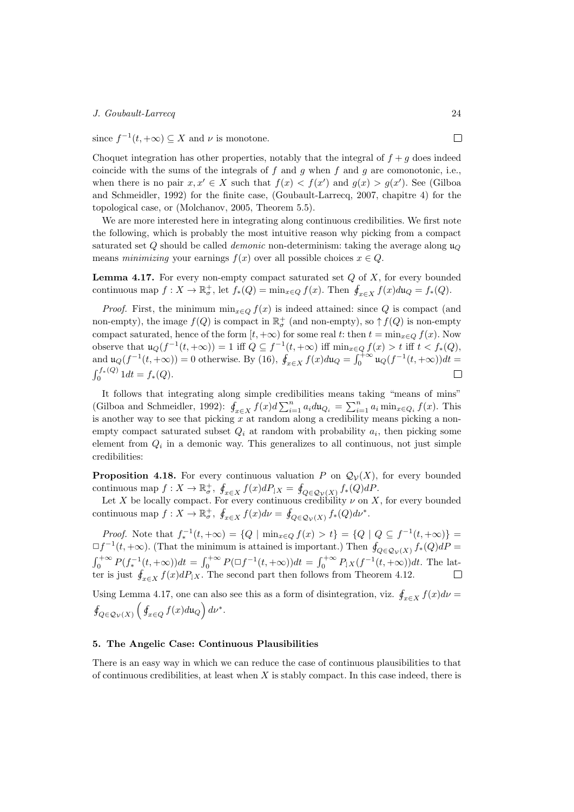since  $f^{-1}(t, +\infty) \subseteq X$  and  $\nu$  is monotone.

Choquet integration has other properties, notably that the integral of  $f + g$  does indeed coincide with the sums of the integrals of  $f$  and  $g$  when  $f$  and  $g$  are comonotonic, i.e., when there is no pair  $x, x' \in X$  such that  $f(x) < f(x')$  and  $g(x) > g(x')$ . See (Gilboa and Schmeidler, 1992) for the finite case, (Goubault-Larrecq, 2007, chapitre 4) for the topological case, or (Molchanov, 2005, Theorem 5.5).

We are more interested here in integrating along continuous credibilities. We first note the following, which is probably the most intuitive reason why picking from a compact saturated set Q should be called *demonic* non-determinism: taking the average along  $\mathfrak{u}_{\mathcal{O}}$ means *minimizing* your earnings  $f(x)$  over all possible choices  $x \in Q$ .

**Lemma 4.17.** For every non-empty compact saturated set  $Q$  of  $X$ , for every bounded continuous map  $f: X \to \mathbb{R}^+_\sigma$ , let  $f_*(Q) = \min_{x \in Q} f(x)$ . Then  $\oint_{x \in X} f(x) du_Q = f_*(Q)$ .

*Proof.* First, the minimum  $\min_{x \in Q} f(x)$  is indeed attained: since Q is compact (and non-empty), the image  $f(Q)$  is compact in  $\mathbb{R}^+_{\sigma}$  (and non-empty), so  $\uparrow f(Q)$  is non-empty compact saturated, hence of the form  $[t, +\infty)$  for some real t: then  $t = \min_{x \in Q} f(x)$ . Now observe that  $\mathfrak{u}_Q(f^{-1}(t,+\infty))=1$  iff  $Q \subseteq f^{-1}(t,+\infty)$  iff  $\min_{x \in Q} f(x) > t$  iff  $t < f_*(Q)$ , and  $\mathfrak{u}_Q(f^{-1}(t,+\infty))=0$  otherwise. By (16),  $\oint_{x\in X} f(x)du_Q = \int_0^{+\infty} \mathfrak{u}_Q(f^{-1}(t,+\infty))dt$  $\int_0^{f_*(Q)} 1 dt = f_*(Q).$  $\Box$ 

It follows that integrating along simple credibilities means taking "means of mins" (Gilboa and Schmeidler, 1992):  $\oint_{x \in X} f(x) d \sum_{i=1}^{n} a_i du_{Q_i} = \sum_{i=1}^{n} a_i \min_{x \in Q_i} f(x)$ . This is another way to see that picking  $x$  at random along a credibility means picking a nonempty compact saturated subset  $Q_i$  at random with probability  $a_i$ , then picking some element from  $Q_i$  in a demonic way. This generalizes to all continuous, not just simple credibilities:

**Proposition 4.18.** For every continuous valuation P on  $\mathcal{Q}_{\mathcal{V}}(X)$ , for every bounded continuous map  $f: X \to \mathbb{R}^+$ ,  $\oint_{x \in X} f(x) dP_{|X} = \oint_{Q \in \mathcal{Q}_{\mathcal{V}}(X)} f_*(Q) dP$ .

Let X be locally compact. For every continuous credibility  $\nu$  on X, for every bounded continuous map  $f: X \to \mathbb{R}^+$ ,  $\oint_{x \in X} f(x) d\nu = \oint_{Q \in \mathcal{Q}_{\mathcal{V}}(X)} f_*(Q) d\nu^*$ .

*Proof.* Note that  $f_*^{-1}(t, +\infty) = \{Q \mid \min_{x \in Q} f(x) > t\} = \{Q \mid Q \subseteq f^{-1}(t, +\infty)\}$  $\Box f^{-1}(t, +\infty)$ . (That the minimum is attained is important.) Then  $\oint_{O \in \mathcal{O}_{\mathcal{V}}(X)} f_*(Q) dP =$  $\int_0^{+\infty} P(f_*^{-1}(t,+\infty)) dt = \int_0^{+\infty} P(\Box f^{-1}(t,+\infty)) dt = \int_0^{+\infty} P(f_*^{-1}(t,+\infty)) dt$ . The latter is just  $\oint_{x \in X} f(x) dP_{|X}$ . The second part then follows from Theorem 4.12.

Using Lemma 4.17, one can also see this as a form of disintegration, viz.  $\oint_{x \in X} f(x) d\nu =$  $\oint_{Q \in \mathcal{Q}_{\mathcal{V}}(X)} \left( \oint_{x \in Q} f(x) d\mathfrak{u}_Q \right) d\nu^*.$ 

## 5. The Angelic Case: Continuous Plausibilities

There is an easy way in which we can reduce the case of continuous plausibilities to that of continuous credibilities, at least when  $X$  is stably compact. In this case indeed, there is

 $\Box$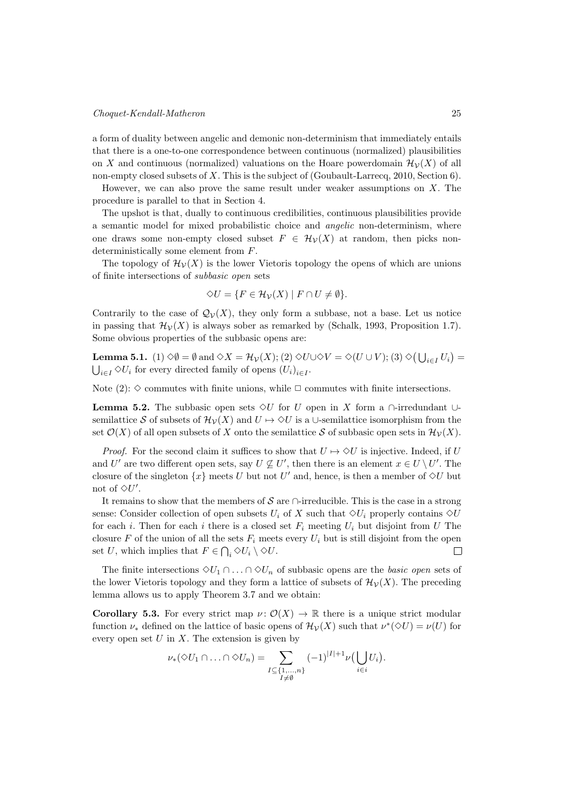a form of duality between angelic and demonic non-determinism that immediately entails that there is a one-to-one correspondence between continuous (normalized) plausibilities on X and continuous (normalized) valuations on the Hoare powerdomain  $\mathcal{H}_{\mathcal{V}}(X)$  of all non-empty closed subsets of  $X$ . This is the subject of (Goubault-Larrecq, 2010, Section 6).

However, we can also prove the same result under weaker assumptions on  $X$ . The procedure is parallel to that in Section 4.

The upshot is that, dually to continuous credibilities, continuous plausibilities provide a semantic model for mixed probabilistic choice and angelic non-determinism, where one draws some non-empty closed subset  $F \in \mathcal{H}_{\mathcal{V}}(X)$  at random, then picks nondeterministically some element from  $F$ .

The topology of  $\mathcal{H}_{\mathcal{V}}(X)$  is the lower Vietoris topology the opens of which are unions of finite intersections of subbasic open sets

$$
\Diamond U = \{ F \in \mathcal{H}_\mathcal{V}(X) \mid F \cap U \neq \emptyset \}.
$$

Contrarily to the case of  $\mathcal{Q}_{\mathcal{V}}(X)$ , they only form a subbase, not a base. Let us notice in passing that  $\mathcal{H}_{\mathcal{V}}(X)$  is always sober as remarked by (Schalk, 1993, Proposition 1.7). Some obvious properties of the subbasic opens are:

**Lemma 5.1.** (1)  $\Diamond \emptyset = \emptyset$  and  $\Diamond X = \mathcal{H}_{\mathcal{V}}(X);$  (2)  $\Diamond U \cup \Diamond V = \Diamond (U \cup V);$  (3)  $\Diamond (\bigcup_{i \in I} U_i) =$  $\bigcup_{i\in I} \Diamond U_i$  for every directed family of opens  $(U_i)_{i\in I}$ .

Note (2):  $\diamond$  commutes with finite unions, while  $\Box$  commutes with finite intersections.

**Lemma 5.2.** The subbasic open sets  $\Diamond U$  for U open in X form a  $\cap$ -irredundant ∪semilattice S of subsets of  $\mathcal{H}_{\mathcal{V}}(X)$  and  $U \mapsto \Diamond U$  is a ∪-semilattice isomorphism from the set  $\mathcal{O}(X)$  of all open subsets of X onto the semilattice S of subbasic open sets in  $\mathcal{H}_{\mathcal{V}}(X)$ .

*Proof.* For the second claim it suffices to show that  $U \mapsto \Diamond U$  is injective. Indeed, if U and U' are two different open sets, say  $U \not\subseteq U'$ , then there is an element  $x \in U \setminus U'$ . The closure of the singleton  $\{x\}$  meets U but not U' and, hence, is then a member of  $\Diamond U$  but not of  $\Diamond U'$ .

It remains to show that the members of  $\mathcal S$  are  $\cap$ -irreducible. This is the case in a strong sense: Consider collection of open subsets  $U_i$  of X such that  $\Diamond U_i$  properly contains  $\Diamond U$ for each *i*. Then for each *i* there is a closed set  $F_i$  meeting  $U_i$  but disjoint from U The closure F of the union of all the sets  $F_i$  meets every  $U_i$  but is still disjoint from the open set U, which implies that  $F \in \bigcap_i \Diamond U_i \setminus \Diamond U$ .  $\Box$ 

The finite intersections  $\Diamond U_1 \cap \ldots \cap \Diamond U_n$  of subbasic opens are the *basic open* sets of the lower Vietoris topology and they form a lattice of subsets of  $\mathcal{H}_{\mathcal{V}}(X)$ . The preceding lemma allows us to apply Theorem 3.7 and we obtain:

Corollary 5.3. For every strict map  $\nu: \mathcal{O}(X) \to \mathbb{R}$  there is a unique strict modular function  $\nu_*$  defined on the lattice of basic opens of  $\mathcal{H}_{\mathcal{V}}(X)$  such that  $\nu^*(\Diamond U) = \nu(U)$  for every open set  $U$  in  $X$ . The extension is given by

$$
\nu_*(\diamondsuit U_1 \cap \ldots \cap \diamondsuit U_n) = \sum_{\substack{I \subseteq \{1,\ldots,n\} \\ I \neq \emptyset}} (-1)^{|I|+1} \nu\big(\bigcup_{i \in i} U_i\big).
$$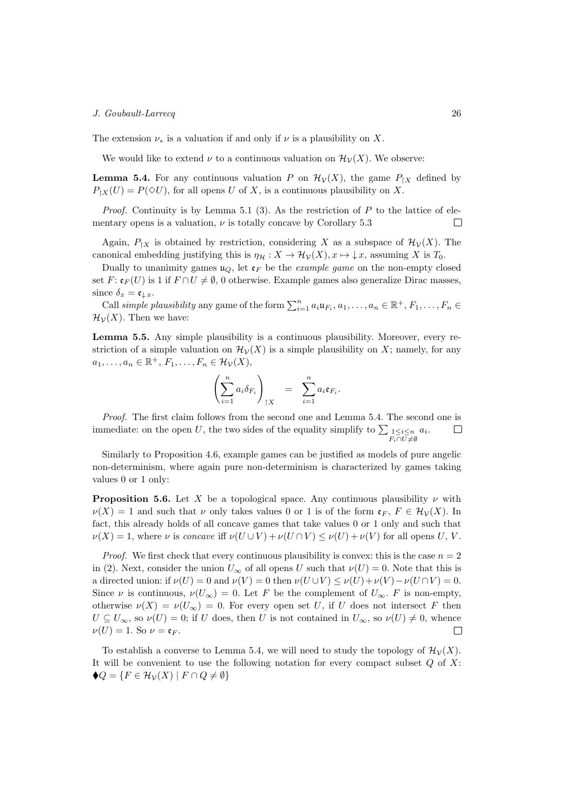The extension  $\nu_*$  is a valuation if and only if  $\nu$  is a plausibility on X.

We would like to extend  $\nu$  to a continuous valuation on  $\mathcal{H}_{\mathcal{V}}(X)$ . We observe:

**Lemma 5.4.** For any continuous valuation P on  $\mathcal{H}_{\mathcal{V}}(X)$ , the game  $P_{\upharpoonright X}$  defined by  $P_{\upharpoonright X}(U) = P(\lozenge U)$ , for all opens U of X, is a continuous plausibility on X.

*Proof.* Continuity is by Lemma 5.1 (3). As the restriction of  $P$  to the lattice of elementary opens is a valuation,  $\nu$  is totally concave by Corollary 5.3  $\Box$ 

Again,  $P_{\upharpoonright X}$  is obtained by restriction, considering X as a subspace of  $\mathcal{H}_{\mathcal{V}}(X)$ . The canonical embedding justifying this is  $\eta_{\mathcal{H}} : X \to \mathcal{H}_{\mathcal{V}}(X), x \mapsto \downarrow x$ , assuming X is  $T_0$ .

Dually to unanimity games  $\mathfrak{u}_Q$ , let  $\mathfrak{e}_F$  be the *example game* on the non-empty closed set  $F: \mathfrak{e}_F(U)$  is 1 if  $F \cap U \neq \emptyset$ , 0 otherwise. Example games also generalize Dirac masses, since  $\delta_x = \mathfrak{e}_{\downarrow x}$ .

Call simple plausibility any game of the form  $\sum_{i=1}^{n} a_i \mathfrak{u}_{F_i}, a_1, \ldots, a_n \in \mathbb{R}^+, F_1, \ldots, F_n \in$  $\mathcal{H}_{\mathcal{V}}(X)$ . Then we have:

Lemma 5.5. Any simple plausibility is a continuous plausibility. Moreover, every restriction of a simple valuation on  $\mathcal{H}_{\mathcal{V}}(X)$  is a simple plausibility on X; namely, for any  $a_1, \ldots, a_n \in \mathbb{R}^+, F_1, \ldots, F_n \in \mathcal{H}_\mathcal{V}(X),$ 

$$
\left(\sum_{i=1}^n a_i \delta_{F_i}\right)_{|X} = \sum_{i=1}^n a_i \mathfrak{e}_{F_i}.
$$

Proof. The first claim follows from the second one and Lemma 5.4. The second one is immediate: on the open U, the two sides of the equality simplify to  $\sum_{\substack{1 \leq i \leq n \\ F_i \cap U \neq \emptyset}} a_i$ .  $\Box$ 

Similarly to Proposition 4.6, example games can be justified as models of pure angelic non-determinism, where again pure non-determinism is characterized by games taking values 0 or 1 only:

**Proposition 5.6.** Let X be a topological space. Any continuous plausibility  $\nu$  with  $\nu(X) = 1$  and such that  $\nu$  only takes values 0 or 1 is of the form  $\mathfrak{e}_F$ ,  $F \in \mathcal{H}_\mathcal{V}(X)$ . In fact, this already holds of all concave games that take values 0 or 1 only and such that  $\nu(X) = 1$ , where  $\nu$  is concave iff  $\nu(U \cup V) + \nu(U \cap V) \leq \nu(U) + \nu(V)$  for all opens U, V.

*Proof.* We first check that every continuous plausibility is convex: this is the case  $n = 2$ in (2). Next, consider the union  $U_{\infty}$  of all opens U such that  $\nu(U) = 0$ . Note that this is a directed union: if  $\nu(U) = 0$  and  $\nu(V) = 0$  then  $\nu(U \cup V) \leq \nu(U) + \nu(V) - \nu(U \cap V) = 0$ . Since  $\nu$  is continuous,  $\nu(U_{\infty}) = 0$ . Let F be the complement of  $U_{\infty}$ . F is non-empty, otherwise  $\nu(X) = \nu(U_{\infty}) = 0$ . For every open set U, if U does not intersect F then  $U \subseteq U_{\infty}$ , so  $\nu(U) = 0$ ; if U does, then U is not contained in  $U_{\infty}$ , so  $\nu(U) \neq 0$ , whence  $\nu(U) = 1$ . So  $\nu = \mathfrak{e}_F$ .  $\Box$ 

To establish a converse to Lemma 5.4, we will need to study the topology of  $\mathcal{H}_{\mathcal{V}}(X)$ . It will be convenient to use the following notation for every compact subset  $Q$  of  $X$ :  $\blacklozenge Q = \{ F \in \mathcal{H}_\mathcal{V}(X) \mid F \cap Q \neq \emptyset \}$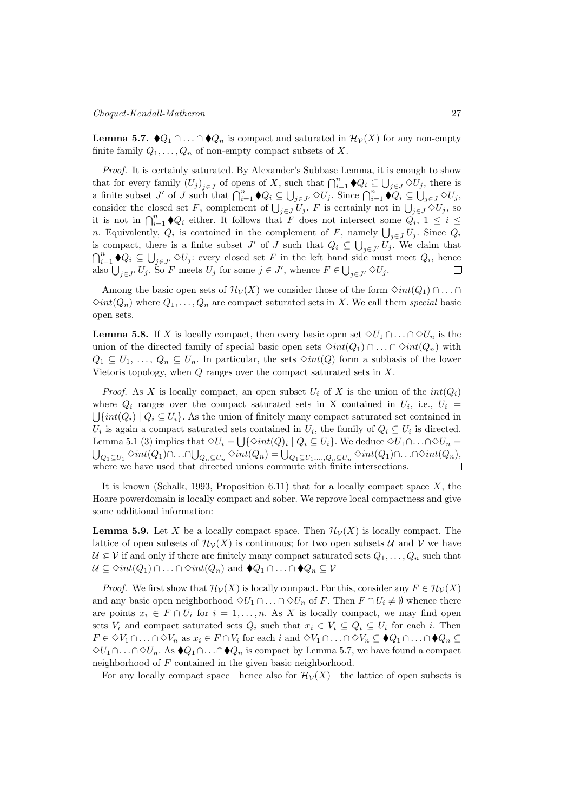**Lemma 5.7.**  $\blacklozenge_{Q_1} \cap \ldots \cap \blacklozenge_{Q_n}$  is compact and saturated in  $\mathcal{H}_{\mathcal{V}}(X)$  for any non-empty finite family  $Q_1, \ldots, Q_n$  of non-empty compact subsets of X.

Proof. It is certainly saturated. By Alexander's Subbase Lemma, it is enough to show that for every family  $(U_j)_{j\in J}$  of opens of X, such that  $\bigcap_{i=1}^n \blacklozenge Q_i \subseteq \bigcup_{j\in J} \lozenge U_j$ , there is a finite subset J' of J such that  $\bigcap_{i=1}^n \blacklozenge Q_i \subseteq \bigcup_{j \in J'} \lozenge U_j$ . Since  $\bigcap_{i=1}^n \blacklozenge Q_i \subseteq \bigcup_{j \in J} \lozenge U_j$ , consider the closed set F, complement of  $\bigcup_{j\in J}U_j$ . F is certainly not in  $\bigcup_{j\in J}\Diamond U_j$ , so it is not in  $\bigcap_{i=1}^n \blacklozenge Q_i$  either. It follows that F does not intersect some  $Q_i$ ,  $1 \leq i \leq$ *n*. Equivalently,  $Q_i$  is contained in the complement of  $F$ , namely  $\bigcup_{j\in J} U_j$ . Since  $Q_i$ is compact, there is a finite subset  $J'$  of  $J$  such that  $Q_i \subseteq \bigcup_{j \in J'} U_j$ . We claim that  $\bigcap_{i=1}^n \blacklozenge Q_i \subseteq \bigcup_{j \in J'} \Diamond U_j$ : every closed set F in the left hand side must meet  $Q_i$ , hence also  $\bigcup_{j\in J'} U_j$ . So F meets  $U_j$  for some  $j\in J'$ , whence  $F\in \bigcup_{j\in J'} \Diamond U_j$ .  $\Box$ 

Among the basic open sets of  $\mathcal{H}_{\mathcal{V}}(X)$  we consider those of the form  $\Diamond int(Q_1) \cap \dots \cap$  $\Diamond int(Q_n)$  where  $Q_1, \ldots, Q_n$  are compact saturated sets in X. We call them special basic open sets.

**Lemma 5.8.** If X is locally compact, then every basic open set  $\Diamond U_1 \cap \ldots \cap \Diamond U_n$  is the union of the directed family of special basic open sets  $\Diamond int(Q_1) \cap ... \cap \Diamond int(Q_n)$  with  $Q_1 \subseteq U_1, \ldots, Q_n \subseteq U_n$ . In particular, the sets  $\Diamond int(Q)$  form a subbasis of the lower Vietoris topology, when  $Q$  ranges over the compact saturated sets in  $X$ .

*Proof.* As X is locally compact, an open subset  $U_i$  of X is the union of the  $int(Q_i)$ where  $Q_i$  ranges over the compact saturated sets in X contained in  $U_i$ , i.e.,  $U_i$  $\bigcup \{ int(Q_i) \mid Q_i \subseteq U_i \}$ . As the union of finitely many compact saturated set contained in  $U_i$  is again a compact saturated sets contained in  $U_i$ , the family of  $Q_i \subseteq U_i$  is directed. Lemma 5.1 (3) implies that  $\Diamond U_i = \bigcup \{ \Diamond int(Q)_i \mid Q_i \subseteq U_i \}$ . We deduce  $\Diamond U_1 \cap \ldots \cap \Diamond U_n =$  $\bigcup_{Q_1 \subseteq U_1} \Diamond int(Q_1) \cap \ldots \cap \bigcup_{Q_n \subseteq U_n} \Diamond int(Q_n) = \bigcup_{Q_1 \subseteq U_1, \ldots, Q_n \subseteq U_n} \Diamond int(Q_1) \cap \ldots \cap \Diamond int(Q_n),$ where we have used that directed unions commute with finite intersections.

It is known (Schalk, 1993, Proposition 6.11) that for a locally compact space  $X$ , the Hoare powerdomain is locally compact and sober. We reprove local compactness and give some additional information:

**Lemma 5.9.** Let X be a locally compact space. Then  $\mathcal{H}_{\mathcal{V}}(X)$  is locally compact. The lattice of open subsets of  $\mathcal{H}_{\mathcal{V}}(X)$  is continuous; for two open subsets  $\mathcal{U}$  and  $\mathcal{V}$  we have  $\mathcal{U} \in \mathcal{V}$  if and only if there are finitely many compact saturated sets  $Q_1, \ldots, Q_n$  such that  $\mathcal{U} \subseteq \Diamond int(Q_1) \cap \ldots \cap \Diamond int(Q_n)$  and  $\blacklozenge Q_1 \cap \ldots \cap \blacklozenge Q_n \subseteq \mathcal{V}$ 

*Proof.* We first show that  $\mathcal{H}_{\mathcal{V}}(X)$  is locally compact. For this, consider any  $F \in \mathcal{H}_{\mathcal{V}}(X)$ and any basic open neighborhood  $\Diamond U_1 \cap \ldots \cap \Diamond U_n$  of F. Then  $F \cap U_i \neq \emptyset$  whence there are points  $x_i \in F \cap U_i$  for  $i = 1, ..., n$ . As X is locally compact, we may find open sets  $V_i$  and compact saturated sets  $Q_i$  such that  $x_i \in V_i \subseteq Q_i \subseteq U_i$  for each i. Then  $F \in \Diamond V_1 \cap \ldots \cap \Diamond V_n$  as  $x_i \in F \cap V_i$  for each  $i$  and  $\Diamond V_1 \cap \ldots \cap \Diamond V_n \subseteq \blacklozenge Q_1 \cap \ldots \cap \blacklozenge Q_n \subseteq$  $\Diamond U_1 \cap \ldots \cap \Diamond U_n$ . As  $\blacklozenge Q_1 \cap \ldots \cap \blacklozenge Q_n$  is compact by Lemma 5.7, we have found a compact neighborhood of  $F$  contained in the given basic neighborhood.

For any locally compact space—hence also for  $\mathcal{H}_{\mathcal{V}}(X)$ —the lattice of open subsets is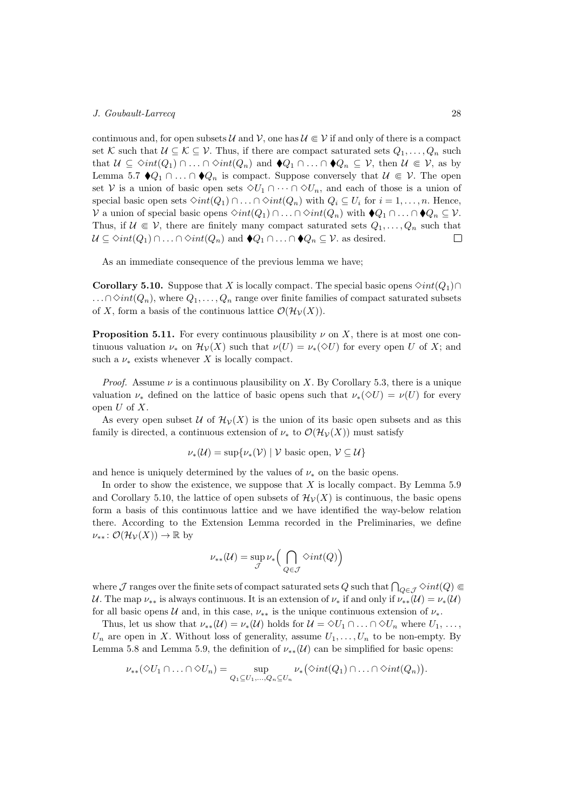continuous and, for open subsets  $\mathcal{U}$  and  $\mathcal{V}$ , one has  $\mathcal{U} \in \mathcal{V}$  if and only of there is a compact set K such that  $\mathcal{U} \subseteq \mathcal{K} \subseteq \mathcal{V}$ . Thus, if there are compact saturated sets  $Q_1, \ldots, Q_n$  such that  $\mathcal{U} \subseteq \Diamond int(Q_1) \cap \ldots \cap \Diamond int(Q_n)$  and  $\blacklozenge Q_1 \cap \ldots \cap \blacklozenge Q_n \subseteq \mathcal{V}$ , then  $\mathcal{U} \in \mathcal{V}$ , as by Lemma 5.7  $\blacklozenge Q_1 \cap \ldots \cap \blacklozenge Q_n$  is compact. Suppose conversely that  $\mathcal{U} \in \mathcal{V}$ . The open set V is a union of basic open sets  $\Diamond U_1 \cap \cdots \cap \Diamond U_n$ , and each of those is a union of special basic open sets  $\Diamond int(Q_1) \cap \ldots \cap \Diamond int(Q_n)$  with  $Q_i \subseteq U_i$  for  $i = 1, \ldots, n$ . Hence,  $V$  a union of special basic opens  $\Diamond int(Q_1) \cap \ldots \cap \Diamond int(Q_n)$  with  $\blacklozenge Q_1 \cap \ldots \cap \blacklozenge Q_n \subseteq V$ . Thus, if  $\mathcal{U} \in \mathcal{V}$ , there are finitely many compact saturated sets  $Q_1, \ldots, Q_n$  such that  $\mathcal{U} \subseteq \Diamond int(Q_1) \cap \ldots \cap \Diamond int(Q_n)$  and  $\blacklozenge Q_1 \cap \ldots \cap \blacklozenge Q_n \subseteq \mathcal{V}$ . as desired.  $\Box$ 

As an immediate consequence of the previous lemma we have;

**Corollary 5.10.** Suppose that X is locally compact. The special basic opens  $\Diamond int(Q_1) \cap$  $\ldots \cap \Diamond int(Q_n)$ , where  $Q_1, \ldots, Q_n$  range over finite families of compact saturated subsets of X, form a basis of the continuous lattice  $\mathcal{O}(\mathcal{H}_{\mathcal{V}}(X)).$ 

**Proposition 5.11.** For every continuous plausibility  $\nu$  on X, there is at most one continuous valuation  $\nu_*$  on  $\mathcal{H}_{\mathcal{V}}(X)$  such that  $\nu(U) = \nu_*(\Diamond U)$  for every open U of X; and such a  $\nu_*$  exists whenever X is locally compact.

*Proof.* Assume  $\nu$  is a continuous plausibility on X. By Corollary 5.3, there is a unique valuation  $\nu_*$  defined on the lattice of basic opens such that  $\nu_*(\Diamond U) = \nu(U)$  for every open  $U$  of  $X$ .

As every open subset U of  $\mathcal{H}_{\mathcal{V}}(X)$  is the union of its basic open subsets and as this family is directed, a continuous extension of  $\nu_*$  to  $\mathcal{O}(\mathcal{H}_\mathcal{V}(X))$  must satisfy

$$
\nu_*(\mathcal{U}) = \sup \{ \nu_*(\mathcal{V}) \mid \mathcal{V} \text{ basic open, } \mathcal{V} \subseteq \mathcal{U} \}
$$

and hence is uniquely determined by the values of  $\nu_*$  on the basic opens.

In order to show the existence, we suppose that  $X$  is locally compact. By Lemma 5.9 and Corollary 5.10, the lattice of open subsets of  $\mathcal{H}_{\mathcal{V}}(X)$  is continuous, the basic opens form a basis of this continuous lattice and we have identified the way-below relation there. According to the Extension Lemma recorded in the Preliminaries, we define  $\nu_{**}: \mathcal{O}(\mathcal{H}_\mathcal{V}(X)) \to \mathbb{R}$  by

$$
\nu_{**}(\mathcal{U}) = \sup_{\mathcal{J}} \nu_* \Big( \bigcap_{Q \in \mathcal{J}} \Diamond int(Q) \Big)
$$

where  $\mathcal J$  ranges over the finite sets of compact saturated sets  $Q$  such that  $\bigcap_{Q\in\mathcal J}\Diamond int(Q)\Subset$ U. The map  $\nu_{**}$  is always continuous. It is an extension of  $\nu_{*}$  if and only if  $\nu_{**}(\mathcal{U}) = \nu_{*}(\mathcal{U})$ for all basic opens  $U$  and, in this case,  $\nu_{**}$  is the unique continuous extension of  $\nu_{*}$ .

Thus, let us show that  $\nu_{**}(\mathcal{U}) = \nu_{*}(\mathcal{U})$  holds for  $\mathcal{U} = \Diamond U_1 \cap \ldots \cap \Diamond U_n$  where  $U_1, \ldots,$  $U_n$  are open in X. Without loss of generality, assume  $U_1, \ldots, U_n$  to be non-empty. By Lemma 5.8 and Lemma 5.9, the definition of  $\nu_{**}(\mathcal{U})$  can be simplified for basic opens:

$$
\nu_{**}(\Diamond U_1 \cap \ldots \cap \Diamond U_n) = \sup_{Q_1 \subseteq U_1, \ldots, Q_n \subseteq U_n} \nu_{*}(\Diamond int(Q_1) \cap \ldots \cap \Diamond int(Q_n)).
$$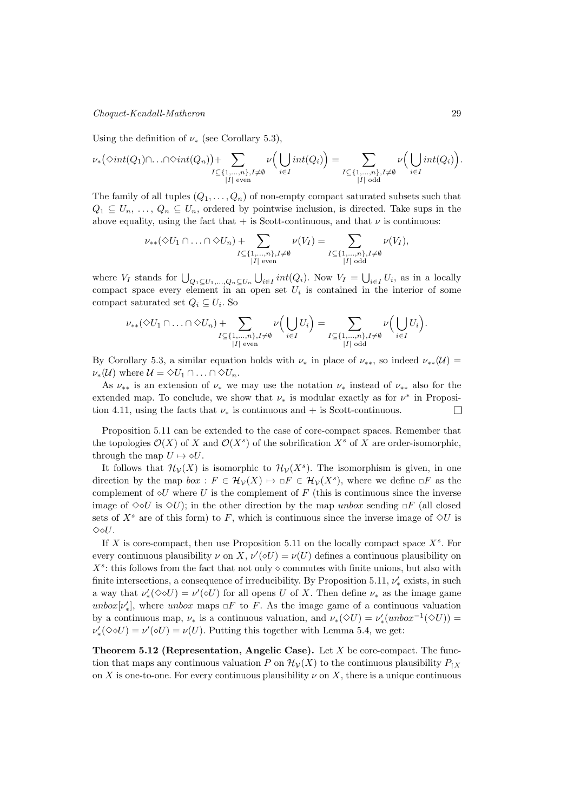## Choquet-Kendall-Matheron 29

Using the definition of  $\nu_{*}$  (see Corollary 5.3),

$$
\nu_*\big(\Diamond int(Q_1)\cap\ldots\cap\Diamond int(Q_n)\big)+\sum_{\substack{I\subseteq\{1,\ldots,n\},I\neq\emptyset \\ |I| \text{ even}}} \nu\Big(\bigcup_{i\in I} int(Q_i)\Big)=\sum_{\substack{I\subseteq\{1,\ldots,n\},I\neq\emptyset \\ |I| \text{ odd}}} \nu\Big(\bigcup_{i\in I} int(Q_i)\Big).
$$

The family of all tuples  $(Q_1, \ldots, Q_n)$  of non-empty compact saturated subsets such that  $Q_1 \subseteq U_n, \ldots, Q_n \subseteq U_n$ , ordered by pointwise inclusion, is directed. Take sups in the above equality, using the fact that  $+$  is Scott-continuous, and that  $\nu$  is continuous:

$$
\nu_{**}(\Diamond U_1 \cap \ldots \cap \Diamond U_n) + \sum_{\substack{I \subseteq \{1,\ldots,n\}, I \neq \emptyset \\ |I| \text{ even}}} \nu(V_I) = \sum_{\substack{I \subseteq \{1,\ldots,n\}, I \neq \emptyset \\ |I| \text{ odd}}} \nu(V_I),
$$

where  $V_I$  stands for  $\bigcup_{Q_1 \subseteq U_1, ..., Q_n \subseteq U_n} \bigcup_{i \in I} int(Q_i)$ . Now  $V_I = \bigcup_{i \in I} U_i$ , as in a locally compact space every element in an open set  $U_i$  is contained in the interior of some compact saturated set  $Q_i \subseteq U_i$ . So

$$
\nu_{**}(\diamond U_1 \cap \ldots \cap \diamond U_n) + \sum_{\substack{I \subseteq \{1,\ldots,n\}, I \neq \emptyset \\ |I| \text{ even}}} \nu\Big(\bigcup_{i \in I} U_i\Big) = \sum_{\substack{I \subseteq \{1,\ldots,n\}, I \neq \emptyset \\ |I| \text{ odd}}} \nu\Big(\bigcup_{i \in I} U_i\Big).
$$

By Corollary 5.3, a similar equation holds with  $\nu_*$  in place of  $\nu_{**}$ , so indeed  $\nu_{**}(\mathcal{U})$  $\nu_*(\mathcal{U})$  where  $\mathcal{U} = \Diamond U_1 \cap \ldots \cap \Diamond U_n$ .

As  $\nu_{**}$  is an extension of  $\nu_{*}$  we may use the notation  $\nu_{*}$  instead of  $\nu_{**}$  also for the extended map. To conclude, we show that  $\nu_*$  is modular exactly as for  $\nu^*$  in Proposition 4.11, using the facts that  $\nu_*$  is continuous and + is Scott-continuous.  $\Box$ 

Proposition 5.11 can be extended to the case of core-compact spaces. Remember that the topologies  $\mathcal{O}(X)$  of X and  $\mathcal{O}(X^s)$  of the sobrification  $X^s$  of X are order-isomorphic, through the map  $U \mapsto \diamond U$ .

It follows that  $\mathcal{H}_{\mathcal{V}}(X)$  is isomorphic to  $\mathcal{H}_{\mathcal{V}}(X^s)$ . The isomorphism is given, in one direction by the map  $box : F \in \mathcal{H}_{\mathcal{V}}(X) \mapsto F \in \mathcal{H}_{\mathcal{V}}(X^s)$ , where we define  $F$  as the complement of  $\diamond U$  where U is the complement of F (this is continuous since the inverse image of  $\Diamond \Diamond U$  is  $\Diamond U$ ; in the other direction by the map unbox sending  $\Box F$  (all closed sets of  $X^s$  are of this form) to F, which is continuous since the inverse image of  $\Diamond U$  is  $\Diamond \Diamond U$ .

If X is core-compact, then use Proposition 5.11 on the locally compact space  $X^s$ . For every continuous plausibility  $\nu$  on  $X, \nu'(\diamond U) = \nu(U)$  defines a continuous plausibility on  $X^s$ : this follows from the fact that not only  $\diamond$  commutes with finite unions, but also with finite intersections, a consequence of irreducibility. By Proposition 5.11,  $\nu'_{*}$  exists, in such a way that  $\nu'_*(\Diamond \Diamond U) = \nu'(\Diamond U)$  for all opens U of X. Then define  $\nu_*$  as the image game unbox $[\nu'_*]$ , where unbox maps  $\square F$  to F. As the image game of a continuous valuation by a continuous map,  $\nu_*$  is a continuous valuation, and  $\nu_*(\Diamond U) = \nu'_*(unbox^{-1}(\Diamond U)) =$  $\nu'_*(\Diamond \Diamond U) = \nu'(\Diamond U) = \nu(U)$ . Putting this together with Lemma 5.4, we get:

**Theorem 5.12 (Representation, Angelic Case).** Let  $X$  be core-compact. The function that maps any continuous valuation P on  $\mathcal{H}_{\mathcal{V}}(X)$  to the continuous plausibility  $P_{\mathcal{V}}(X)$ on X is one-to-one. For every continuous plausibility  $\nu$  on X, there is a unique continuous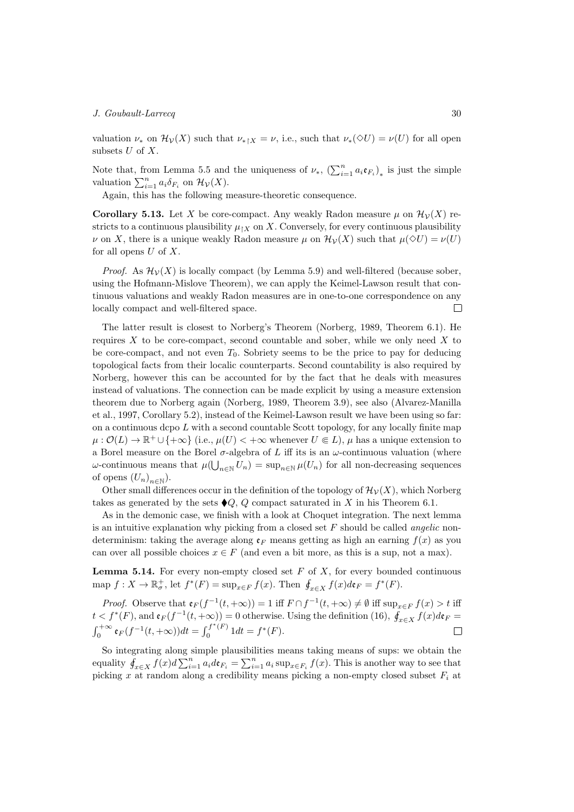valuation  $\nu_*$  on  $\mathcal{H}_{\mathcal{V}}(X)$  such that  $\nu_{*}(\infty,\mathcal{V}) = \nu(\mathcal{U})$  for all open subsets  $U$  of  $X$ .

Note that, from Lemma 5.5 and the uniqueness of  $\nu_*$ ,  $(\sum_{i=1}^n a_i \mathfrak{e}_{F_i})_*$  is just the simple valuation  $\sum_{i=1}^{n} a_i \delta_{F_i}$  on  $\mathcal{H}_{\mathcal{V}}(X)$ .

Again, this has the following measure-theoretic consequence.

**Corollary 5.13.** Let X be core-compact. Any weakly Radon measure  $\mu$  on  $\mathcal{H}_{\mathcal{V}}(X)$  restricts to a continuous plausibility  $\mu_{\upharpoonright X}$  on X. Conversely, for every continuous plausibility  $\nu$  on X, there is a unique weakly Radon measure  $\mu$  on  $\mathcal{H}_{\mathcal{V}}(X)$  such that  $\mu(\Diamond U) = \nu(U)$ for all opens  $U$  of  $X$ .

*Proof.* As  $\mathcal{H}_{\mathcal{V}}(X)$  is locally compact (by Lemma 5.9) and well-filtered (because sober, using the Hofmann-Mislove Theorem), we can apply the Keimel-Lawson result that continuous valuations and weakly Radon measures are in one-to-one correspondence on any locally compact and well-filtered space.  $\Box$ 

The latter result is closest to Norberg's Theorem (Norberg, 1989, Theorem 6.1). He requires  $X$  to be core-compact, second countable and sober, while we only need  $X$  to be core-compact, and not even  $T_0$ . Sobriety seems to be the price to pay for deducing topological facts from their localic counterparts. Second countability is also required by Norberg, however this can be accounted for by the fact that he deals with measures instead of valuations. The connection can be made explicit by using a measure extension theorem due to Norberg again (Norberg, 1989, Theorem 3.9), see also (Alvarez-Manilla et al., 1997, Corollary 5.2), instead of the Keimel-Lawson result we have been using so far: on a continuous dcpo  $L$  with a second countable Scott topology, for any locally finite map  $\mu: \mathcal{O}(L) \to \mathbb{R}^+ \cup \{+\infty\}$  (i.e.,  $\mu(U) < +\infty$  whenever  $U \in L$ ),  $\mu$  has a unique extension to a Borel measure on the Borel  $\sigma$ -algebra of L iff its is an  $\omega$ -continuous valuation (where  $\omega$ -continuous means that  $\mu(\bigcup_{n\in\mathbb{N}}U_n)=\sup_{n\in\mathbb{N}}\mu(U_n)$  for all non-decreasing sequences of opens  $(U_n)_{n\in\mathbb{N}}$ ).

Other small differences occur in the definition of the topology of  $\mathcal{H}_{\mathcal{V}}(X)$ , which Norberg takes as generated by the sets  $\blacklozenge Q$ , Q compact saturated in X in his Theorem 6.1.

As in the demonic case, we finish with a look at Choquet integration. The next lemma is an intuitive explanation why picking from a closed set  $F$  should be called *angelic* nondeterminism: taking the average along  $\mathfrak{e}_F$  means getting as high an earning  $f(x)$  as you can over all possible choices  $x \in F$  (and even a bit more, as this is a sup, not a max).

**Lemma 5.14.** For every non-empty closed set  $F$  of  $X$ , for every bounded continuous map  $f: X \to \mathbb{R}^+$ , let  $f^*(F) = \sup_{x \in F} f(x)$ . Then  $\oint_{x \in X} f(x) d\mathfrak{e}_F = f^*(F)$ .

*Proof.* Observe that  $\mathfrak{e}_F(f^{-1}(t,+\infty))=1$  iff  $F \cap f^{-1}(t,+\infty) \neq \emptyset$  iff  $\sup_{x \in F} f(x) > t$  iff  $t < f^*(F)$ , and  $\mathfrak{e}_F(f^{-1}(t,+\infty)) = 0$  otherwise. Using the definition (16),  $\oint_{x \in X} f(x) d\mathfrak{e}_F =$  $\int_0^{+\infty} {\bf e}_F(f^{-1}(t,+\infty))dt = \int_0^{f^*(F)}$  $j^{+}(F)$   $1dt = f^{*}(F).$  $\Box$ 

So integrating along simple plausibilities means taking means of sups: we obtain the equality  $\oint_{x \in X} f(x) d \sum_{i=1}^n a_i d \mathfrak{e}_{F_i} = \sum_{i=1}^n a_i \sup_{x \in F_i} f(x)$ . This is another way to see that picking  $x$  at random along a credibility means picking a non-empty closed subset  $F_i$  at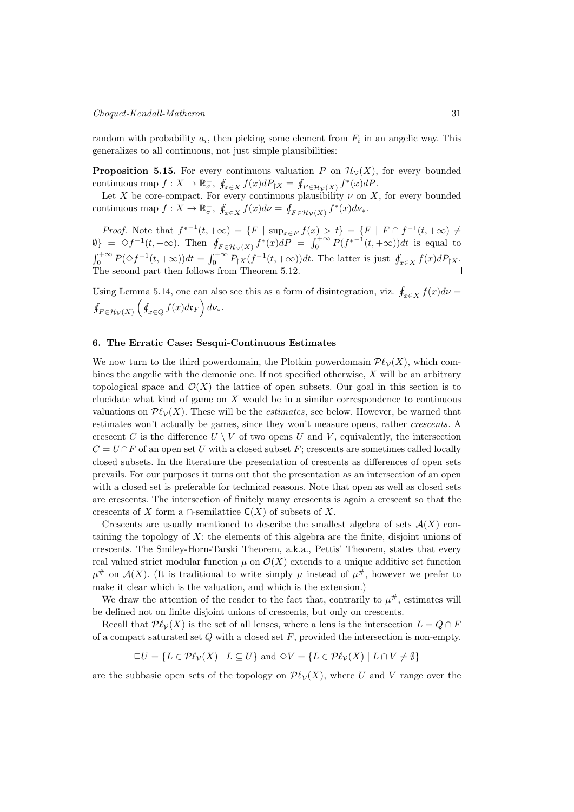random with probability  $a_i$ , then picking some element from  $F_i$  in an angelic way. This generalizes to all continuous, not just simple plausibilities:

**Proposition 5.15.** For every continuous valuation P on  $\mathcal{H}_{\mathcal{V}}(X)$ , for every bounded continuous map  $f: X \to \mathbb{R}^+$ ,  $\oint_{x \in X} f(x) dP_{|X} = \oint_{F \in \mathcal{H}_{\mathcal{V}}(X)} f^*(x) dP$ .

Let X be core-compact. For every continuous plausibility  $\nu$  on X, for every bounded continuous map  $f: X \to \mathbb{R}^+$ ,  $\oint_{x \in X} f(x) d\nu = \oint_{F \in \mathcal{H}_{\mathcal{V}}(X)} f^*(x) d\nu_*$ .

*Proof.* Note that  $f^{*-1}(t, +\infty) = \{F \mid \sup_{x \in F} f(x) > t\} = \{F \mid F \cap f^{-1}(t, +\infty) \neq 0\}$  $\emptyset$  =  $\diamond f^{-1}(t, +\infty)$ . Then  $\oint_{F \in \mathcal{H}_{\mathcal{V}}(X)} f^*(x) dP = \int_0^{+\infty} P(f^{*-1}(t, +\infty)) dt$  is equal to  $\int_0^{+\infty} P(\Diamond f^{-1}(t, +\infty)) dt = \int_0^{+\infty} P_{\vert X}(f^{-1}(t, +\infty)) dt$ . The latter is just  $\oint_{x \in X} f(x) dP_{\vert X}$ . The second part then follows from Theorem 5.12.

Using Lemma 5.14, one can also see this as a form of disintegration, viz.  $\oint_{x \in X} f(x) d\nu =$  $\oint_{F \in \mathcal{H}_{\mathcal{V}}(X)} \left( \oint_{x \in Q} f(x) d\mathfrak{e}_F \right) d\nu_*$ .

## 6. The Erratic Case: Sesqui-Continuous Estimates

We now turn to the third powerdomain, the Plotkin powerdomain  $\mathcal{P}\ell_{\mathcal{V}}(X)$ , which combines the angelic with the demonic one. If not specified otherwise,  $X$  will be an arbitrary topological space and  $\mathcal{O}(X)$  the lattice of open subsets. Our goal in this section is to elucidate what kind of game on  $X$  would be in a similar correspondence to continuous valuations on  $\mathcal{P}\ell_{\mathcal{V}}(X)$ . These will be the *estimates*, see below. However, be warned that estimates won't actually be games, since they won't measure opens, rather crescents. A crescent C is the difference  $U \setminus V$  of two opens U and V, equivalently, the intersection  $C = U \cap F$  of an open set U with a closed subset F; crescents are sometimes called locally closed subsets. In the literature the presentation of crescents as differences of open sets prevails. For our purposes it turns out that the presentation as an intersection of an open with a closed set is preferable for technical reasons. Note that open as well as closed sets are crescents. The intersection of finitely many crescents is again a crescent so that the crescents of X form a  $\cap$ -semilattice  $C(X)$  of subsets of X.

Crescents are usually mentioned to describe the smallest algebra of sets  $\mathcal{A}(X)$  containing the topology of  $X$ : the elements of this algebra are the finite, disjoint unions of crescents. The Smiley-Horn-Tarski Theorem, a.k.a., Pettis' Theorem, states that every real valued strict modular function  $\mu$  on  $\mathcal{O}(X)$  extends to a unique additive set function  $\mu^{\#}$  on  $\mathcal{A}(X)$ . (It is traditional to write simply  $\mu$  instead of  $\mu^{\#}$ , however we prefer to make it clear which is the valuation, and which is the extension.)

We draw the attention of the reader to the fact that, contrarily to  $\mu^{\#}$ , estimates will be defined not on finite disjoint unions of crescents, but only on crescents.

Recall that  $\mathcal{P}\ell_{\mathcal{V}}(X)$  is the set of all lenses, where a lens is the intersection  $L = Q \cap F$ of a compact saturated set  $Q$  with a closed set  $F$ , provided the intersection is non-empty.

 $\Box U = \{L \in \mathcal{P}\ell_{\mathcal{V}}(X) \mid L \subseteq U\}$  and  $\diamond V = \{L \in \mathcal{P}\ell_{\mathcal{V}}(X) \mid L \cap V \neq \emptyset\}$ 

are the subbasic open sets of the topology on  $\mathcal{P}\ell_{\mathcal{V}}(X)$ , where U and V range over the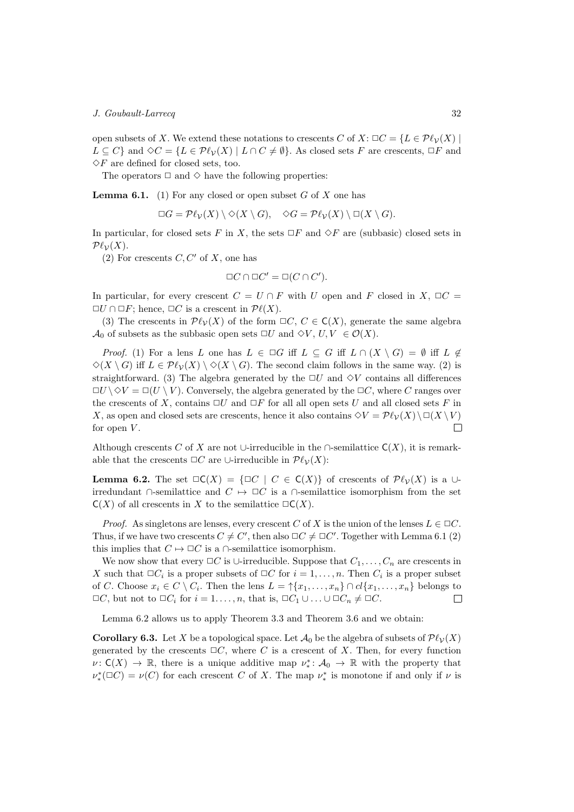open subsets of X. We extend these notations to crescents C of X:  $\Box C = \{L \in \mathcal{P}\ell_{\mathcal{V}}(X) \mid \Omega \in \mathcal{P}\ell_{\mathcal{V}}(X) \}$  $L \subseteq C$ } and  $\Diamond C = \{L \in \mathcal{P}\ell_{\mathcal{V}}(X) \mid L \cap C \neq \emptyset\}$ . As closed sets F are crescents,  $\Box F$  and  $\diamond F$  are defined for closed sets, too.

The operators  $\Box$  and  $\diamond$  have the following properties:

**Lemma 6.1.** (1) For any closed or open subset  $G$  of  $X$  one has

 $\Box G = \mathcal{P}\ell_{\mathcal{V}}(X) \setminus \Diamond(X \setminus G), \quad \Diamond G = \mathcal{P}\ell_{\mathcal{V}}(X) \setminus \Box(X \setminus G).$ 

In particular, for closed sets F in X, the sets  $\Box F$  and  $\Diamond F$  are (subbasic) closed sets in  $\mathcal{P}\ell_{\mathcal{V}}(X).$ 

(2) For crescents  $C, C'$  of  $X$ , one has

$$
\Box C \cap \Box C' = \Box (C \cap C').
$$

In particular, for every crescent  $C = U \cap F$  with U open and F closed in  $X$ ,  $\Box C$  $\Box U \cap \Box F$ ; hence,  $\Box C$  is a crescent in  $\mathcal{P}\ell(X)$ .

(3) The crescents in  $\mathcal{P}\ell_{\mathcal{V}}(X)$  of the form  $\Box C, C \in \mathsf{C}(X)$ , generate the same algebra  $\mathcal{A}_0$  of subsets as the subbasic open sets  $\Box U$  and  $\Diamond V, U, V \in \mathcal{O}(X)$ .

*Proof.* (1) For a lens L one has  $L \in \Box G$  iff  $L \subseteq G$  iff  $L \cap (X \setminus G) = \emptyset$  iff  $L \notin$  $\Diamond(X \setminus G)$  iff  $L \in \mathcal{P}\ell_{\mathcal{V}}(X) \setminus \Diamond(X \setminus G)$ . The second claim follows in the same way. (2) is straightforward. (3) The algebra generated by the  $\Box U$  and  $\Diamond V$  contains all differences  $\Box U \setminus \Diamond V = \Box (U \setminus V)$ . Conversely, the algebra generated by the  $\Box C$ , where C ranges over the crescents of X, contains  $\Box U$  and  $\Box F$  for all all open sets U and all closed sets F in X, as open and closed sets are crescents, hence it also contains  $\Diamond V = \mathcal{P}\ell_{\mathcal{V}}(X) \setminus \Box(X \setminus V)$ for open  $V$ .  $\Box$ 

Although crescents C of X are not ∪-irreducible in the ∩-semilattice  $C(X)$ , it is remarkable that the crescents  $\Box C$  are ∪-irreducible in  $\mathcal{P}\ell_{\mathcal{V}}(X)$ :

**Lemma 6.2.** The set  $\Box C(X) = {\Box C \mid C \in C(X)}$  of crescents of  $\mathcal{P}\ell_{\mathcal{V}}(X)$  is a  $\cup$ irredundant ∩-semilattice and  $C \rightarrow \Box C$  is a ∩-semilattice isomorphism from the set  $C(X)$  of all crescents in X to the semilattice  $\Box C(X)$ .

*Proof.* As singletons are lenses, every crescent C of X is the union of the lenses  $L \in \Box C$ . Thus, if we have two crescents  $C \neq C'$ , then also  $\Box C \neq \Box C'$ . Together with Lemma 6.1 (2) this implies that  $C \mapsto \Box C$  is a  $\cap$ -semilattice isomorphism.

We now show that every  $\Box C$  is ∪-irreducible. Suppose that  $C_1, \ldots, C_n$  are crescents in X such that  $\Box C_i$  is a proper subsets of  $\Box C$  for  $i = 1, \ldots, n$ . Then  $C_i$  is a proper subset of C. Choose  $x_i \in C \setminus C_i$ . Then the lens  $L = \uparrow \{x_1, \ldots, x_n\} \cap cl \{x_1, \ldots, x_n\}$  belongs to  $\Box C$ , but not to  $\Box C_i$  for  $i=1,\ldots,n$ , that is,  $\Box C_1 \cup \ldots \cup \Box C_n \neq \Box C$ .  $\Box$ 

Lemma 6.2 allows us to apply Theorem 3.3 and Theorem 3.6 and we obtain:

**Corollary 6.3.** Let X be a topological space. Let  $\mathcal{A}_0$  be the algebra of subsets of  $\mathcal{P}\ell_\mathcal{V}(X)$ generated by the crescents  $\Box C$ , where C is a crescent of X. Then, for every function  $\nu: C(X) \to \mathbb{R}$ , there is a unique additive map  $\nu^*: \mathcal{A}_0 \to \mathbb{R}$  with the property that  $\nu^*_*(\Box C) = \nu(C)$  for each crescent C of X. The map  $\nu^*_*$  is monotone if and only if  $\nu$  is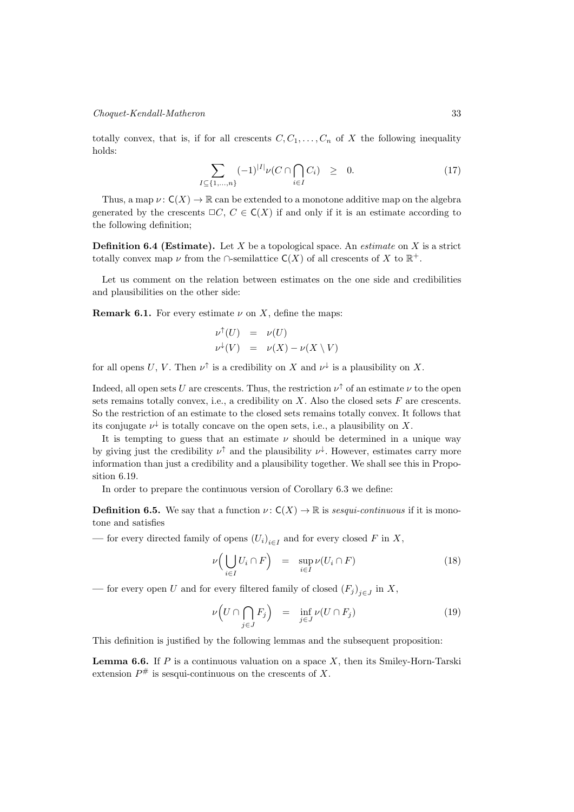## Choquet-Kendall-Matheron 33

totally convex, that is, if for all crescents  $C, C_1, \ldots, C_n$  of X the following inequality holds:

$$
\sum_{I \subseteq \{1,\dots,n\}} (-1)^{|I|} \nu(C \cap \bigcap_{i \in I} C_i) \geq 0. \tag{17}
$$

Thus, a map  $\nu: C(X) \to \mathbb{R}$  can be extended to a monotone additive map on the algebra generated by the crescents  $\Box C, C \in \mathsf{C}(X)$  if and only if it is an estimate according to the following definition;

**Definition 6.4 (Estimate).** Let X be a topological space. An *estimate* on X is a strict totally convex map  $\nu$  from the ∩-semilattice  $C(X)$  of all crescents of X to  $\mathbb{R}^+$ .

Let us comment on the relation between estimates on the one side and credibilities and plausibilities on the other side:

**Remark 6.1.** For every estimate  $\nu$  on X, define the maps:

$$
\nu^{\uparrow}(U) = \nu(U)
$$
  

$$
\nu^{\downarrow}(V) = \nu(X) - \nu(X \setminus V)
$$

for all opens U, V. Then  $\nu^{\uparrow}$  is a credibility on X and  $\nu^{\downarrow}$  is a plausibility on X.

Indeed, all open sets U are crescents. Thus, the restriction  $\nu^{\uparrow}$  of an estimate  $\nu$  to the open sets remains totally convex, i.e., a credibility on  $X$ . Also the closed sets  $F$  are crescents. So the restriction of an estimate to the closed sets remains totally convex. It follows that its conjugate  $\nu^{\downarrow}$  is totally concave on the open sets, i.e., a plausibility on X.

It is tempting to guess that an estimate  $\nu$  should be determined in a unique way by giving just the credibility  $\nu^{\uparrow}$  and the plausibility  $\nu^{\downarrow}$ . However, estimates carry more information than just a credibility and a plausibility together. We shall see this in Proposition 6.19.

In order to prepare the continuous version of Corollary 6.3 we define:

**Definition 6.5.** We say that a function  $\nu : C(X) \to \mathbb{R}$  is sesqui-continuous if it is monotone and satisfies

— for every directed family of opens  $(U_i)_{i \in I}$  and for every closed F in X,

$$
\nu\Big(\bigcup_{i\in I} U_i \cap F\Big) = \sup_{i\in I} \nu(U_i \cap F) \tag{18}
$$

— for every open U and for every filtered family of closed  $(F_j)_{j \in J}$  in X,

$$
\nu\Big(U\cap\bigcap_{j\in J}F_j\Big) = \inf_{j\in J}\nu(U\cap F_j) \tag{19}
$$

This definition is justified by the following lemmas and the subsequent proposition:

**Lemma 6.6.** If  $P$  is a continuous valuation on a space  $X$ , then its Smiley-Horn-Tarski extension  $P^{\#}$  is sesqui-continuous on the crescents of X.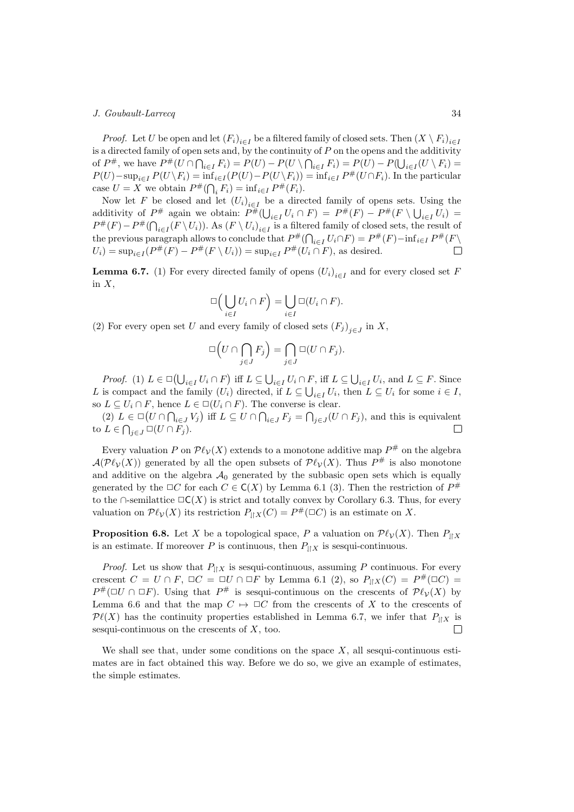*Proof.* Let U be open and let  $(F_i)_{i \in I}$  be a filtered family of closed sets. Then  $(X \setminus F_i)_{i \in I}$ is a directed family of open sets and, by the continuity of  $P$  on the opens and the additivity of  $P^{\#}$ , we have  $P^{\#}(U \cap \bigcap_{i \in I} F_i) = P(U) - P(U \setminus \bigcap_{i \in I} F_i) = P(U) - P(\bigcup_{i \in I} (U \setminus F_i) =$  $P(U)$ –sup $_{i\in I}P(U\setminus F_i) = \inf_{i\in I}(P(U) - P(U\setminus F_i)) = \inf_{i\in I}P^*(U\cap F_i)$ . In the particular case  $U = X$  we obtain  $P^{\#}(\bigcap_i F_i) = \inf_{i \in I} P^{\#}(F_i)$ .

Now let F be closed and let  $(U_i)_{i \in I}$  be a directed family of opens sets. Using the additivity of  $P^{\#}$  again we obtain:  $P^{\#}(\bigcup_{i\in I}U_i \cap F) = P^{\#}(F) - P^{\#}(F \setminus \bigcup_{i\in I}U_i) =$  $P^{\#}(F) - P^{\#}(\bigcap_{i \in I} (F \setminus U_i))$ . As  $(F \setminus U_i)_{i \in I}$  is a filtered family of closed sets, the result of the previous paragraph allows to conclude that  $P^{\#}(\bigcap_{i\in I} U_i \cap F) = P^{\#}(F) - \inf_{i\in I} P^{\#}(F)$  $U_i$ ) = sup<sub>i∈I</sub>( $P^{\#}(F) - P^{\#}(F \setminus U_i)$ ) = sup<sub>i∈I</sub>  $P^{\#}(U_i \cap F)$ , as desired.  $\Box$ 

**Lemma 6.7.** (1) For every directed family of opens  $(U_i)_{i \in I}$  and for every closed set F in  $X$ ,

$$
\Box\Big(\bigcup_{i\in I}U_i\cap F\Big)=\bigcup_{i\in I}\Box(U_i\cap F).
$$

(2) For every open set U and every family of closed sets  $(F_j)_{j \in J}$  in X,

$$
\Box \left( U \cap \bigcap_{j \in J} F_j \right) = \bigcap_{j \in J} \Box (U \cap F_j).
$$

*Proof.* (1)  $L \in \Box(\bigcup_{i \in I} U_i \cap F)$  iff  $L \subseteq \bigcup_{i \in I} U_i \cap F$ , iff  $L \subseteq \bigcup_{i \in I} U_i$ , and  $L \subseteq F$ . Since L is compact and the family  $(U_i)$  directed, if  $L \subseteq \bigcup_{i \in I} U_i$ , then  $L \subseteq U_i$  for some  $i \in I$ , so  $L \subseteq U_i \cap F$ , hence  $L \in \Box(U_i \cap F)$ . The converse is clear.

(2)  $L \in \Box(U \cap \bigcap_{i \in J} V_i)$  iff  $L \subseteq U \cap \bigcap_{i \in J} F_i = \bigcap_{j \in J} (U \cap F_j)$ , and this is equivalent to  $L \in \bigcap_{j \in J} \Box(U \cap F_j)$ .  $\Box$ 

Every valuation P on  $\mathcal{P}\ell_{\mathcal{V}}(X)$  extends to a monotone additive map  $P^{\#}$  on the algebra  $\mathcal{A}(\mathcal{P}\ell_{\mathcal{V}}(X))$  generated by all the open subsets of  $\mathcal{P}\ell_{\mathcal{V}}(X)$ . Thus  $P^{\#}$  is also monotone and additive on the algebra  $A_0$  generated by the subbasic open sets which is equally generated by the  $\Box C$  for each  $C \in \mathsf{C}(X)$  by Lemma 6.1 (3). Then the restriction of  $P^{\#}$ to the ∩-semilattice  $\square \mathsf{C}(X)$  is strict and totally convex by Corollary 6.3. Thus, for every valuation on  $\mathcal{P}\ell_{\mathcal{V}}(X)$  its restriction  $P_{\parallel X}(C) = P^{\#}(\square C)$  is an estimate on X.

**Proposition 6.8.** Let X be a topological space, P a valuation on  $\mathcal{P}\ell_{\mathcal{V}}(X)$ . Then  $P_{\parallel X}$ is an estimate. If moreover P is continuous, then  $P_{\parallel X}$  is sesqui-continuous.

*Proof.* Let us show that  $P_{\parallel X}$  is sesqui-continuous, assuming P continuous. For every crescent  $C = U \cap F$ ,  $\Box C = \Box U \cap \Box F$  by Lemma 6.1 (2), so  $P_{\parallel X}(C) = P^{\#}(\Box C) =$  $P^{\#}(\Box U \cap \Box F)$ . Using that  $P^{\#}$  is sesqui-continuous on the crescents of  $\mathcal{P}\ell_{\mathcal{V}}(X)$  by Lemma 6.6 and that the map  $C \mapsto \Box C$  from the crescents of X to the crescents of  $\mathcal{P}\ell(X)$  has the continuity properties established in Lemma 6.7, we infer that  $P_{\parallel X}$  is sesqui-continuous on the crescents of  $X$ , too.  $\Box$ 

We shall see that, under some conditions on the space  $X$ , all sesqui-continuous estimates are in fact obtained this way. Before we do so, we give an example of estimates, the simple estimates.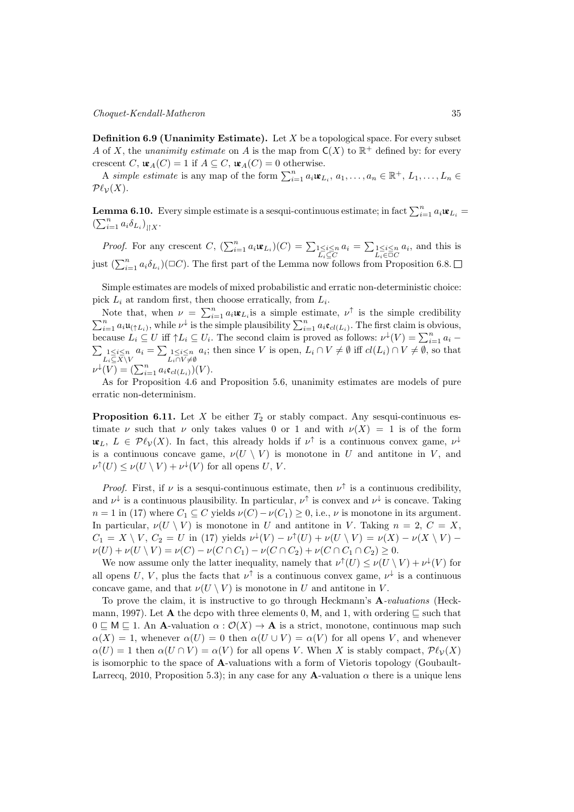**Definition 6.9 (Unanimity Estimate).** Let  $X$  be a topological space. For every subset A of X, the unanimity estimate on A is the map from  $C(X)$  to  $\mathbb{R}^+$  defined by: for every crescent C,  $\mathfrak{u}_{A}(C) = 1$  if  $A \subseteq C$ ,  $\mathfrak{u}_{A}(C) = 0$  otherwise.

A simple estimate is any map of the form  $\sum_{i=1}^{n} a_i \mathbf{w}_{L_i}, a_1, \ldots, a_n \in \mathbb{R}^+, L_1, \ldots, L_n \in$  $\mathcal{P}\ell_{\mathcal{V}}(X)$ .

**Lemma 6.10.** Every simple estimate is a sesqui-continuous estimate; in fact  $\sum_{i=1}^{n} a_i \mathbf{w}_{L_i} =$  $\left(\sum_{i=1}^n a_i \delta_{L_i}\right)_{\parallel X}.$ 

*Proof.* For any crescent  $C$ ,  $(\sum_{i=1}^{n} a_i \mathbf{u}_{L_i})(C) = \sum_{1 \leq i \leq n} a_i = \sum_{1 \leq i \leq n} a_i$ , and this is just  $(\sum_{i=1}^n a_i \delta_{L_i})(\Box C)$ . The first part of the Lemma now follows from Proposition 6.8.

Simple estimates are models of mixed probabilistic and erratic non-deterministic choice: pick  $L_i$  at random first, then choose erratically, from  $L_i$ .

Note that, when  $\nu = \sum_{i=1}^n a_i \mathbf{w}_{L_i}$  is a simple estimate,  $\nu^{\uparrow}$  is the simple credibility  $\sum_{i=1}^n a_i \mathfrak{u}_{(\uparrow L_i)}$ , while  $\nu^{\downarrow}$  is the simple plausibility  $\sum_{i=1}^n a_i \mathfrak{e}_{cl(L_i)}$ . The first claim is obvious, because  $L_i \subseteq U$  iff  $\uparrow L_i \subseteq U_i$ . The second claim is proved as follows:  $\nu^{\downarrow}(V) = \sum_{i=1}^n a_i$  $\sum_{\substack{1 \leq i \leq n \\ L_i \subseteq X \setminus V}} a_i = \sum_{\substack{1 \leq i \leq n \\ L_i \cap V \neq \emptyset}} a_i$ ; then since V is open,  $L_i \cap V \neq \emptyset$  iff  $cl(L_i) \cap V \neq \emptyset$ , so that  $\nu^{\downarrow}(V) = (\sum_{i=1}^{n} a_i \mathfrak{e}_{cl(L_i)})(V).$ 

As for Proposition 4.6 and Proposition 5.6, unanimity estimates are models of pure erratic non-determinism.

**Proposition 6.11.** Let  $X$  be either  $T_2$  or stably compact. Any sesqui-continuous estimate  $\nu$  such that  $\nu$  only takes values 0 or 1 and with  $\nu(X) = 1$  is of the form  $\mathfrak{u}_{L}, L \in \mathcal{P}\ell_{\mathcal{V}}(X)$ . In fact, this already holds if  $\nu^{\uparrow}$  is a continuous convex game,  $\nu^{\downarrow}$ is a continuous concave game,  $\nu(U \setminus V)$  is monotone in U and antitone in V, and  $\nu^{\uparrow}(U) \leq \nu(U \setminus V) + \nu^{\downarrow}(V)$  for all opens U, V.

*Proof.* First, if  $\nu$  is a sesqui-continuous estimate, then  $\nu^{\uparrow}$  is a continuous credibility, and  $\nu^{\downarrow}$  is a continuous plausibility. In particular,  $\nu^{\uparrow}$  is convex and  $\nu^{\downarrow}$  is concave. Taking  $n = 1$  in (17) where  $C_1 \subseteq C$  yields  $\nu(C) - \nu(C_1) \geq 0$ , i.e.,  $\nu$  is monotone in its argument. In particular,  $\nu(U \setminus V)$  is monotone in U and antitone in V. Taking  $n = 2, C = X$ ,  $C_1 = X \setminus V, C_2 = U$  in (17) yields  $\nu^{\downarrow}(V) - \nu^{\uparrow}(U) + \nu(U \setminus V) = \nu(X) - \nu(X \setminus V)$  $\nu(U) + \nu(U \setminus V) = \nu(C) - \nu(C \cap C_1) - \nu(C \cap C_2) + \nu(C \cap C_1 \cap C_2) \geq 0.$ 

We now assume only the latter inequality, namely that  $\nu^{\uparrow}(U) \leq \nu(U \setminus V) + \nu^{\downarrow}(V)$  for all opens U, V, plus the facts that  $\nu^{\uparrow}$  is a continuous convex game,  $\nu^{\downarrow}$  is a continuous concave game, and that  $\nu(U \setminus V)$  is monotone in U and antitone in V.

To prove the claim, it is instructive to go through Heckmann's A-valuations (Heckmann, 1997). Let **A** the dcpo with three elements 0, M, and 1, with ordering  $\subseteq$  such that  $0 \subseteq M \subseteq 1$ . An A-valuation  $\alpha : \mathcal{O}(X) \to A$  is a strict, monotone, continuous map such  $\alpha(X) = 1$ , whenever  $\alpha(U) = 0$  then  $\alpha(U \cup V) = \alpha(V)$  for all opens V, and whenever  $\alpha(U) = 1$  then  $\alpha(U \cap V) = \alpha(V)$  for all opens V. When X is stably compact,  $\mathcal{P}\ell_{\mathcal{V}}(X)$ is isomorphic to the space of A-valuations with a form of Vietoris topology (Goubault-Larrecq, 2010, Proposition 5.3); in any case for any **A**-valuation  $\alpha$  there is a unique lens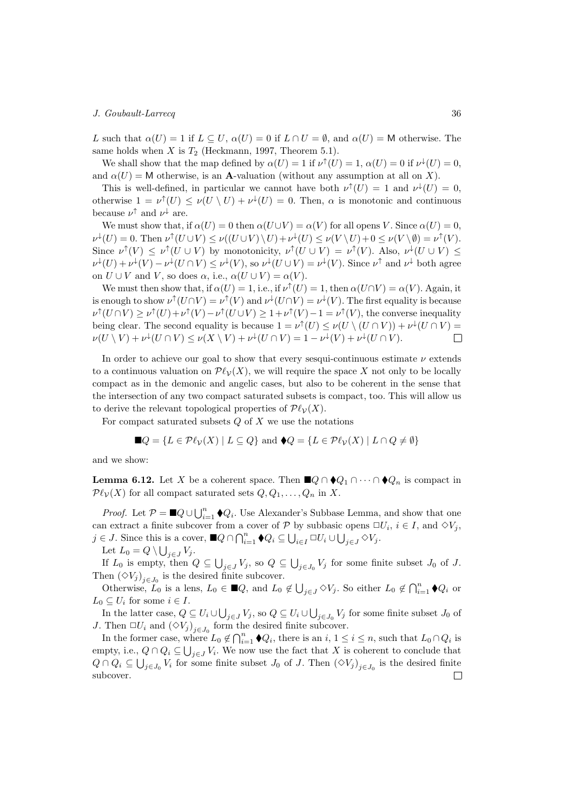L such that  $\alpha(U) = 1$  if  $L \subseteq U$ ,  $\alpha(U) = 0$  if  $L \cap U = \emptyset$ , and  $\alpha(U) = M$  otherwise. The same holds when  $X$  is  $T_2$  (Heckmann, 1997, Theorem 5.1).

We shall show that the map defined by  $\alpha(U) = 1$  if  $\nu^{\dagger}(U) = 1$ ,  $\alpha(U) = 0$  if  $\nu^{\dagger}(U) = 0$ , and  $\alpha(U) = M$  otherwise, is an **A**-valuation (without any assumption at all on X).

This is well-defined, in particular we cannot have both  $\nu^{\uparrow}(U) = 1$  and  $\nu^{\downarrow}(U) = 0$ , otherwise  $1 = \nu^{\uparrow}(U) \leq \nu(U \setminus U) + \nu^{\downarrow}(U) = 0$ . Then,  $\alpha$  is monotonic and continuous because  $\nu^{\uparrow}$  and  $\nu^{\downarrow}$  are.

We must show that, if  $\alpha(U) = 0$  then  $\alpha(U \cup V) = \alpha(V)$  for all opens V. Since  $\alpha(U) = 0$ ,  $\nu^{\downarrow}(U) = 0.$  Then  $\nu^{\uparrow}(U \cup V) \leq \nu((U \cup V) \setminus U) + \nu^{\downarrow}(U) \leq \nu(V \setminus U) + 0 \leq \nu(V \setminus \emptyset) = \nu^{\uparrow}(V).$ Since  $\nu^{\uparrow}(V) \leq \nu^{\uparrow}(U \cup V)$  by monotonicity,  $\nu^{\uparrow}(U \cup V) = \nu^{\uparrow}(V)$ . Also,  $\nu^{\downarrow}(U \cup V) \leq$  $\nu^{\downarrow}(U) + \nu^{\downarrow}(V) - \nu^{\downarrow}(U \cap V) \leq \nu^{\downarrow}(V)$ , so  $\nu^{\downarrow}(U \cup V) = \nu^{\downarrow}(V)$ . Since  $\nu^{\uparrow}$  and  $\nu^{\downarrow}$  both agree on  $U \cup V$  and  $V$ , so does  $\alpha$ , i.e.,  $\alpha(U \cup V) = \alpha(V)$ .

We must then show that, if  $\alpha(U) = 1$ , i.e., if  $\nu^{\uparrow}(U) = 1$ , then  $\alpha(U \cap V) = \alpha(V)$ . Again, it is enough to show  $\nu^{\uparrow}(U \cap V) = \nu^{\uparrow}(V)$  and  $\nu^{\downarrow}(U \cap V) = \nu^{\downarrow}(V)$ . The first equality is because  $\nu^{\uparrow}(U \cap V) \geq \nu^{\uparrow}(U) + \nu^{\uparrow}(V) - \nu^{\uparrow}(U \cup V) \geq 1 + \nu^{\uparrow}(V) - 1 = \nu^{\uparrow}(V)$ , the converse inequality being clear. The second equality is because  $1 = \nu^{\uparrow}(U) \leq \nu(U \setminus (U \cap V)) + \nu^{\downarrow}(U \cap V) =$  $\nu(U \setminus V) + \nu^{\downarrow}(U \cap V) \leq \nu(X \setminus V) + \nu^{\downarrow}(U \cap V) = 1 - \nu^{\downarrow}(V) + \nu^{\downarrow}(U \cap V).$  $\Box$ 

In order to achieve our goal to show that every sesqui-continuous estimate  $\nu$  extends to a continuous valuation on  $\mathcal{P}\ell_{\mathcal{V}}(X)$ , we will require the space X not only to be locally compact as in the demonic and angelic cases, but also to be coherent in the sense that the intersection of any two compact saturated subsets is compact, too. This will allow us to derive the relevant topological properties of  $\mathcal{P}\ell_{\mathcal{V}}(X)$ .

For compact saturated subsets  $Q$  of  $X$  we use the notations

$$
\blacksquare Q = \{ L \in \mathcal{P}\ell_{\mathcal{V}}(X) \mid L \subseteq Q \} \text{ and } \blacklozenge Q = \{ L \in \mathcal{P}\ell_{\mathcal{V}}(X) \mid L \cap Q \neq \emptyset \}
$$

and we show:

**Lemma 6.12.** Let X be a coherent space. Then  $\blacksquare Q \cap \blacklozenge Q_1 \cap \cdots \cap \blacklozenge Q_n$  is compact in  $\mathcal{P}\ell_{\mathcal{V}}(X)$  for all compact saturated sets  $Q, Q_1, \ldots, Q_n$  in X.

*Proof.* Let  $P = \blacksquare Q \cup \bigcup_{i=1}^{n} \blacklozenge Q_i$ . Use Alexander's Subbase Lemma, and show that one can extract a finite subcover from a cover of  $P$  by subbasic opens  $\Box U_i$ ,  $i \in I$ , and  $\Diamond V_j$ ,  $j \in J$ . Since this is a cover,  $\blacksquare Q \cap \bigcap_{i=1}^n \blacklozenge Q_i \subseteq \bigcup_{i \in I} \square U_i \cup \bigcup_{j \in J} \lozenge V_j$ .

Let  $L_0 = Q \setminus \bigcup_{j \in J} V_j$ .

If  $L_0$  is empty, then  $Q \subseteq \bigcup_{j \in J} V_j$ , so  $Q \subseteq \bigcup_{j \in J_0} V_j$  for some finite subset  $J_0$  of  $J$ . Then  $(\Diamond V_j)_{j \in J_0}$  is the desired finite subcover.

Otherwise,  $L_0$  is a lens,  $L_0 \in \mathbb{R}Q$ , and  $L_0 \notin \bigcup_{j\in J} \Diamond V_j$ . So either  $L_0 \notin \bigcap_{i=1}^n \blacklozenge Q_i$  or  $L_0 \subseteq U_i$  for some  $i \in I$ .

In the latter case,  $Q \subseteq U_i \cup \bigcup_{j \in J} V_j$ , so  $Q \subseteq U_i \cup \bigcup_{j \in J_0} V_j$  for some finite subset  $J_0$  of J. Then  $\Box U_i$  and  $(\Diamond V_j)_{j \in J_0}$  form the desired finite subcover.

In the former case, where  $L_0 \notin \bigcap_{i=1}^n \blacklozenge Q_i$ , there is an  $i, 1 \leq i \leq n$ , such that  $L_0 \cap Q_i$  is empty, i.e.,  $Q \cap Q_i \subseteq \bigcup_{j \in J} V_i$ . We now use the fact that X is coherent to conclude that  $Q \cap Q_i \subseteq \bigcup_{j \in J_0} V_i$  for some finite subset  $J_0$  of  $J$ . Then  $(\Diamond V_j)_{j \in J_0}$  is the desired finite subcover. $\Box$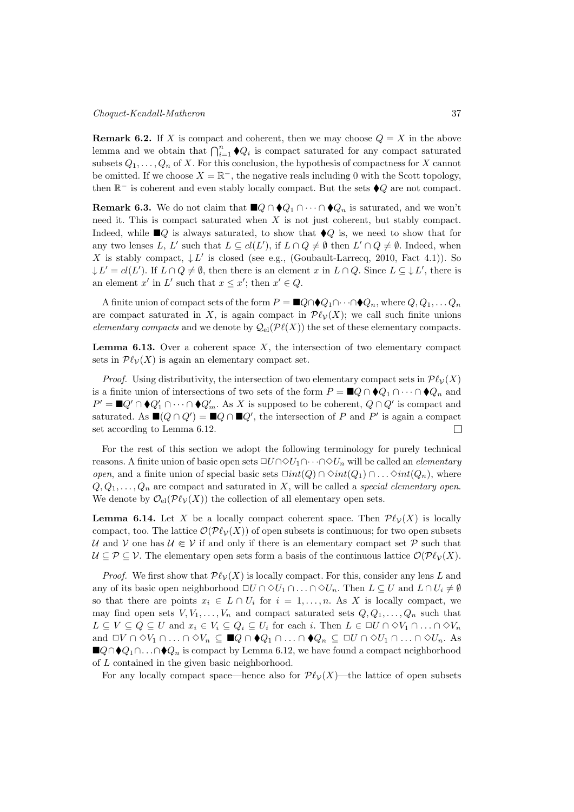**Remark 6.2.** If X is compact and coherent, then we may choose  $Q = X$  in the above lemma and we obtain that  $\bigcap_{i=1}^n \blacklozenge Q_i$  is compact saturated for any compact saturated subsets  $Q_1, \ldots, Q_n$  of X. For this conclusion, the hypothesis of compactness for X cannot be omitted. If we choose  $X = \mathbb{R}^-$ , the negative reals including 0 with the Scott topology, then  $\mathbb{R}^-$  is coherent and even stably locally compact. But the sets  $\blacklozenge Q$  are not compact.

**Remark 6.3.** We do not claim that  $\blacksquare Q \cap \blacklozenge Q_1 \cap \cdots \cap \blacklozenge Q_n$  is saturated, and we won't need it. This is compact saturated when  $X$  is not just coherent, but stably compact. Indeed, while  $\Box Q$  is always saturated, to show that  $\Diamond Q$  is, we need to show that for any two lenses L, L' such that  $L \subseteq cl(L')$ , if  $L \cap Q \neq \emptyset$  then  $L' \cap Q \neq \emptyset$ . Indeed, when X is stably compact,  $\downarrow$  L' is closed (see e.g., (Goubault-Larrecq, 2010, Fact 4.1)). So  $\downarrow L' = cl(L')$ . If  $L \cap Q \neq \emptyset$ , then there is an element x in  $L \cap Q$ . Since  $L \subseteq \downarrow L'$ , there is an element x' in L' such that  $x \leq x'$ ; then  $x' \in Q$ .

A finite union of compact sets of the form  $P = \blacksquare Q \cap \blacklozenge Q_1 \cap \cdots \cap \blacklozenge Q_n$ , where  $Q, Q_1, \ldots, Q_n$ are compact saturated in X, is again compact in  $\mathcal{P}\ell_{\mathcal{V}}(X)$ ; we call such finite unions elementary compacts and we denote by  $\mathcal{Q}_{el}(\mathcal{P}\ell(X))$  the set of these elementary compacts.

**Lemma 6.13.** Over a coherent space  $X$ , the intersection of two elementary compact sets in  $\mathcal{P}\ell_{\mathcal{V}}(X)$  is again an elementary compact set.

*Proof.* Using distributivity, the intersection of two elementary compact sets in  $\mathcal{P}\ell_{\mathcal{V}}(X)$ is a finite union of intersections of two sets of the form  $P = \blacksquare Q \cap \blacklozenge Q_1 \cap \cdots \cap \blacklozenge Q_n$  and  $P' = \blacksquare Q' \cap \blacklozenge Q'_1 \cap \cdots \cap \blacklozenge Q'_m$ . As X is supposed to be coherent,  $Q \cap Q'$  is compact and saturated. As  $\blacksquare(Q \cap Q') = \blacksquare Q \cap \blacksquare Q'$ , the intersection of P and P' is again a compact set according to Lemma 6.12.  $\Box$ 

For the rest of this section we adopt the following terminology for purely technical reasons. A finite union of basic open sets  $\Box U \cap \Diamond U_1 \cap \cdots \cap \Diamond U_n$  will be called an *elementary* open, and a finite union of special basic sets  $\Box int(Q) \cap \Diamond int(Q_1) \cap \dots \Diamond int(Q_n)$ , where  $Q, Q_1, \ldots, Q_n$  are compact and saturated in X, will be called a special elementary open. We denote by  $\mathcal{O}_{\mathrm{el}}(\mathcal{P}\ell_{\mathcal{V}}(X))$  the collection of all elementary open sets.

**Lemma 6.14.** Let X be a locally compact coherent space. Then  $\mathcal{P}\ell_\mathcal{V}(X)$  is locally compact, too. The lattice  $\mathcal{O}(\mathcal{P}\ell_{\mathcal{V}}(X))$  of open subsets is continuous; for two open subsets  $\mathcal U$  and  $\mathcal V$  one has  $\mathcal U \Subset \mathcal V$  if and only if there is an elementary compact set  $\mathcal P$  such that  $\mathcal{U} \subset \mathcal{P} \subset \mathcal{V}$ . The elementary open sets form a basis of the continuous lattice  $\mathcal{O}(\mathcal{P}\ell_{\mathcal{V}}(X))$ .

*Proof.* We first show that  $\mathcal{P}\ell_{\mathcal{V}}(X)$  is locally compact. For this, consider any lens L and any of its basic open neighborhood  $\Box U \cap \Diamond U_1 \cap \ldots \cap \Diamond U_n$ . Then  $L \subseteq U$  and  $L \cap U_i \neq \emptyset$ so that there are points  $x_i \in L \cap U_i$  for  $i = 1, \ldots, n$ . As X is locally compact, we may find open sets  $V, V_1, \ldots, V_n$  and compact saturated sets  $Q, Q_1, \ldots, Q_n$  such that  $L \subseteq V \subseteq Q \subseteq U$  and  $x_i \in V_i \subseteq Q_i \subseteq U_i$  for each i. Then  $L \in \Box U \cap \Diamond V_1 \cap \ldots \cap \Diamond V_n$ and  $\Box V \cap \Diamond V_1 \cap \ldots \cap \Diamond V_n \subseteq \blacksquare Q \cap \blacklozenge Q_1 \cap \ldots \cap \blacklozenge Q_n \subseteq \Box U \cap \Diamond U_1 \cap \ldots \cap \Diamond U_n$ . As **■** $Q \cap Q_1 \cap \ldots \cap Q_n$  is compact by Lemma 6.12, we have found a compact neighborhood of  $L$  contained in the given basic neighborhood.

For any locally compact space—hence also for  $\mathcal{P}\ell_{\mathcal{V}}(X)$ —the lattice of open subsets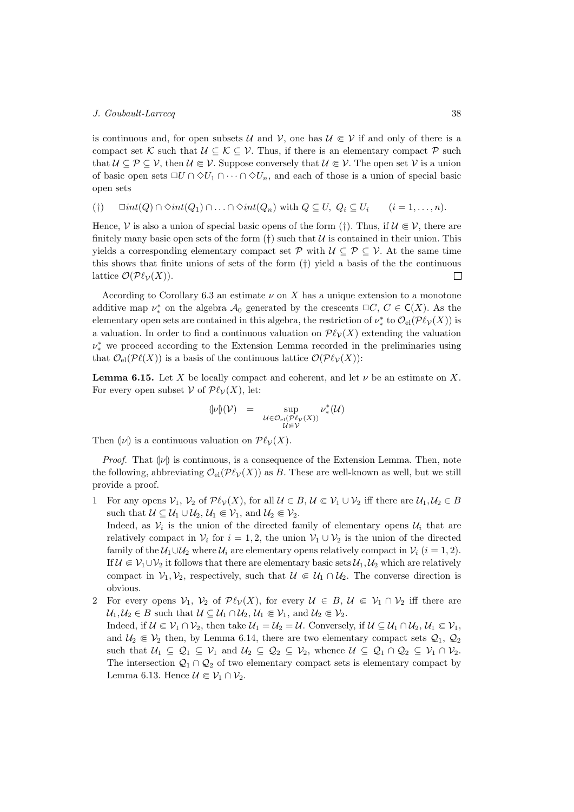is continuous and, for open subsets  $\mathcal{U}$  and  $\mathcal{V}$ , one has  $\mathcal{U} \in \mathcal{V}$  if and only of there is a compact set K such that  $\mathcal{U} \subseteq \mathcal{K} \subseteq \mathcal{V}$ . Thus, if there is an elementary compact  $\mathcal{P}$  such that  $\mathcal{U} \subseteq \mathcal{P} \subseteq \mathcal{V}$ , then  $\mathcal{U} \in \mathcal{V}$ . Suppose conversely that  $\mathcal{U} \in \mathcal{V}$ . The open set  $\mathcal{V}$  is a union of basic open sets  $\Box U \cap \Diamond U_1 \cap \cdots \cap \Diamond U_n$ , and each of those is a union of special basic open sets

(†)  $\Box int(Q) \cap \Diamond int(Q_1) \cap \ldots \cap \Diamond int(Q_n)$  with  $Q \subseteq U$ ,  $Q_i \subseteq U_i$   $(i = 1, \ldots, n)$ .

Hence,  $\mathcal V$  is also a union of special basic opens of the form (†). Thus, if  $\mathcal U \in \mathcal V$ , there are finitely many basic open sets of the form  $(\dagger)$  such that  $\mathcal U$  is contained in their union. This yields a corresponding elementary compact set  $\mathcal{P}$  with  $\mathcal{U} \subset \mathcal{P} \subset \mathcal{V}$ . At the same time this shows that finite unions of sets of the form (†) yield a basis of the the continuous lattice  $\mathcal{O}(\mathcal{P}\ell_{\mathcal{V}}(X)).$  $\Box$ 

According to Corollary 6.3 an estimate  $\nu$  on  $X$  has a unique extension to a monotone additive map  $\nu^*$  on the algebra  $\mathcal{A}_0$  generated by the crescents  $\Box C, C \in \mathsf{C}(X)$ . As the elementary open sets are contained in this algebra, the restriction of  $\nu^*_*$  to  $\mathcal{O}_{\text{el}}(\mathcal{P}\ell_\mathcal{V}(X))$  is a valuation. In order to find a continuous valuation on  $\mathcal{P}\ell_{\mathcal{V}}(X)$  extending the valuation  $\nu^*_*$  we proceed according to the Extension Lemma recorded in the preliminaries using that  $\mathcal{O}_{\text{el}}(\mathcal{P}\ell(X))$  is a basis of the continuous lattice  $\mathcal{O}(\mathcal{P}\ell_{\mathcal{V}}(X))$ :

**Lemma 6.15.** Let X be locally compact and coherent, and let  $\nu$  be an estimate on X. For every open subset  $V$  of  $\mathcal{P}\ell_{\mathcal{V}}(X)$ , let:

$$
\begin{array}{rcl} \displaystyle{(|\nu|)(\mathcal{V})} & = & \displaystyle{\sup_{\mathcal{U} \in \mathcal{O}_{\mathrm{el}}(\mathcal{P}\ell_{\mathcal{V}}(X))} \nu^*_*(\mathcal{U})} \\ & & \displaystyle{\inf_{\mathcal{U} \in \mathcal{V}} \nu} \end{array}
$$

Then  $|\psi|$  is a continuous valuation on  $\mathcal{P}\ell_{\mathcal{V}}(X)$ .

*Proof.* That  $|\nu|$  is continuous, is a consequence of the Extension Lemma. Then, note the following, abbreviating  $\mathcal{O}_{\text{el}}(\mathcal{P}\ell_{\mathcal{V}}(X))$  as B. These are well-known as well, but we still provide a proof.

1 For any opens  $V_1$ ,  $V_2$  of  $\mathcal{P}\ell_\mathcal{V}(X)$ , for all  $\mathcal{U} \in B$ ,  $\mathcal{U} \in \mathcal{V}_1 \cup \mathcal{V}_2$  iff there are  $\mathcal{U}_1, \mathcal{U}_2 \in B$ such that  $\mathcal{U} \subseteq \mathcal{U}_1 \cup \mathcal{U}_2$ ,  $\mathcal{U}_1 \Subset \mathcal{V}_1$ , and  $\mathcal{U}_2 \Subset \mathcal{V}_2$ .

Indeed, as  $V_i$  is the union of the directed family of elementary opens  $\mathcal{U}_i$  that are relatively compact in  $\mathcal{V}_i$  for  $i = 1, 2$ , the union  $\mathcal{V}_1 \cup \mathcal{V}_2$  is the union of the directed family of the  $\mathcal{U}_1 \cup \mathcal{U}_2$  where  $\mathcal{U}_i$  are elementary opens relatively compact in  $\mathcal{V}_i$   $(i = 1, 2)$ . If  $\mathcal{U} \in \mathcal{V}_1 \cup \mathcal{V}_2$  it follows that there are elementary basic sets  $\mathcal{U}_1, \mathcal{U}_2$  which are relatively compact in  $\mathcal{V}_1, \mathcal{V}_2$ , respectively, such that  $\mathcal{U} \in \mathcal{U}_1 \cap \mathcal{U}_2$ . The converse direction is obvious.

2 For every opens  $\mathcal{V}_1$ ,  $\mathcal{V}_2$  of  $\mathcal{P}\ell_\mathcal{V}(X)$ , for every  $\mathcal{U} \in B$ ,  $\mathcal{U} \in \mathcal{V}_1 \cap \mathcal{V}_2$  iff there are  $\mathcal{U}_1, \mathcal{U}_2 \in B$  such that  $\mathcal{U} \subseteq \mathcal{U}_1 \cap \mathcal{U}_2$ ,  $\mathcal{U}_1 \in \mathcal{V}_1$ , and  $\mathcal{U}_2 \in \mathcal{V}_2$ .

Indeed, if  $\mathcal{U} \in \mathcal{V}_1 \cap \mathcal{V}_2$ , then take  $\mathcal{U}_1 = \mathcal{U}_2 = \mathcal{U}$ . Conversely, if  $\mathcal{U} \subseteq \mathcal{U}_1 \cap \mathcal{U}_2$ ,  $\mathcal{U}_1 \in \mathcal{V}_1$ , and  $\mathcal{U}_2 \in \mathcal{V}_2$  then, by Lemma 6.14, there are two elementary compact sets  $\mathcal{Q}_1$ ,  $\mathcal{Q}_2$ such that  $\mathcal{U}_1 \subseteq \mathcal{Q}_1 \subseteq \mathcal{V}_1$  and  $\mathcal{U}_2 \subseteq \mathcal{Q}_2 \subseteq \mathcal{V}_2$ , whence  $\mathcal{U} \subseteq \mathcal{Q}_1 \cap \mathcal{Q}_2 \subseteq \mathcal{V}_1 \cap \mathcal{V}_2$ . The intersection  $\mathcal{Q}_1 \cap \mathcal{Q}_2$  of two elementary compact sets is elementary compact by Lemma 6.13. Hence  $\mathcal{U} \in \mathcal{V}_1 \cap \mathcal{V}_2$ .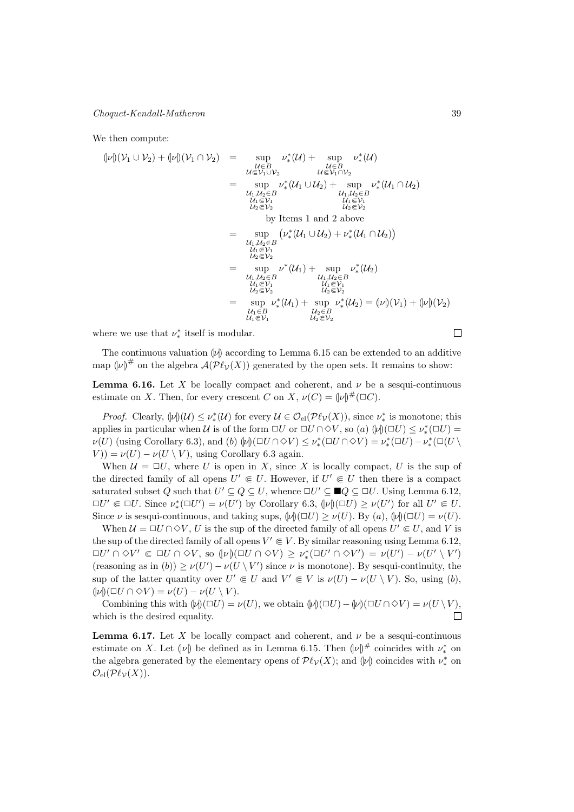We then compute:

$$
\begin{array}{rcl}\n\langle |\nu| \rangle(\mathcal{V}_1 \cup \mathcal{V}_2) + \langle |\nu| \rangle(\mathcal{V}_1 \cap \mathcal{V}_2) & = & \sup_{\mathcal{U} \in B} \nu^*_*(\mathcal{U}) + \sup_{\mathcal{U} \in B} \nu^*_*(\mathcal{U}) \\
& = & \sup_{\mathcal{U}_1 \cup \mathcal{V}_2} \nu^*_*(\mathcal{U}_1 \cup \mathcal{U}_2) + \sup_{\mathcal{U}_1 \cup \mathcal{U}_2 \in B} \nu^*_*(\mathcal{U}_1 \cap \mathcal{U}_2) \\
& = & \sup_{\mathcal{U}_1 \in \mathcal{V}_1} \nu^*_*(\mathcal{U}_1 \cup \mathcal{U}_2) + \sup_{\mathcal{U}_1 \cup \mathcal{U}_2 \in B} \nu^*_*(\mathcal{U}_1 \cap \mathcal{U}_2) \\
& = & \sup_{\mathcal{U}_1 \in \mathcal{V}_2} \nu^*_*(\mathcal{U}_1 \cup \mathcal{U}_2) + \nu^*_*(\mathcal{U}_1 \cap \mathcal{U}_2) \\
& = & \sup_{\mathcal{U}_1 \in \mathcal{V}_1} \nu^*_*(\mathcal{U}_1 \cup \mathcal{U}_2) + \nu^*_*(\mathcal{U}_1 \cap \mathcal{U}_2) \\
& = & \sup_{\mathcal{U}_1 \in \mathcal{V}_1} \nu^*_*(\mathcal{U}_1) + \sup_{\mathcal{U}_2 \in \mathcal{V}_2} \nu^*_*(\mathcal{U}_2) \\
& = & \sup_{\mathcal{U}_1 \in \mathcal{V}_1} \nu^*_*(\mathcal{U}_1) + \sup_{\mathcal{U}_2 \in \mathcal{V}_2} \nu^*_*(\mathcal{U}_2) \\
& = & \sup_{\mathcal{U}_1 \in \mathcal{V}_1} \nu^*_*(\mathcal{U}_1) + \sup_{\mathcal{U}_2 \in \mathcal{V}_2} \nu^*_*(\mathcal{U}_2) = (\vert \nu \vert) (\mathcal{V}_1) + (\vert \nu \vert) (\mathcal{V}_2) \\
& = & \sup_{\mathcal{U}_1 \in B} \nu^*_*(\mathcal{U}_1) + \sup_{\mathcal{U}_2 \in \mathcal{V}_2} \nu^
$$

where we use that  $\nu^*_*$  itself is modular.

The continuous valuation  $|\psi\rangle$  according to Lemma 6.15 can be extended to an additive map  $(\nu)^{\#}$  on the algebra  $\mathcal{A}(\mathcal{P}\ell_{\mathcal{V}}(X))$  generated by the open sets. It remains to show:

**Lemma 6.16.** Let X be locally compact and coherent, and  $\nu$  be a sesqui-continuous estimate on X. Then, for every crescent C on X,  $\nu(C) = (\nu)^{\#}(\Box C)$ .

*Proof.* Clearly,  $(\psi)(\mathcal{U}) \leq \nu^*(\mathcal{U})$  for every  $\mathcal{U} \in \mathcal{O}_{\mathrm{el}}(\mathcal{P}\ell_{\mathcal{V}}(X))$ , since  $\nu^*$  is monotone; this applies in particular when  $\mathcal U$  is of the form  $\Box U$  or  $\Box U \cap \Diamond V$ , so  $(a)$   $(\psi)(\Box U) \leq \nu^*_*(\Box U)$  $\nu(U)$  (using Corollary 6.3), and (b)  $\psi([ \Box U \cap \Diamond V) \leq \nu^*_{*}(\Box U \cap \Diamond V) = \nu^*_{*}(\Box U) - \nu^*_{*}(\Box ( \cup V) \cap \Diamond V)$  $(V) = \nu(U) - \nu(U \setminus V)$ , using Corollary 6.3 again.

When  $\mathcal{U} = \Box U$ , where U is open in X, since X is locally compact, U is the sup of the directed family of all opens  $U' \in U$ . However, if  $U' \in U$  then there is a compact saturated subset Q such that  $U' \subseteq Q \subseteq U$ , whence  $\Box U' \subseteq \blacksquare Q \subseteq \Box U$ . Using Lemma 6.12,  $\Box U' \Subset \Box U$ . Since  $\nu^*_*(\Box U') = \nu(U')$  by Corollary 6.3,  $(\nu)(\Box U) \geq \nu(U')$  for all  $U' \Subset U$ . Since  $\nu$  is sesqui-continuous, and taking sups,  $(|\nu|)(\square U) > \nu(U)$ . By  $(a)$ ,  $(|\nu|)(\square U) = \nu(U)$ .

When  $\mathcal{U} = \Box U \cap \Diamond V$ , U is the sup of the directed family of all opens  $U' \in U$ , and V is the sup of the directed family of all opens  $V' \in V$ . By similar reasoning using Lemma 6.12,  $\Box U' \cap \Diamond V' \in \Box U \cap \Diamond V, \text{ so } (\nu)(\Box U \cap \Diamond V) \ge \nu^*_*(\Box U' \cap \Diamond V') = \nu(U') - \nu(U' \setminus V')$ (reasoning as in  $(b)$ )  $\geq \nu(U') - \nu(U \setminus V')$  since  $\nu$  is monotone). By sesqui-continuity, the sup of the latter quantity over  $U' \in U$  and  $V' \in V$  is  $\nu(U) - \nu(U \setminus V)$ . So, using (b),  $(|\nu|)(\square U \cap \diamond V) = \nu(U) - \nu(U \setminus V).$ 

Combining this with  $(\psi)(\Box U) = \nu(U)$ , we obtain  $(\psi)(\Box U) - (\psi)(\Box U \cap \Diamond V) = \nu(U \setminus V)$ , which is the desired equality.  $\Box$ 

**Lemma 6.17.** Let X be locally compact and coherent, and  $\nu$  be a sesqui-continuous estimate on X. Let  $(\nu)$  be defined as in Lemma 6.15. Then  $(\nu)^\#$  coincides with  $\nu^*_*$  on the algebra generated by the elementary opens of  $\mathcal{P}\ell_{\mathcal{V}}(X)$ ; and  $\llbracket \nu \rrbracket$  coincides with  $\nu^*_*$  on  $\mathcal{O}_{\mathrm{el}}(\mathcal{P}\ell_{\mathcal{V}}(X)).$ 

 $\Box$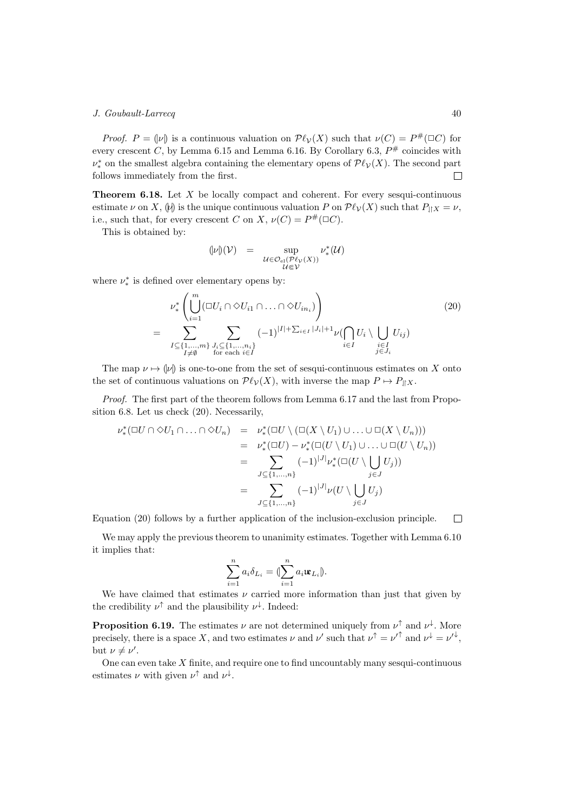*Proof.*  $P = (\nu)$  is a continuous valuation on  $\mathcal{P}\ell_{\mathcal{V}}(X)$  such that  $\nu(C) = P^{\#}(\square C)$  for every crescent C, by Lemma 6.15 and Lemma 6.16. By Corollary 6.3,  $P^{\#}$  coincides with  $\nu^*_*$  on the smallest algebra containing the elementary opens of  $\mathcal{P}\ell_\mathcal{V}(X)$ . The second part follows immediately from the first.  $\Box$ 

**Theorem 6.18.** Let  $X$  be locally compact and coherent. For every sesqui-continuous estimate  $\nu$  on X,  $\psi$  is the unique continuous valuation P on  $\mathcal{P}\ell_{\mathcal{V}}(X)$  such that  $P_{\parallel X} = \nu$ , i.e., such that, for every crescent C on X,  $\nu(C) = P^{\#}(\Box C)$ .

This is obtained by:

$$
\begin{array}{lcl} \displaystyle{(|\nu|)(\mathcal{V})} & = & \displaystyle{\sup_{\mathcal{U} \in \mathcal{O}_{\mathrm{el}}(\mathcal{P}\ell_{\mathcal{V}}(X))} \nu^*_*(\mathcal{U})} \\ & & \displaystyle{\inf_{\mathcal{U} \in \mathcal{V}} \nu^*} \end{array}
$$

where  $\nu^*_*$  is defined over elementary opens by:

$$
\nu_*^* \left( \bigcup_{i=1}^m (\square U_i \cap \lozenge U_{i1} \cap \ldots \cap \lozenge U_{in_i}) \right)
$$
\n
$$
= \sum_{\substack{I \subseteq \{1, \ldots, m\} \\ I \neq \emptyset}} \sum_{\substack{J_i \subseteq \{1, \ldots, n_i\} \\ \text{for each } i \in I}} (-1)^{|I| + \sum_{i \in I} |J_i| + 1} \nu(\bigcap_{i \in I} U_i \setminus \bigcup_{\substack{i \in I \\ j \in J_i}} U_{ij})
$$
\n
$$
(20)
$$

The map  $\nu \mapsto |\nu|$  is one-to-one from the set of sesqui-continuous estimates on X onto the set of continuous valuations on  $\mathcal{P}\ell_{\mathcal{V}}(X)$ , with inverse the map  $P \mapsto P_{\parallel X}$ .

Proof. The first part of the theorem follows from Lemma 6.17 and the last from Proposition 6.8. Let us check (20). Necessarily,

$$
\nu^*_*(\square U \cap \diamond U_1 \cap \ldots \cap \diamond U_n) = \nu^*_*(\square U \setminus (\square(X \setminus U_1) \cup \ldots \cup \square(X \setminus U_n)))
$$
  
\n
$$
= \nu^*_*(\square U) - \nu^*_*(\square(U \setminus U_1) \cup \ldots \cup \square(U \setminus U_n))
$$
  
\n
$$
= \sum_{J \subseteq \{1,\ldots,n\}} (-1)^{|J|} \nu^*_*(\square(U \setminus \bigcup_{j \in J} U_j))
$$
  
\n
$$
= \sum_{J \subseteq \{1,\ldots,n\}} (-1)^{|J|} \nu(U \setminus \bigcup_{j \in J} U_j)
$$

Equation (20) follows by a further application of the inclusion-exclusion principle.  $\Box$ 

We may apply the previous theorem to unanimity estimates. Together with Lemma 6.10 it implies that:

$$
\sum_{i=1}^n a_i \delta_{L_i} = (\sum_{i=1}^n a_i \mathbf{w}_{L_i} ).
$$

We have claimed that estimates  $\nu$  carried more information than just that given by the credibility  $\nu^{\uparrow}$  and the plausibility  $\nu^{\downarrow}$ . Indeed:

**Proposition 6.19.** The estimates  $\nu$  are not determined uniquely from  $\nu^{\uparrow}$  and  $\nu^{\downarrow}$ . More precisely, there is a space X, and two estimates  $\nu$  and  $\nu'$  such that  $\nu^{\uparrow} = {\nu'}^{\uparrow}$  and  $\nu^{\downarrow} = {\nu'}^{\downarrow}$ , but  $\nu \neq \nu'$ .

One can even take  $X$  finite, and require one to find uncountably many sesqui-continuous estimates  $\nu$  with given  $\nu^{\uparrow}$  and  $\nu^{\downarrow}$ .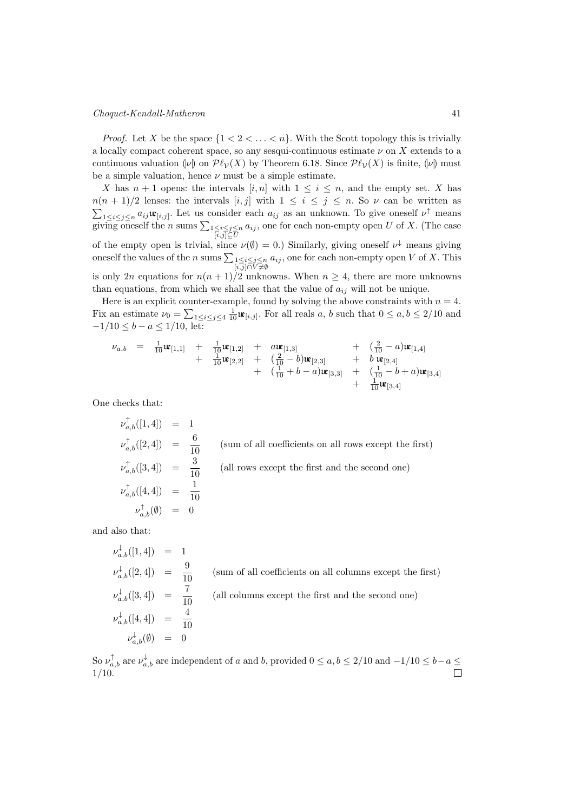#### Choquet-Kendall-Matheron 41

*Proof.* Let X be the space  $\{1 < 2 < \ldots < n\}$ . With the Scott topology this is trivially a locally compact coherent space, so any sesqui-continuous estimate  $\nu$  on  $\overline{X}$  extends to a continuous valuation  $|\nu|$  on  $\mathcal{P}\ell_{\mathcal{V}}(X)$  by Theorem 6.18. Since  $\mathcal{P}\ell_{\mathcal{V}}(X)$  is finite,  $|\nu|$  must be a simple valuation, hence  $\nu$  must be a simple estimate.

X has  $n + 1$  opens: the intervals  $[i, n]$  with  $1 \leq i \leq n$ , and the empty set. X has  $n(n + 1)/2$  lenses: the intervals  $[i, j]$  with  $1 \le i \le j \le n$ . So  $\nu$  can be written as  $\sum_{1 \leq i \leq j \leq n} a_{ij} \mathbf{u}_{[i,j]}$ . Let us consider each  $a_{ij}$  as an unknown. To give oneself  $\nu^{\uparrow}$  means giving oneself the *n* sums  $\sum_{\substack{1 \leq i \leq j \leq n \\ [i,j] \subseteq U}} a_{ij}$ , one for each non-empty open U of X. (The case of the empty open is trivial, since  $\nu(\emptyset) = 0$ .) Similarly, giving oneself  $\nu^{\downarrow}$  means giving oneself the values of the *n* sums  $\sum_{\substack{1 \leq i \leq j \leq n \\ [i,j] \cap V \neq \emptyset}} a_{ij}$ , one for each non-empty open *V* of *X*. This is only 2n equations for  $n(n+1)/2$  unknowns. When  $n \geq 4$ , there are more unknowns than equations, from which we shall see that the value of  $a_{ij}$  will not be unique.

Here is an explicit counter-example, found by solving the above constraints with  $n = 4$ . Fix an estimate  $\nu_0 = \sum_{1 \leq i \leq j \leq 4} \frac{1}{10} \mathbf{u}_{[i,j]}$ . For all reals  $a, b$  such that  $0 \leq a, b \leq 2/10$  and  $-1/10 \le b - a \le 1/10$ , let:

$$
\begin{array}{lcllll} \nu_{a,b} & = & \frac{1}{10}\mathbf{i}\mathbf{e}_{[1,1]} & + & \frac{1}{10}\mathbf{i}\mathbf{e}_{[1,2]} & + & a\mathbf{i}\mathbf{e}_{[1,3]} & & + & \left(\frac{2}{10}-a\right)\mathbf{i}\mathbf{e}_{[1,4]} \\ & & + & \frac{1}{10}\mathbf{i}\mathbf{e}_{[2,2]} & + & \left(\frac{2}{10}-b\right)\mathbf{i}\mathbf{e}_{[2,3]} & & + & b\,\mathbf{i}\mathbf{e}_{[2,4]} \\ & & + & \left(\frac{1}{10}+b-a\right)\mathbf{i}\mathbf{e}_{[3,3]} & + & \left(\frac{1}{10}-b+a\right)\mathbf{i}\mathbf{e}_{[3,4]} \\ & & + & \frac{1}{10}\mathbf{i}\mathbf{e}_{[3,4]} \end{array}
$$

One checks that:

$$
\nu_{a,b}^{\uparrow}([1,4]) = 1
$$
\n
$$
\nu_{a,b}^{\uparrow}([2,4]) = \frac{6}{10}
$$
 (sum of all coefficients on all rows except the first)\n
$$
\nu_{a,b}^{\uparrow}([3,4]) = \frac{3}{10}
$$
 (all rows except the first and the second one)\n
$$
\nu_{a,b}^{\uparrow}([4,4]) = \frac{1}{10}
$$
\n
$$
\nu_{a,b}^{\uparrow}(\emptyset) = 0
$$

and also that:

$$
\nu_{a,b}^{\downarrow}([1,4]) = 1
$$
  
\n
$$
\nu_{a,b}^{\downarrow}([2,4]) = \frac{9}{10}
$$
 (sum of all coefficients on all columns except the first)  
\n
$$
\nu_{a,b}^{\downarrow}([3,4]) = \frac{7}{10}
$$
 (all columns except the first and the second one)  
\n
$$
\nu_{a,b}^{\downarrow}([4,4]) = \frac{4}{10}
$$
  
\n
$$
\nu_{a,b}^{\downarrow}(\emptyset) = 0
$$

So  $\nu_{a,b}^{\uparrow}$  are  $\nu_{a,b}^{\downarrow}$  are independent of a and b, provided  $0 \leq a,b \leq 2/10$  and  $-1/10 \leq b-a \leq$ 1/10.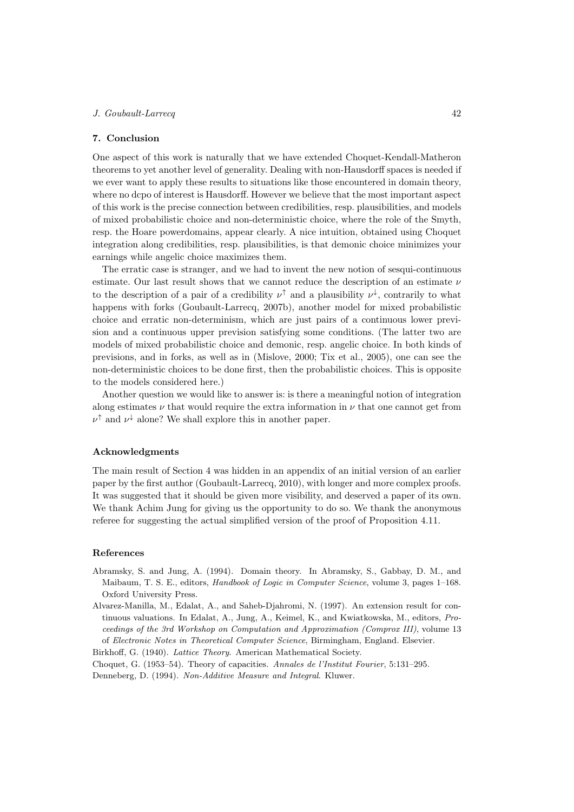## 7. Conclusion

One aspect of this work is naturally that we have extended Choquet-Kendall-Matheron theorems to yet another level of generality. Dealing with non-Hausdorff spaces is needed if we ever want to apply these results to situations like those encountered in domain theory, where no dcpo of interest is Hausdorff. However we believe that the most important aspect of this work is the precise connection between credibilities, resp. plausibilities, and models of mixed probabilistic choice and non-deterministic choice, where the role of the Smyth, resp. the Hoare powerdomains, appear clearly. A nice intuition, obtained using Choquet integration along credibilities, resp. plausibilities, is that demonic choice minimizes your earnings while angelic choice maximizes them.

The erratic case is stranger, and we had to invent the new notion of sesqui-continuous estimate. Our last result shows that we cannot reduce the description of an estimate  $\nu$ to the description of a pair of a credibility  $\nu^{\uparrow}$  and a plausibility  $\nu^{\downarrow}$ , contrarily to what happens with forks (Goubault-Larrecq, 2007b), another model for mixed probabilistic choice and erratic non-determinism, which are just pairs of a continuous lower prevision and a continuous upper prevision satisfying some conditions. (The latter two are models of mixed probabilistic choice and demonic, resp. angelic choice. In both kinds of previsions, and in forks, as well as in (Mislove, 2000; Tix et al., 2005), one can see the non-deterministic choices to be done first, then the probabilistic choices. This is opposite to the models considered here.)

Another question we would like to answer is: is there a meaningful notion of integration along estimates  $\nu$  that would require the extra information in  $\nu$  that one cannot get from  $\nu^{\uparrow}$  and  $\nu^{\downarrow}$  alone? We shall explore this in another paper.

## Acknowledgments

The main result of Section 4 was hidden in an appendix of an initial version of an earlier paper by the first author (Goubault-Larrecq, 2010), with longer and more complex proofs. It was suggested that it should be given more visibility, and deserved a paper of its own. We thank Achim Jung for giving us the opportunity to do so. We thank the anonymous referee for suggesting the actual simplified version of the proof of Proposition 4.11.

# References

- Abramsky, S. and Jung, A. (1994). Domain theory. In Abramsky, S., Gabbay, D. M., and Maibaum, T. S. E., editors, Handbook of Logic in Computer Science, volume 3, pages 1–168. Oxford University Press.
- Alvarez-Manilla, M., Edalat, A., and Saheb-Djahromi, N. (1997). An extension result for continuous valuations. In Edalat, A., Jung, A., Keimel, K., and Kwiatkowska, M., editors, Proceedings of the 3rd Workshop on Computation and Approximation (Comprox III), volume 13 of Electronic Notes in Theoretical Computer Science, Birmingham, England. Elsevier.

Birkhoff, G. (1940). Lattice Theory. American Mathematical Society.

Choquet, G. (1953–54). Theory of capacities. Annales de l'Institut Fourier, 5:131–295.

Denneberg, D. (1994). Non-Additive Measure and Integral. Kluwer.